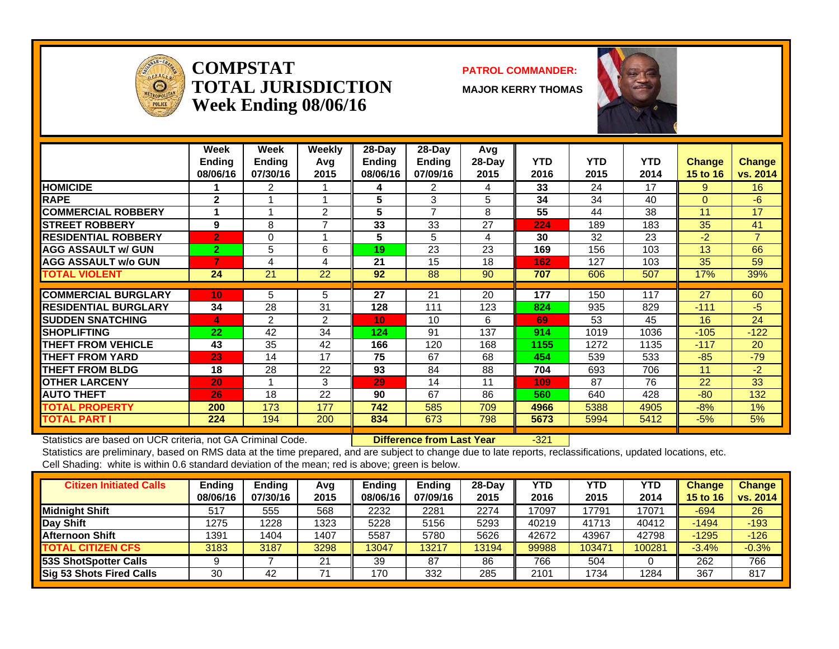

#### **COMPSTATTOTAL JURISDICTIONWeek Ending 08/06/16**

#### **PATROL COMMANDER:**

**MAJOR KERRY THOMAS**



|                             | Week<br><b>Ending</b><br>08/06/16 | <b>Week</b><br><b>Ending</b><br>07/30/16 | Weekly<br>Avq<br>2015 | 28-Dav<br>Endina<br>08/06/16 | 28-Dav<br>Ending<br>07/09/16 | Avg<br>$28-Day$<br>2015 | <b>YTD</b><br>2016 | <b>YTD</b><br>2015 | <b>YTD</b><br>2014 | <b>Change</b><br><b>15 to 16</b> | <b>Change</b><br>vs. 2014 |
|-----------------------------|-----------------------------------|------------------------------------------|-----------------------|------------------------------|------------------------------|-------------------------|--------------------|--------------------|--------------------|----------------------------------|---------------------------|
| <b>HOMICIDE</b>             |                                   | 2                                        |                       | 4                            | 2                            | 4                       | 33                 | 24                 | 17                 | 9                                | 16                        |
| <b>RAPE</b>                 | $\mathbf{2}$                      |                                          |                       | 5                            | 3                            | 5                       | 34                 | 34                 | 40                 | $\Omega$                         | -6                        |
| <b>COMMERCIAL ROBBERY</b>   |                                   |                                          | 2                     | 5                            | $\overline{7}$               | 8                       | 55                 | 44                 | 38                 | 11                               | 17                        |
| <b>ISTREET ROBBERY</b>      | 9                                 | 8                                        | 7                     | 33                           | 33                           | 27                      | 224                | 189                | 183                | 35                               | 41                        |
| <b>RESIDENTIAL ROBBERY</b>  | $\overline{2}$                    | 0                                        |                       | 5                            | 5                            | 4                       | 30                 | 32                 | 23                 | $-2$                             | $\overline{7}$            |
| <b>AGG ASSAULT w/ GUN</b>   | $\overline{2}$                    | 5                                        | 6                     | 19                           | 23                           | 23                      | 169                | 156                | 103                | 13                               | 66                        |
| <b>AGG ASSAULT w/o GUN</b>  |                                   | 4                                        | 4                     | 21                           | 15                           | 18                      | 162                | 127                | 103                | 35                               | 59                        |
| <b>TOTAL VIOLENT</b>        | 24                                | 21                                       | 22                    | 92                           | 88                           | 90                      | 707                | 606                | 507                | 17%                              | 39%                       |
|                             |                                   |                                          |                       |                              |                              |                         |                    |                    |                    |                                  |                           |
| <b>COMMERCIAL BURGLARY</b>  | 10 <sub>1</sub>                   | 5                                        | 5                     | 27                           | 21                           | 20                      | 177                | 150                | 117                | 27                               | 60                        |
| <b>RESIDENTIAL BURGLARY</b> | 34                                | 28                                       | 31                    | 128                          | 111                          | 123                     | 824                | 935                | 829                | $-111$                           | -5                        |
| <b>ISUDDEN SNATCHING</b>    | 4                                 | 2                                        | 2                     | 10                           | 10                           | 6                       | 69                 | 53                 | 45                 | 16                               | 24                        |
| <b>ISHOPLIFTING</b>         | 22                                | 42                                       | 34                    | 124                          | 91                           | 137                     | 914                | 1019               | 1036               | $-105$                           | $-122$                    |
| <b>THEFT FROM VEHICLE</b>   | 43                                | 35                                       | 42                    | 166                          | 120                          | 168                     | 1155               | 1272               | 1135               | $-117$                           | 20                        |
| <b>THEFT FROM YARD</b>      | 23                                | 14                                       | 17                    | 75                           | 67                           | 68                      | 454                | 539                | 533                | $-85$                            | $-79$                     |
| <b>THEFT FROM BLDG</b>      | 18                                | 28                                       | 22                    | 93                           | 84                           | 88                      | 704                | 693                | 706                | 11                               | $-2$                      |
| <b>OTHER LARCENY</b>        | 20                                |                                          | 3                     | 29                           | 14                           | 11                      | 109                | 87                 | 76                 | 22                               | 33                        |
| <b>AUTO THEFT</b>           | 26                                | 18                                       | 22                    | 90                           | 67                           | 86                      | 560                | 640                | 428                | $-80$                            | 132                       |
| <b>TOTAL PROPERTY</b>       | 200                               | 173                                      | 177                   | 742                          | 585                          | 709                     | 4966               | 5388               | 4905               | $-8%$                            | 1%                        |
| <b>TOTAL PART I</b>         | 224                               | 194                                      | 200                   | 834                          | 673                          | 798                     | 5673               | 5994               | 5412               | $-5%$                            | 5%                        |

Statistics are based on UCR criteria, not GA Criminal Code. **Difference from Last Year** -321

| <b>Citizen Initiated Calls</b> | Ending<br>08/06/16 | <b>Ending</b><br>07/30/16 | Avg<br>2015 | Endina<br>08/06/16 | Ending<br>07/09/16 | $28-Dav$<br>2015 | YTD<br>2016 | YTD<br>2015 | YTD<br>2014 | <b>Change</b><br>15 to 16 | <b>Change</b><br>vs. 2014 |
|--------------------------------|--------------------|---------------------------|-------------|--------------------|--------------------|------------------|-------------|-------------|-------------|---------------------------|---------------------------|
| <b>Midnight Shift</b>          | 517                | 555                       | 568         | 2232               | 2281               | 2274             | 17097       | 17791       | 17071       | $-694$                    | 26                        |
| Day Shift                      | 1275               | 1228                      | 1323        | 5228               | 5156               | 5293             | 40219       | 41713       | 40412       | $-1494$                   | $-193$                    |
| <b>Afternoon Shift</b>         | 1391               | 1404                      | 1407        | 5587               | 5780               | 5626             | 42672       | 43967       | 42798       | $-1295$                   | $-126$                    |
| <b>TOTAL CITIZEN CFS</b>       | 3183               | 3187                      | 3298        | 13047              | 13217              | 13194            | 99988       | 103471      | 100281      | $-3.4%$                   | $-0.3%$                   |
| 53S ShotSpotter Calls          |                    |                           | 21          | 39                 | 87                 | 86               | 766         | 504         |             | 262                       | 766                       |
| Sig 53 Shots Fired Calls       | 30                 | 42                        |             | 170                | 332                | 285              | 2101        | 1734        | 1284        | 367                       | 817                       |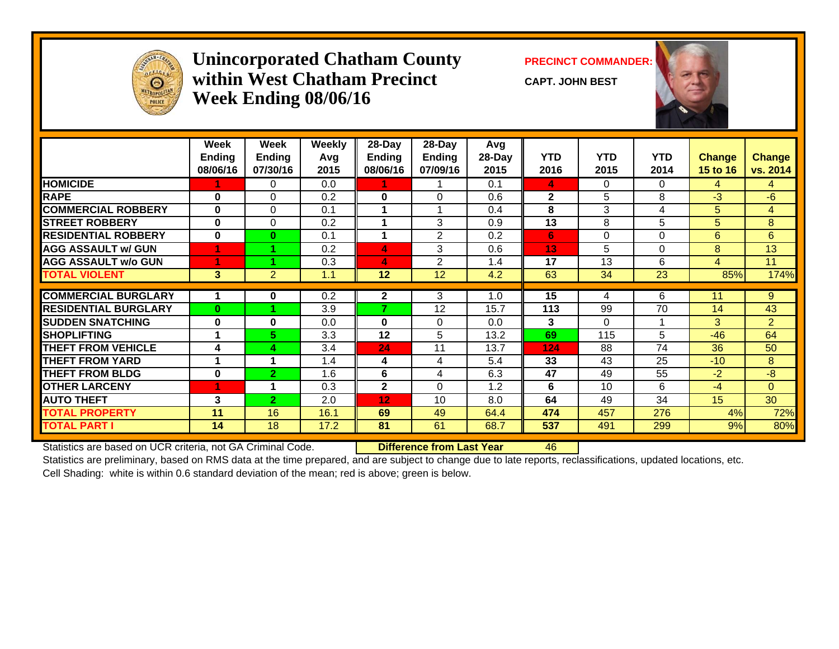

### **Unincorporated Chatham County PRECINCT COMMANDER: within West Chatham PrecinctWeek Ending 08/06/16**

**CAPT. JOHN BEST**



|                                              | Week<br><b>Ending</b><br>08/06/16 | Week<br><b>Ending</b><br>07/30/16 | <b>Weekly</b><br>Avq<br>2015 | 28-Day<br><b>Ending</b><br>08/06/16 | 28-Day<br>Ending<br>07/09/16 | Avg<br>28-Day<br>2015 | <b>YTD</b><br>2016 | <b>YTD</b><br>2015 | <b>YTD</b><br>2014 | <b>Change</b><br>15 to 16 | <b>Change</b><br>vs. 2014 |
|----------------------------------------------|-----------------------------------|-----------------------------------|------------------------------|-------------------------------------|------------------------------|-----------------------|--------------------|--------------------|--------------------|---------------------------|---------------------------|
| <b>HOMICIDE</b>                              |                                   | 0                                 | 0.0                          | 1                                   |                              | 0.1                   | 4                  | 0                  | 0                  | 4                         | 4                         |
| <b>RAPE</b>                                  | $\bf{0}$                          | 0                                 | 0.2                          | 0                                   | 0                            | 0.6                   | $\mathbf{2}$       | 5                  | 8                  | $-3$                      | $-6$                      |
| <b>COMMERCIAL ROBBERY</b>                    | $\bf{0}$                          | $\Omega$                          | 0.1                          |                                     |                              | 0.4                   | 8                  | 3                  | 4                  | 5                         | $\overline{4}$            |
| <b>ISTREET ROBBERY</b>                       | $\bf{0}$                          | $\Omega$                          | 0.2                          |                                     | 3                            | 0.9                   | 13                 | 8                  | 5                  | 5                         | 8                         |
| <b>RESIDENTIAL ROBBERY</b>                   | $\bf{0}$                          | $\bf{0}$                          | 0.1                          | 1                                   | 2                            | 0.2                   | 6                  | 0                  | $\Omega$           | 6                         | 6                         |
| <b>AGG ASSAULT w/ GUN</b>                    |                                   |                                   | 0.2                          | 4                                   | 3                            | 0.6                   | 13                 | 5                  | 0                  | 8                         | 13                        |
| <b>AGG ASSAULT w/o GUN</b>                   |                                   |                                   | 0.3                          | 4                                   | 2                            | 1.4                   | 17                 | 13                 | 6                  | $\overline{4}$            | 11                        |
| <b>TOTAL VIOLENT</b>                         | $\mathbf{3}$                      | $\overline{2}$                    | 1.1                          | 12                                  | 12                           | 4.2                   | 63                 | 34                 | 23                 | 85%                       | 174%                      |
| <b>COMMERCIAL BURGLARY</b>                   |                                   | 0                                 | 0.2                          | $\mathbf{2}$                        | 3                            | 1.0                   | 15                 | 4                  | 6                  | 11                        | 9                         |
| <b>RESIDENTIAL BURGLARY</b>                  | $\bf{0}$                          |                                   | 3.9                          | 7                                   | 12                           | 15.7                  | 113                | 99                 | 70                 | 14                        | 43                        |
| <b>SUDDEN SNATCHING</b>                      | $\mathbf 0$                       | 0                                 | 0.0                          | 0                                   | $\Omega$                     | 0.0                   | 3                  | 0                  | 1                  | 3                         | $\overline{2}$            |
| <b>SHOPLIFTING</b>                           |                                   | 5.                                | 3.3                          | 12                                  | 5                            | 13.2                  | 69                 | 115                | 5                  | $-46$                     | 64                        |
| <b>THEFT FROM VEHICLE</b>                    | 4                                 | 4                                 | 3.4                          | 24                                  | 11                           | 13.7                  | 124                | 88                 | 74                 | 36                        | 50                        |
| <b>THEFT FROM YARD</b>                       |                                   |                                   | 1.4                          | 4                                   | 4                            | 5.4                   | 33                 | 43                 | 25                 | $-10$                     | 8                         |
| <b>THEFT FROM BLDG</b>                       | $\bf{0}$                          | $\mathbf{2}$                      | 1.6                          | 6                                   | 4                            | 6.3                   | 47                 | 49                 | 55                 | $-2$                      | $-8$                      |
| <b>OTHER LARCENY</b>                         |                                   |                                   | 0.3                          | $\mathbf{2}$                        | $\Omega$                     | 1.2                   | 6                  | 10                 | 6                  | $-4$                      | $\Omega$                  |
| <b>AUTO THEFT</b>                            | 3                                 | $\overline{2}$                    | 2.0                          | 12 <sub>2</sub>                     | 10                           | 8.0                   | 64                 | 49                 | 34                 | 15 <sub>1</sub>           | 30                        |
|                                              | 11                                | 16                                |                              |                                     |                              |                       |                    |                    |                    |                           | 72%                       |
| <b>TOTAL PROPERTY</b><br><b>TOTAL PART I</b> | 14                                | 18                                | 16.1<br>17.2                 | 69<br>81                            | 49<br>61                     | 64.4<br>68.7          | 474<br>537         | 457<br>491         | 276<br>299         | 4%<br>9%                  | 80%                       |
|                                              |                                   |                                   |                              |                                     |                              |                       |                    |                    |                    |                           |                           |

Statistics are based on UCR criteria, not GA Criminal Code. **Difference from Last Year** 46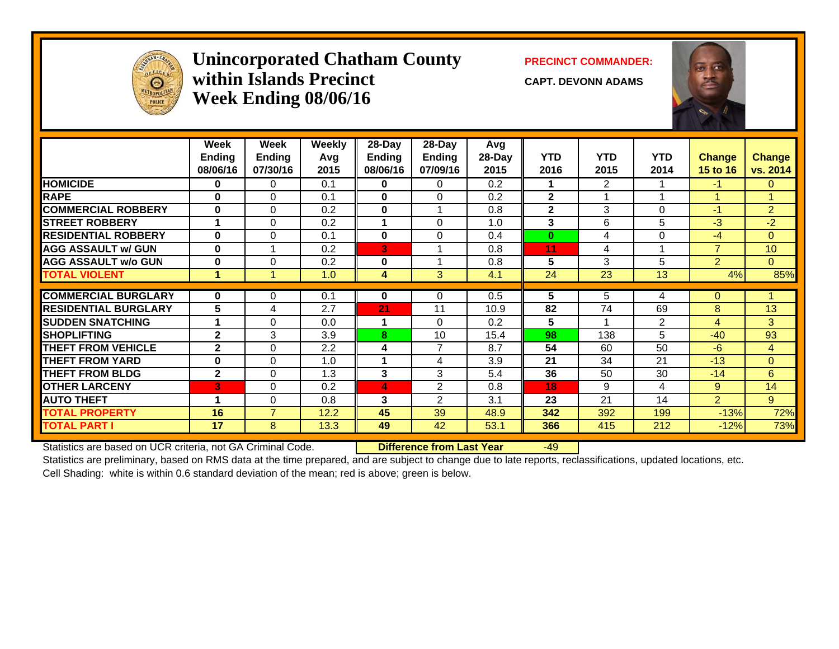

## Unincorporated Chatham County PRECINCT COMMANDER: **within Islands PrecinctWeek Ending 08/06/16**

**CAPT. DEVONN ADAMS**



|                             | Week<br><b>Ending</b><br>08/06/16 | Week<br><b>Ending</b><br>07/30/16 | <b>Weekly</b><br>Avq<br>2015 | $28-Day$<br><b>Ending</b><br>08/06/16 | $28-Day$<br><b>Ending</b><br>07/09/16 | Avg<br>28-Day<br>2015 | <b>YTD</b><br>2016 | <b>YTD</b><br>2015 | <b>YTD</b><br>2014 | <b>Change</b><br><b>15 to 16</b> | <b>Change</b><br>vs. 2014 |
|-----------------------------|-----------------------------------|-----------------------------------|------------------------------|---------------------------------------|---------------------------------------|-----------------------|--------------------|--------------------|--------------------|----------------------------------|---------------------------|
| <b>HOMICIDE</b>             | 0                                 | $\Omega$                          | 0.1                          | $\mathbf{0}$                          | 0                                     | 0.2                   | 1                  | $\overline{2}$     |                    | $-1$                             | $\Omega$                  |
| <b>RAPE</b>                 | $\bf{0}$                          | $\Omega$                          | 0.1                          | $\bf{0}$                              | $\Omega$                              | 0.2                   | $\mathbf{2}$       |                    |                    |                                  |                           |
| <b>COMMERCIAL ROBBERY</b>   | $\bf{0}$                          | $\Omega$                          | 0.2                          | $\bf{0}$                              |                                       | 0.8                   | $\mathbf{2}$       | 3                  | $\Omega$           | $-1$                             | $\overline{2}$            |
| <b>STREET ROBBERY</b>       |                                   | $\Omega$                          | 0.2                          | 1                                     | $\Omega$                              | 1.0                   | 3                  | 6                  | 5                  | $-3$                             | $-2$                      |
| <b>RESIDENTIAL ROBBERY</b>  | $\bf{0}$                          | $\Omega$                          | 0.1                          | $\bf{0}$                              | $\Omega$                              | 0.4                   | $\bf{0}$           | 4                  | 0                  | $-4$                             | $\Omega$                  |
| <b>AGG ASSAULT w/ GUN</b>   | $\bf{0}$                          |                                   | 0.2                          | 3                                     |                                       | 0.8                   | 11                 | 4                  |                    | $\overline{7}$                   | 10                        |
| <b>AGG ASSAULT w/o GUN</b>  | $\bf{0}$                          | $\Omega$                          | 0.2                          | $\bf{0}$                              |                                       | 0.8                   | 5                  | 3                  | 5                  | $\overline{2}$                   | $\Omega$                  |
| <b>TOTAL VIOLENT</b>        | 1                                 |                                   | 1.0                          | 4                                     | 3                                     | 4.1                   | 24                 | 23                 | 13                 | 4%                               | 85%                       |
|                             |                                   |                                   |                              |                                       |                                       |                       |                    |                    |                    |                                  |                           |
| <b>COMMERCIAL BURGLARY</b>  | 0                                 | 0                                 | 0.1                          | $\bf{0}$                              | 0                                     | 0.5                   | 5                  | 5                  | 4                  | $\Omega$                         |                           |
| <b>RESIDENTIAL BURGLARY</b> | 5.                                | 4                                 | 2.7                          | 21                                    | 11                                    | 10.9                  | 82                 | 74                 | 69                 | 8                                | 13                        |
| <b>SUDDEN SNATCHING</b>     |                                   | $\Omega$                          | 0.0                          | 1                                     | $\Omega$                              | 0.2                   | 5                  |                    | $\overline{2}$     | $\overline{4}$                   | 3                         |
| <b>SHOPLIFTING</b>          | $\mathbf{2}$                      | 3                                 | 3.9                          | 8                                     | 10                                    | 15.4                  | 98                 | 138                | 5                  | $-40$                            | 93                        |
| <b>THEFT FROM VEHICLE</b>   | $\mathbf{2}$                      | $\mathbf 0$                       | 2.2                          | 4                                     | 7                                     | 8.7                   | 54                 | 60                 | 50                 | $-6$                             | $\overline{4}$            |
| <b>THEFT FROM YARD</b>      | $\bf{0}$                          | $\Omega$                          | 1.0                          | 1                                     | 4                                     | 3.9                   | 21                 | 34                 | 21                 | $-13$                            | $\Omega$                  |
| <b>THEFT FROM BLDG</b>      | $\mathbf{2}$                      | $\Omega$                          | 1.3                          | 3                                     | 3                                     | 5.4                   | 36                 | 50                 | 30                 | $-14$                            | 6                         |
| <b>OTHER LARCENY</b>        | 3                                 | $\Omega$                          | 0.2                          | 4                                     | 2                                     | 0.8                   | 18                 | 9                  | 4                  | 9                                | 14                        |
| <b>AUTO THEFT</b>           | 4                                 | $\mathbf 0$                       | 0.8                          | 3                                     | 2                                     | 3.1                   | 23                 | 21                 | 14                 | $\overline{2}$                   | 9                         |
| <b>TOTAL PROPERTY</b>       | 16                                | $\overline{7}$                    | 12.2                         | 45                                    | 39                                    | 48.9                  | 342                | 392                | 199                | $-13%$                           | 72%                       |
| <b>TOTAL PART I</b>         | 17                                | 8                                 | 13.3                         | 49                                    | 42                                    | 53.1                  | 366                | 415                | 212                | $-12%$                           | 73%                       |
|                             |                                   |                                   |                              |                                       |                                       |                       |                    |                    |                    |                                  |                           |

Statistics are based on UCR criteria, not GA Criminal Code. **Difference from Last Year** -49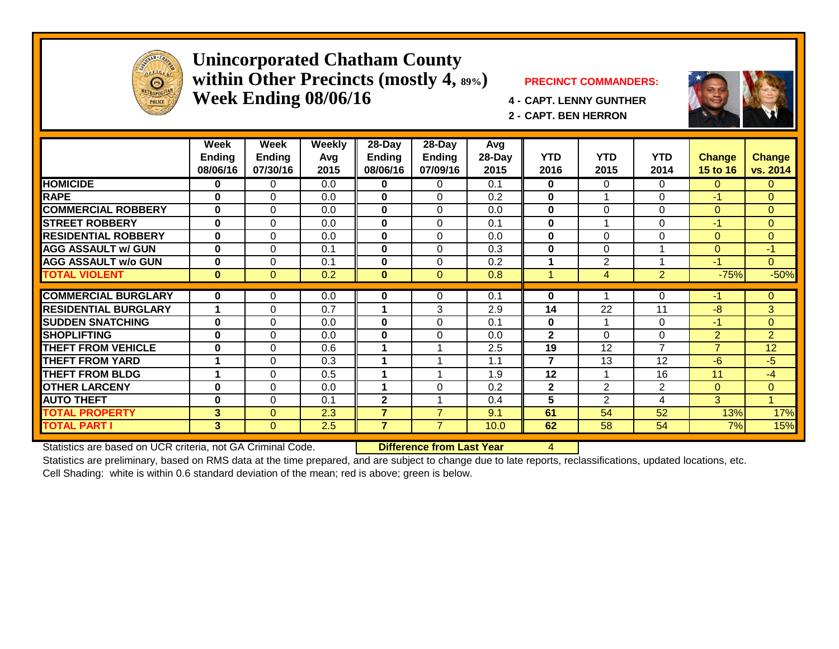

#### **Unincorporated Chatham County within Other Precincts (mostly 4, 89%) PRECINCT COMMANDERS: Week Ending 08/06/16 4 - CAPT. LENNY GUNTHER**



**2 - CAPT. BEN HERRON**

|                             | Week<br><b>Ending</b><br>08/06/16 | Week<br><b>Ending</b><br>07/30/16 | <b>Weekly</b><br>Avg<br>2015 | 28-Day<br>Ending<br>08/06/16 | $28 - Day$<br><b>Ending</b><br>07/09/16 | Avg<br>28-Day<br>2015 | YTD<br>2016    | <b>YTD</b><br>2015 | <b>YTD</b><br>2014 | <b>Change</b><br>15 to 16 | <b>Change</b><br>vs. 2014 |
|-----------------------------|-----------------------------------|-----------------------------------|------------------------------|------------------------------|-----------------------------------------|-----------------------|----------------|--------------------|--------------------|---------------------------|---------------------------|
| <b>HOMICIDE</b>             | 0                                 | 0                                 | 0.0                          | 0                            | 0                                       | 0.1                   | 0              | 0                  | 0                  | $\Omega$                  | $\mathbf{0}$              |
| <b>RAPE</b>                 | $\bf{0}$                          | $\Omega$                          | 0.0                          | 0                            | $\Omega$                                | 0.2                   | $\bf{0}$       |                    | $\Omega$           | -1                        | $\Omega$                  |
| <b>COMMERCIAL ROBBERY</b>   | $\bf{0}$                          | 0                                 | 0.0                          | 0                            | $\Omega$                                | 0.0                   | $\bf{0}$       | 0                  | $\Omega$           | $\Omega$                  | $\overline{0}$            |
| <b>STREET ROBBERY</b>       | 0                                 | 0                                 | 0.0                          | 0                            | $\Omega$                                | 0.1                   | $\mathbf 0$    |                    | $\Omega$           | $-1$                      | $\overline{0}$            |
| <b>RESIDENTIAL ROBBERY</b>  | $\bf{0}$                          | 0                                 | 0.0                          | $\bf{0}$                     | $\Omega$                                | 0.0                   | $\bf{0}$       | $\Omega$           | $\Omega$           | $\Omega$                  | $\mathbf{0}$              |
| <b>AGG ASSAULT w/ GUN</b>   | $\mathbf 0$                       | 0                                 | 0.1                          | $\bf{0}$                     | $\Omega$                                | 0.3                   | $\bf{0}$       | $\Omega$           |                    | $\Omega$                  | -1                        |
| <b>AGG ASSAULT w/o GUN</b>  | $\bf{0}$                          | 0                                 | 0.1                          | 0                            | $\Omega$                                | 0.2                   |                | $\overline{2}$     |                    | $-1$                      | $\Omega$                  |
| <b>TOTAL VIOLENT</b>        | $\bf{0}$                          | $\overline{0}$                    | 0.2                          | $\bf{0}$                     | $\mathbf{0}$                            | 0.8                   | 4              | 4                  | $\overline{2}$     | $-75%$                    | $-50%$                    |
|                             |                                   |                                   |                              |                              |                                         |                       |                |                    |                    |                           |                           |
| <b>COMMERCIAL BURGLARY</b>  | 0                                 | 0                                 | 0.0                          | 0                            | 0                                       | 0.1                   | 0              |                    | 0                  | -1                        | $\mathbf{0}$              |
| <b>RESIDENTIAL BURGLARY</b> | 1                                 | 0                                 | 0.7                          |                              | 3                                       | 2.9                   | 14             | 22                 | 11                 | -8                        | 3                         |
| <b>SUDDEN SNATCHING</b>     | 0                                 | 0                                 | 0.0                          | 0                            | $\Omega$                                | 0.1                   | 0              |                    | $\Omega$           | $-1$                      | $\mathbf{0}$              |
| <b>SHOPLIFTING</b>          | $\bf{0}$                          | 0                                 | 0.0                          | 0                            | $\Omega$                                | 0.0                   | $\mathbf{2}$   | 0                  | $\Omega$           | $\overline{2}$            | 2                         |
| <b>THEFT FROM VEHICLE</b>   | $\bf{0}$                          | 0                                 | 0.6                          |                              |                                         | 2.5                   | 19             | 12                 | $\overline{ }$     | $\overline{7}$            | 12                        |
| <b>THEFT FROM YARD</b>      | 1                                 | 0                                 | 0.3                          |                              |                                         | 1.1                   | $\overline{7}$ | 13                 | 12                 | $-6$                      | -5                        |
| <b>THEFT FROM BLDG</b>      | 1                                 | 0                                 | 0.5                          |                              |                                         | 1.9                   | 12             |                    | 16                 | 11                        | $-4$                      |
| <b>OTHER LARCENY</b>        | 0                                 | 0                                 | 0.0                          |                              | $\Omega$                                | 0.2                   | $\mathbf{2}$   | $\overline{2}$     | $\overline{2}$     | $\Omega$                  | $\overline{0}$            |
| <b>AUTO THEFT</b>           | 0                                 | 0                                 | 0.1                          | $\mathbf{2}$                 |                                         | 0.4                   | 5              | $\overline{2}$     | 4                  | 3                         | $\overline{1}$            |
| <b>TOTAL PROPERTY</b>       | 3                                 | $\Omega$                          | 2.3                          | 7                            | $\overline{7}$                          | 9.1                   | 61             | 54                 | 52                 | 13%                       | 17%                       |
| <b>TOTAL PART I</b>         | 3                                 | 0                                 | 2.5                          | $\overline{7}$               | $\overline{7}$                          | 10.0                  | 62             | 58                 | 54                 | 7%                        | 15%                       |

Statistics are based on UCR criteria, not GA Criminal Code. **Difference from Last Year** 4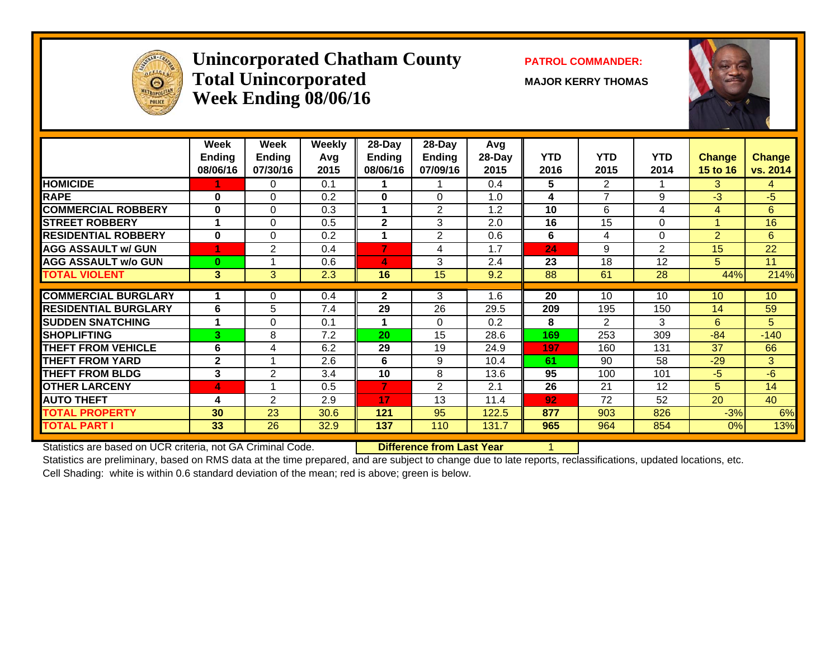

## **Unincorporated Chatham County PATROL COMMANDER:** Total Unincorporated MAJOR KERRY THOMAS **Week Ending 08/06/16**



|                             | Week<br><b>Ending</b><br>08/06/16 | Week<br><b>Ending</b><br>07/30/16 | <b>Weekly</b><br>Avg<br>2015 | 28-Day<br>Ending<br>08/06/16 | 28-Day<br>Ending<br>07/09/16 | Avg<br>28-Day<br>2015 | <b>YTD</b><br>2016 | <b>YTD</b><br>2015 | <b>YTD</b><br>2014 | <b>Change</b><br>15 to 16 | <b>Change</b><br>vs. 2014 |
|-----------------------------|-----------------------------------|-----------------------------------|------------------------------|------------------------------|------------------------------|-----------------------|--------------------|--------------------|--------------------|---------------------------|---------------------------|
| <b>HOMICIDE</b>             |                                   | 0                                 | 0.1                          |                              |                              | 0.4                   | 5                  | $\overline{2}$     |                    | 3.                        | 4                         |
| <b>RAPE</b>                 | $\bf{0}$                          | $\Omega$                          | 0.2                          | 0                            | $\Omega$                     | 1.0                   | 4                  | 7                  | 9                  | -3                        | $-5$                      |
| <b>COMMERCIAL ROBBERY</b>   | $\bf{0}$                          | $\Omega$                          | 0.3                          |                              | 2                            | 1.2                   | 10                 | 6                  | 4                  | 4                         | 6                         |
| <b>STREET ROBBERY</b>       |                                   | $\Omega$                          | 0.5                          | $\mathbf{2}$                 | 3                            | 2.0                   | 16                 | 15                 | $\Omega$           |                           | 16                        |
| <b>RESIDENTIAL ROBBERY</b>  | $\bf{0}$                          | $\Omega$                          | 0.2                          | 1                            | 2                            | 0.6                   | 6                  | 4                  | $\Omega$           | $\overline{2}$            | 6                         |
| <b>AGG ASSAULT w/ GUN</b>   |                                   | 2                                 | 0.4                          | $\overline{7}$               | 4                            | 1.7                   | 24                 | 9                  | 2                  | 15                        | 22                        |
| <b>AGG ASSAULT w/o GUN</b>  | $\bf{0}$                          |                                   | 0.6                          | 4                            | 3                            | 2.4                   | 23                 | 18                 | 12                 | 5                         | 11                        |
| <b>TOTAL VIOLENT</b>        | $\mathbf{3}$                      | 3                                 | 2.3                          | 16                           | 15                           | 9.2                   | 88                 | 61                 | 28                 | 44%                       | 214%                      |
|                             |                                   |                                   |                              |                              |                              |                       |                    |                    |                    |                           |                           |
| <b>COMMERCIAL BURGLARY</b>  |                                   | $\Omega$                          | 0.4                          | $\mathbf{2}$                 | 3                            | 1.6                   | 20                 | 10                 | 10                 | 10                        | 10                        |
| <b>RESIDENTIAL BURGLARY</b> | 6                                 | 5                                 | 7.4                          | 29                           | 26                           | 29.5                  | 209                | 195                | 150                | 14                        | 59                        |
| <b>ISUDDEN SNATCHING</b>    | 1                                 | $\Omega$                          | 0.1                          | 1                            | $\Omega$                     | 0.2                   | 8                  | $\overline{2}$     | 3                  | 6                         | 5                         |
| <b>ISHOPLIFTING</b>         | 3                                 | 8                                 | 7.2                          | 20                           | 15                           | 28.6                  | 169                | 253                | 309                | $-84$                     | $-140$                    |
| <b>THEFT FROM VEHICLE</b>   | 6                                 | 4                                 | 6.2                          | 29                           | 19                           | 24.9                  | 197                | 160                | 131                | 37                        | 66                        |
| <b>THEFT FROM YARD</b>      | $\mathbf{2}$                      | $\overline{\mathbf{A}}$           | 2.6                          | 6                            | 9                            | 10.4                  | 61                 | 90                 | 58                 | $-29$                     | 3                         |
| <b>THEFT FROM BLDG</b>      | 3                                 | 2                                 | 3.4                          | 10                           | 8                            | 13.6                  | 95                 | 100                | 101                | $-5$                      | $-6$                      |
| <b>OTHER LARCENY</b>        | 4                                 |                                   | 0.5                          | 7                            | 2                            | 2.1                   | 26                 | 21                 | 12                 | 5.                        | 14                        |
| <b>AUTO THEFT</b>           | 4                                 | 2                                 | 2.9                          | 17                           | 13                           | 11.4                  | 92                 | 72                 | 52                 | 20                        | 40                        |
| <b>TOTAL PROPERTY</b>       | 30                                | 23                                | 30.6                         | 121                          | 95                           | 122.5                 | 877                | 903                | 826                | $-3%$                     | 6%                        |
| <b>TOTAL PART I</b>         | 33                                | 26                                | 32.9                         | 137                          | 110                          | 131.7                 | 965                | 964                | 854                | 0%                        | 13%                       |

Statistics are based on UCR criteria, not GA Criminal Code. **Difference from Last Year** 1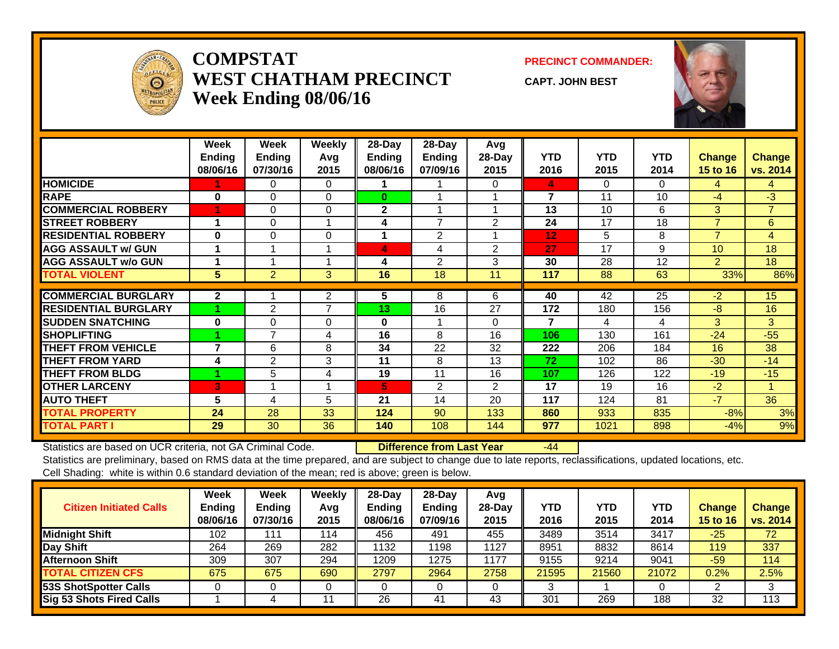

#### **COMPSTATWEST CHATHAM PRECINCTWeek Ending 08/06/16**

**PRECINCT COMMANDER:**

**CAPT. JOHN BEST**



|                             | Week<br><b>Endina</b><br>08/06/16 | Week<br><b>Ending</b><br>07/30/16 | Weekly<br>Avg<br>2015 | 28-Day<br>Ending<br>08/06/16 | 28-Day<br>Ending<br>07/09/16 | Avg<br>28-Day<br>2015 | <b>YTD</b><br>2016 | <b>YTD</b><br>2015 | <b>YTD</b><br>2014 | <b>Change</b><br>15 to 16 | <b>Change</b><br>vs. 2014 |
|-----------------------------|-----------------------------------|-----------------------------------|-----------------------|------------------------------|------------------------------|-----------------------|--------------------|--------------------|--------------------|---------------------------|---------------------------|
| <b>HOMICIDE</b>             |                                   | 0                                 | 0                     |                              |                              | 0                     | 4                  | 0                  | $\Omega$           | 4                         | 4                         |
| <b>RAPE</b>                 | $\bf{0}$                          | $\Omega$                          | $\Omega$              | $\bf{0}$                     |                              |                       | 7                  | 11                 | 10                 | -4                        | $-3$                      |
| <b>COMMERCIAL ROBBERY</b>   |                                   | $\Omega$                          | $\Omega$              | $\mathbf{2}$                 |                              |                       | 13                 | 10                 | 6                  | 3                         | $\overline{7}$            |
| <b>ISTREET ROBBERY</b>      | 4                                 | 0                                 |                       | 4                            | $\overline{ }$               | 2                     | 24                 | 17                 | 18                 | $\overline{7}$            | 6                         |
| <b>RESIDENTIAL ROBBERY</b>  | $\bf{0}$                          | $\Omega$                          | $\Omega$              |                              | $\overline{2}$               |                       | 12                 | 5                  | 8                  | $\overline{7}$            | 4                         |
| <b>AGG ASSAULT w/ GUN</b>   |                                   |                                   |                       | 4                            | 4                            | $\overline{2}$        | 27                 | 17                 | 9                  | 10                        | 18                        |
| <b>AGG ASSAULT w/o GUN</b>  |                                   |                                   |                       | 4                            | 2                            | 3                     | 30                 | 28                 | 12                 | $\overline{2}$            | 18                        |
| <b>TOTAL VIOLENT</b>        | 5                                 | $\overline{2}$                    | 3                     | 16                           | 18                           | 11                    | 117                | 88                 | 63                 | 33%                       | 86%                       |
| <b>COMMERCIAL BURGLARY</b>  | $\mathbf{2}$                      |                                   | $\overline{2}$        | 5                            | 8                            | 6                     | 40                 | 42                 | 25                 | $-2$                      | 15                        |
|                             |                                   |                                   | $\overline{7}$        |                              |                              |                       |                    |                    |                    |                           |                           |
| <b>RESIDENTIAL BURGLARY</b> |                                   | 2                                 |                       | 13                           | 16                           | 27                    | 172                | 180                | 156                | -8                        | 16                        |
| <b>SUDDEN SNATCHING</b>     | $\bf{0}$                          | 0                                 | 0                     | $\bf{0}$                     |                              | $\Omega$              | 7                  | 4                  | 4                  | 3                         | 3                         |
| <b>SHOPLIFTING</b>          |                                   | 7                                 | 4                     | 16                           | 8                            | 16                    | 106                | 130                | 161                | $-24$                     | $-55$                     |
| <b>THEFT FROM VEHICLE</b>   | 7                                 | 6                                 | 8                     | 34                           | 22                           | 32                    | 222                | 206                | 184                | 16                        | 38                        |
| <b>THEFT FROM YARD</b>      | 4                                 | 2                                 | 3                     | 11                           | 8                            | 13                    | 72                 | 102                | 86                 | $-30$                     | $-14$                     |
| <b>THEFT FROM BLDG</b>      |                                   | 5                                 | 4                     | 19                           | 11                           | 16                    | 107                | 126                | 122                | $-19$                     | $-15$                     |
| <b>OTHER LARCENY</b>        | B                                 |                                   |                       | 5                            | $\overline{2}$               | $\overline{2}$        | 17                 | 19                 | 16                 | $-2$                      |                           |
| <b>AUTO THEFT</b>           | 5                                 | 4                                 | 5                     | 21                           | 14                           | 20                    | 117                | 124                | 81                 | $-7$                      | 36                        |
| <b>TOTAL PROPERTY</b>       | 24                                | 28                                | 33                    | 124                          | 90                           | 133                   | 860                | 933                | 835                | $-8%$                     | 3%                        |
| <b>TOTAL PART I</b>         | 29                                | 30                                | 36                    | 140                          | 108                          | 144                   | 977                | 1021               | 898                | $-4%$                     | 9%                        |

Statistics are based on UCR criteria, not GA Criminal Code. **Difference from Last Year** -44

| <b>Citizen Initiated Calls</b>  | <b>Week</b><br><b>Ending</b><br>08/06/16 | <b>Week</b><br><b>Ending</b><br>07/30/16 | Weekly<br>Avg<br>2015 | 28-Day<br><b>Ending</b><br>08/06/16 | 28-Day<br><b>Ending</b><br>07/09/16 | Avg<br>28-Dav<br>2015 | YTD<br>2016 | <b>YTD</b><br>2015 | YTD<br>2014 | Change<br><b>15 to 16</b> | <b>Change</b><br>vs. 2014 |
|---------------------------------|------------------------------------------|------------------------------------------|-----------------------|-------------------------------------|-------------------------------------|-----------------------|-------------|--------------------|-------------|---------------------------|---------------------------|
| <b>Midnight Shift</b>           | 102                                      | 111                                      | 114                   | 456                                 | 491                                 | 455                   | 3489        | 3514               | 3417        | $-25$                     | 72                        |
| Day Shift                       | 264                                      | 269                                      | 282                   | 1132                                | '198                                | 1127                  | 8951        | 8832               | 8614        | 119                       | 337                       |
| <b>Afternoon Shift</b>          | 309                                      | 307                                      | 294                   | 1209                                | 1275                                | 1177                  | 9155        | 9214               | 9041        | $-59$                     | 114                       |
| <b>TOTAL CITIZEN CFS</b>        | 675                                      | 675                                      | 690                   | 2797                                | 2964                                | 2758                  | 21595       | 21560              | 21072       | $0.2\%$                   | 2.5%                      |
| <b>53S ShotSpotter Calls</b>    |                                          |                                          |                       |                                     |                                     |                       |             |                    |             |                           | 3                         |
| <b>Sig 53 Shots Fired Calls</b> |                                          |                                          |                       | 26                                  | 41                                  | 43                    | 301         | 269                | 188         | 32                        | 113                       |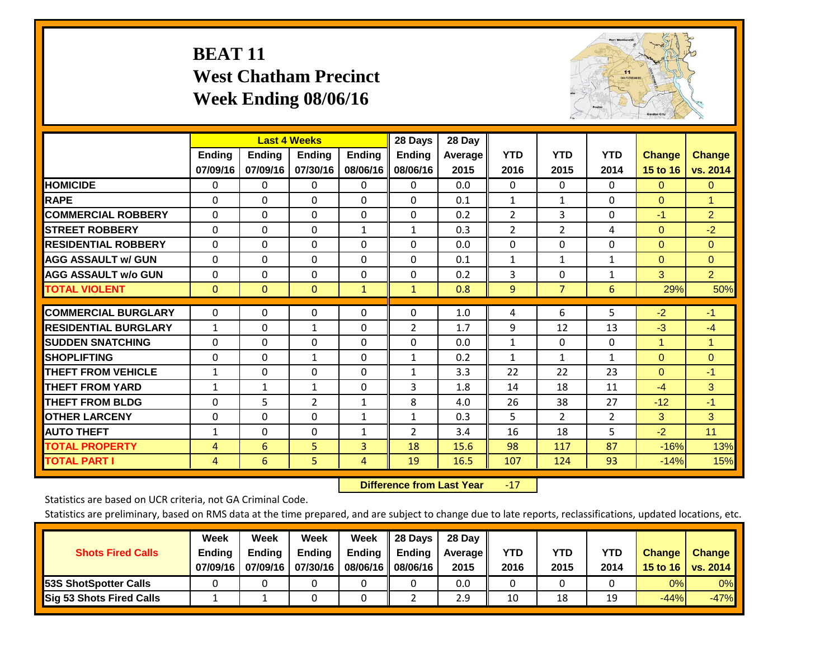## **BEAT 11 West Chatham Precinct Week Ending 08/06/16**



|                             |                | <b>Last 4 Weeks</b> |                |               | 28 Days        | 28 Day  |                |                |                |               |                |
|-----------------------------|----------------|---------------------|----------------|---------------|----------------|---------|----------------|----------------|----------------|---------------|----------------|
|                             | Ending         | Ending              | Ending         | <b>Ending</b> | <b>Ending</b>  | Average | <b>YTD</b>     | <b>YTD</b>     | <b>YTD</b>     | <b>Change</b> | <b>Change</b>  |
|                             | 07/09/16       | 07/09/16            | 07/30/16       | 08/06/16      | 08/06/16       | 2015    | 2016           | 2015           | 2014           | 15 to 16      | vs. 2014       |
| <b>HOMICIDE</b>             | $\Omega$       | 0                   | $\Omega$       | $\Omega$      | 0              | 0.0     | $\mathbf{0}$   | $\mathbf{0}$   | 0              | $\Omega$      | $\overline{0}$ |
| <b>RAPE</b>                 | $\Omega$       | $\Omega$            | $\Omega$       | 0             | $\Omega$       | 0.1     | 1              | 1              | 0              | $\Omega$      | 1              |
| <b>COMMERCIAL ROBBERY</b>   | $\Omega$       | $\Omega$            | $\Omega$       | $\Omega$      | $\Omega$       | 0.2     | $\overline{2}$ | 3              | $\Omega$       | $-1$          | $\overline{2}$ |
| <b>ISTREET ROBBERY</b>      | $\Omega$       | $\Omega$            | $\Omega$       | $\mathbf{1}$  | $\mathbf{1}$   | 0.3     | $\overline{2}$ | 2              | 4              | $\Omega$      | $-2$           |
| <b>RESIDENTIAL ROBBERY</b>  | $\Omega$       | $\Omega$            | $\mathbf{0}$   | $\Omega$      | $\Omega$       | 0.0     | $\mathbf{0}$   | 0              | 0              | $\Omega$      | $\Omega$       |
| <b>AGG ASSAULT w/ GUN</b>   | $\Omega$       | $\Omega$            | $\Omega$       | $\Omega$      | 0              | 0.1     | 1              | 1              | 1              | $\mathbf{0}$  | $\mathbf{0}$   |
| <b>AGG ASSAULT w/o GUN</b>  | $\Omega$       | $\Omega$            | $\Omega$       | $\Omega$      | $\Omega$       | 0.2     | 3              | 0              | $\mathbf{1}$   | 3             | $\overline{2}$ |
| <b>TOTAL VIOLENT</b>        | $\mathbf{0}$   | $\mathbf{0}$        | $\mathbf{0}$   | 1             | $\mathbf{1}$   | 0.8     | 9              | $\overline{7}$ | 6              | 29%           | 50%            |
|                             |                |                     |                |               |                |         |                |                |                |               |                |
| <b>COMMERCIAL BURGLARY</b>  | $\mathbf 0$    | $\Omega$            | 0              | 0             | $\Omega$       | 1.0     | 4              | 6              | 5              | $-2$          | $-1$           |
| <b>RESIDENTIAL BURGLARY</b> | $\mathbf{1}$   | $\Omega$            | $\mathbf{1}$   | $\Omega$      | $\overline{2}$ | 1.7     | 9              | 12             | 13             | $-3$          | $-4$           |
| <b>SUDDEN SNATCHING</b>     | 0              | 0                   | $\Omega$       | $\Omega$      | $\Omega$       | 0.0     | $\mathbf{1}$   | 0              | 0              | 1             | 1              |
| <b>SHOPLIFTING</b>          | $\Omega$       | $\Omega$            | $\mathbf{1}$   | 0             | $\mathbf{1}$   | 0.2     | $\mathbf{1}$   | 1              | $\mathbf{1}$   | $\Omega$      | $\Omega$       |
| <b>THEFT FROM VEHICLE</b>   | 1              | $\Omega$            | $\Omega$       | $\Omega$      | 1              | 3.3     | 22             | 22             | 23             | $\Omega$      | $-1$           |
| <b>THEFT FROM YARD</b>      | $\mathbf{1}$   | $\mathbf{1}$        | $\mathbf{1}$   | $\Omega$      | 3              | 1.8     | 14             | 18             | 11             | $-4$          | 3              |
| <b>THEFT FROM BLDG</b>      | $\Omega$       | 5                   | $\overline{2}$ | $\mathbf{1}$  | 8              | 4.0     | 26             | 38             | 27             | $-12$         | $-1$           |
| <b>OTHER LARCENY</b>        | $\Omega$       | $\Omega$            | $\Omega$       | $\mathbf{1}$  | $\mathbf{1}$   | 0.3     | 5              | $\overline{2}$ | $\overline{2}$ | 3             | 3              |
| <b>AUTO THEFT</b>           | $\mathbf{1}$   | $\Omega$            | $\Omega$       | 1             | $\overline{2}$ | 3.4     | 16             | 18             | 5              | $-2$          | 11             |
| <b>TOTAL PROPERTY</b>       | 4              | 6                   | 5              | 3             | 18             | 15.6    | 98             | 117            | 87             | $-16%$        | 13%            |
| <b>TOTAL PART I</b>         | $\overline{4}$ | 6                   | 5.             | 4             | 19             | 16.5    | 107            | 124            | 93             | $-14%$        | 15%            |

 **Difference from Last Year**r -17

Statistics are based on UCR criteria, not GA Criminal Code.

| <b>Shots Fired Calls</b>        | Week<br><b>Ending</b><br>07/09/16 | Week<br><b>Endina</b><br>07/09/16 | <b>Week</b><br>Ending<br>07/30/16 | Week<br>Ending<br>08/06/16 | 28 Days<br><b>Ending</b><br>08/06/16 | 28 Day<br>Average II<br>2015 | YTD<br>2016 | YTD<br>2015 | <b>YTD</b><br>2014 | <b>Change</b><br>15 to 16 $\vert$ | <b>Change</b><br>vs. 2014 |
|---------------------------------|-----------------------------------|-----------------------------------|-----------------------------------|----------------------------|--------------------------------------|------------------------------|-------------|-------------|--------------------|-----------------------------------|---------------------------|
| <b>153S ShotSpotter Calls</b>   |                                   |                                   |                                   |                            |                                      | 0.0                          |             |             |                    | 0%                                | 0%                        |
| <b>Sig 53 Shots Fired Calls</b> |                                   |                                   |                                   |                            |                                      | 2.9                          | 10          | 18          | 19                 | $-44%$                            | $-47%$                    |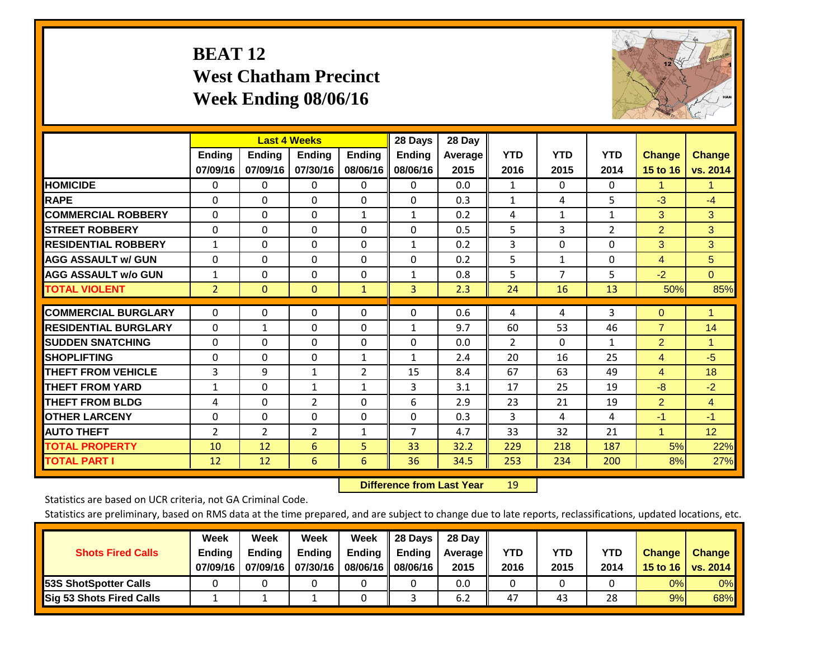## **BEAT 12 West Chatham Precinct Week Ending 08/06/16**



|                             |                | <b>Last 4 Weeks</b> |                |               | 28 Days        | 28 Day  |                |              |                |                |                |
|-----------------------------|----------------|---------------------|----------------|---------------|----------------|---------|----------------|--------------|----------------|----------------|----------------|
|                             | <b>Ending</b>  | <b>Ending</b>       | <b>Endina</b>  | <b>Ending</b> | <b>Ending</b>  | Average | <b>YTD</b>     | <b>YTD</b>   | <b>YTD</b>     | <b>Change</b>  | <b>Change</b>  |
|                             | 07/09/16       | 07/09/16            | 07/30/16       | 08/06/16      | 08/06/16       | 2015    | 2016           | 2015         | 2014           | 15 to 16       | vs. 2014       |
| <b>HOMICIDE</b>             | 0              | 0                   | $\Omega$       | 0             | $\mathbf{0}$   | 0.0     | 1              | 0            | 0              | 1              | 1.             |
| <b>RAPE</b>                 | 0              | $\Omega$            | $\Omega$       | $\Omega$      | $\Omega$       | 0.3     | 1              | 4            | 5              | $-3$           | $-4$           |
| <b>COMMERCIAL ROBBERY</b>   | $\Omega$       | 0                   | $\Omega$       | 1             | 1              | 0.2     | 4              | $\mathbf{1}$ | $\mathbf{1}$   | 3              | 3              |
| <b>ISTREET ROBBERY</b>      | $\Omega$       | $\Omega$            | $\Omega$       | $\mathbf{0}$  | $\Omega$       | 0.5     | 5              | 3            | $\overline{2}$ | $\overline{2}$ | 3              |
| <b>RESIDENTIAL ROBBERY</b>  | $\mathbf{1}$   | $\Omega$            | $\Omega$       | $\mathbf{0}$  | 1              | 0.2     | 3              | $\Omega$     | 0              | 3              | 3              |
| <b>AGG ASSAULT w/ GUN</b>   | $\Omega$       | $\Omega$            | $\Omega$       | $\mathbf{0}$  | $\Omega$       | 0.2     | 5              | 1            | 0              | 4              | 5              |
| <b>AGG ASSAULT w/o GUN</b>  | $\mathbf{1}$   | 0                   | $\Omega$       | 0             | 1              | 0.8     | 5              | 7            | 5              | $-2$           | $\mathbf{0}$   |
| <b>TOTAL VIOLENT</b>        | $\overline{2}$ | $\Omega$            | $\mathbf{0}$   | $\mathbf{1}$  | 3              | 2.3     | 24             | 16           | 13             | 50%            | 85%            |
| <b>COMMERCIAL BURGLARY</b>  | $\Omega$       | $\Omega$            |                |               | $\Omega$       | 0.6     |                |              | 3              |                | 1              |
|                             |                |                     | $\mathbf{0}$   | 0             |                |         | 4              | 4            |                | $\mathbf{0}$   |                |
| <b>RESIDENTIAL BURGLARY</b> | $\Omega$       | 1                   | $\mathbf{0}$   | $\mathbf{0}$  | 1              | 9.7     | 60             | 53           | 46             | $\overline{7}$ | 14             |
| <b>SUDDEN SNATCHING</b>     | 0              | 0                   | $\mathbf{0}$   | $\mathbf{0}$  | $\Omega$       | 0.0     | $\overline{2}$ | $\Omega$     | 1              | 2              | 1              |
| <b>SHOPLIFTING</b>          | $\Omega$       | $\Omega$            | $\Omega$       | 1             | $\mathbf{1}$   | 2.4     | 20             | 16           | 25             | 4              | $-5$           |
| <b>THEFT FROM VEHICLE</b>   | 3              | 9                   | $\mathbf{1}$   | 2             | 15             | 8.4     | 67             | 63           | 49             | 4              | 18             |
| <b>THEFT FROM YARD</b>      | 1              | $\Omega$            | 1              | $\mathbf{1}$  | 3              | 3.1     | 17             | 25           | 19             | -8             | $-2$           |
| <b>THEFT FROM BLDG</b>      | 4              | $\Omega$            | $\overline{2}$ | $\mathbf{0}$  | 6              | 2.9     | 23             | 21           | 19             | $\overline{2}$ | $\overline{4}$ |
| <b>OTHER LARCENY</b>        | $\Omega$       | 0                   | $\Omega$       | $\Omega$      | 0              | 0.3     | 3              | 4            | 4              | $-1$           | $-1$           |
| <b>AUTO THEFT</b>           | 2              | $\overline{2}$      | $\overline{2}$ | 1             | $\overline{7}$ | 4.7     | 33             | 32           | 21             | 1              | 12             |
| <b>TOTAL PROPERTY</b>       | 10             | 12                  | 6              | 5             | 33             | 32.2    | 229            | 218          | 187            | 5%             | 22%            |
| <b>TOTAL PART I</b>         | 12             | 12                  | 6              | 6             | 36             | 34.5    | 253            | 234          | 200            | 8%             | 27%            |

 **Difference from Last Year**r 19

Statistics are based on UCR criteria, not GA Criminal Code.

| <b>Shots Fired Calls</b>        | Week<br><b>Ending</b><br>07/09/16 | Week<br><b>Endina</b><br>07/09/16 | <b>Week</b><br>Ending<br>07/30/16 | Week<br>Ending<br>08/06/16 | 28 Days<br><b>Ending</b><br>08/06/16 | 28 Day<br>Average II<br>2015 | YTD<br>2016 | YTD<br>2015 | <b>YTD</b><br>2014 | <b>Change</b><br>15 to 16 $\vert$ | <b>Change</b><br>vs. 2014 |
|---------------------------------|-----------------------------------|-----------------------------------|-----------------------------------|----------------------------|--------------------------------------|------------------------------|-------------|-------------|--------------------|-----------------------------------|---------------------------|
| <b>153S ShotSpotter Calls</b>   |                                   |                                   |                                   |                            |                                      | 0.0                          |             |             |                    | 0%                                | 0%                        |
| <b>Sig 53 Shots Fired Calls</b> |                                   |                                   |                                   |                            |                                      | 6.2                          | 47          | 43          | 28                 | 9%                                | 68%                       |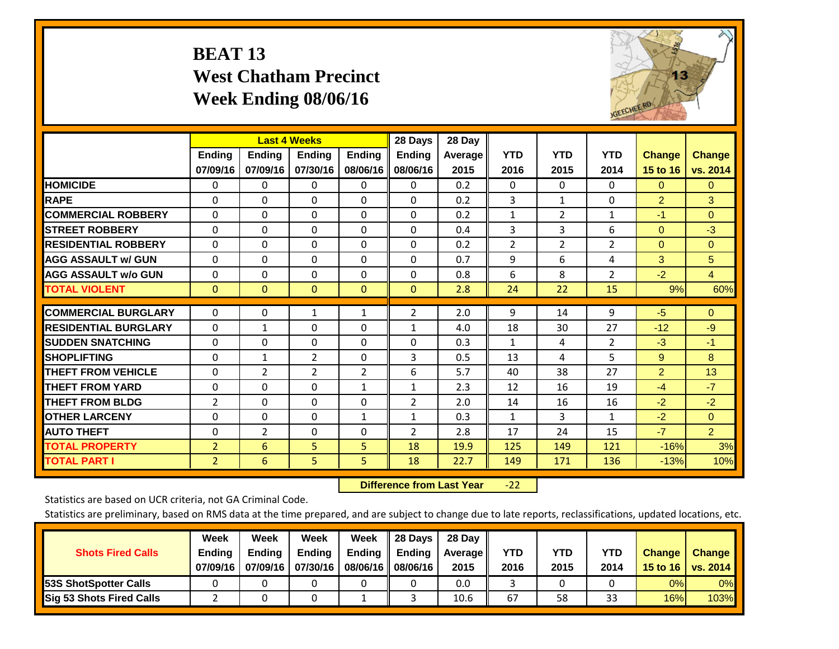## **BEAT 13 West Chatham Precinct Week Ending 08/06/16**



|                             |                           | <b>Last 4 Weeks</b>       |                           |                           | 28 Days                   | 28 Day            |                    |                    |                    |                           |                           |
|-----------------------------|---------------------------|---------------------------|---------------------------|---------------------------|---------------------------|-------------------|--------------------|--------------------|--------------------|---------------------------|---------------------------|
|                             | <b>Ending</b><br>07/09/16 | <b>Ending</b><br>07/09/16 | <b>Endina</b><br>07/30/16 | <b>Endina</b><br>08/06/16 | <b>Endina</b><br>08/06/16 | Average  <br>2015 | <b>YTD</b><br>2016 | <b>YTD</b><br>2015 | <b>YTD</b><br>2014 | <b>Change</b><br>15 to 16 | <b>Change</b><br>vs. 2014 |
| <b>HOMICIDE</b>             | 0                         | 0                         | $\Omega$                  | 0                         | 0                         | 0.2               | $\Omega$           | 0                  | 0                  | $\Omega$                  | $\mathbf{0}$              |
| <b>RAPE</b>                 | $\Omega$                  | $\Omega$                  | $\Omega$                  | $\Omega$                  | $\Omega$                  | 0.2               | $\overline{3}$     | $\mathbf{1}$       | 0                  | $\overline{2}$            | 3                         |
| <b>COMMERCIAL ROBBERY</b>   | $\Omega$                  | $\Omega$                  | $\Omega$                  | $\Omega$                  | $\Omega$                  | 0.2               | $\mathbf{1}$       | $\overline{2}$     | $\mathbf{1}$       | $-1$                      | $\Omega$                  |
| <b>STREET ROBBERY</b>       | $\Omega$                  | $\Omega$                  | $\Omega$                  | $\Omega$                  | $\Omega$                  | 0.4               | 3                  | 3                  | 6                  | $\Omega$                  | $-3$                      |
| <b>RESIDENTIAL ROBBERY</b>  | $\Omega$                  | $\Omega$                  | $\mathbf{0}$              | $\Omega$                  | 0                         | 0.2               | 2                  | $\overline{2}$     | $\overline{2}$     | $\Omega$                  | $\overline{0}$            |
| <b>AGG ASSAULT w/ GUN</b>   | $\Omega$                  | $\Omega$                  | $\mathbf{0}$              | $\Omega$                  | 0                         | 0.7               | 9                  | 6                  | 4                  | 3                         | 5                         |
| <b>AGG ASSAULT w/o GUN</b>  | $\Omega$                  | $\Omega$                  | $\Omega$                  | $\Omega$                  | $\Omega$                  | 0.8               | 6                  | 8                  | $\overline{2}$     | $-2$                      | $\overline{4}$            |
| <b>TOTAL VIOLENT</b>        | $\Omega$                  | $\Omega$                  | $\mathbf{0}$              | $\mathbf{0}$              | $\mathbf{0}$              | 2.8               | 24                 | 22                 | 15                 | 9%                        | 60%                       |
| <b>COMMERCIAL BURGLARY</b>  | $\Omega$                  | $\Omega$                  | 1                         | 1                         | $\overline{2}$            | 2.0               | 9                  | 14                 | 9                  | $-5$                      | $\overline{0}$            |
| <b>RESIDENTIAL BURGLARY</b> | $\Omega$                  | 1                         | $\mathbf{0}$              | 0                         | 1                         | 4.0               | 18                 | 30                 | 27                 | $-12$                     | $-9$                      |
| <b>ISUDDEN SNATCHING</b>    | $\Omega$                  | $\Omega$                  | $\Omega$                  | $\Omega$                  | $\Omega$                  | 0.3               | $\mathbf{1}$       | 4                  | $\overline{2}$     | $-3$                      | $-1$                      |
| <b>SHOPLIFTING</b>          | $\Omega$                  | 1                         | 2                         | 0                         | 3                         | 0.5               | 13                 | 4                  | 5                  | 9                         | 8                         |
| <b>THEFT FROM VEHICLE</b>   | $\Omega$                  | $\overline{2}$            | $\overline{2}$            | 2                         | 6                         | 5.7               | 40                 | 38                 | 27                 | $\overline{2}$            | 13                        |
| <b>THEFT FROM YARD</b>      | $\Omega$                  | $\Omega$                  | $\Omega$                  | $\mathbf{1}$              | $\mathbf{1}$              | 2.3               | 12                 | 16                 | 19                 | $-4$                      | $-7$                      |
| <b>THEFT FROM BLDG</b>      | 2                         | $\Omega$                  | $\Omega$                  | $\Omega$                  | $\overline{2}$            | 2.0               | 14                 | 16                 | 16                 | $-2$                      | $-2$                      |
| <b>OTHER LARCENY</b>        | $\Omega$                  | $\Omega$                  | $\Omega$                  | 1                         | $\mathbf{1}$              | 0.3               | $\mathbf{1}$       | 3                  | $\mathbf{1}$       | $-2$                      | $\Omega$                  |
| <b>AUTO THEFT</b>           | $\Omega$                  | $\overline{2}$            | $\mathbf{0}$              | $\Omega$                  | $\overline{2}$            | 2.8               | 17                 | 24                 | 15                 | $-7$                      | $\overline{2}$            |
| <b>TOTAL PROPERTY</b>       | $\overline{2}$            | 6                         | 5                         | 5                         | 18                        | 19.9              | 125                | 149                | 121                | $-16%$                    | 3%                        |
| <b>TOTAL PART I</b>         | $\overline{2}$            | 6                         | 5.                        | 5                         | 18                        | 22.7              | 149                | 171                | 136                | $-13%$                    | 10%                       |

 **Difference from Last Year**‐22

Statistics are based on UCR criteria, not GA Criminal Code.

| <b>Shots Fired Calls</b>        | Week<br><b>Ending</b><br>07/09/16 | Week<br><b>Endina</b><br>07/09/16 | <b>Week</b><br>Ending<br>07/30/16 | Week<br>Ending<br>08/06/16 | 28 Days<br><b>Ending</b><br>08/06/16 | 28 Day<br>Average II<br>2015 | YTD<br>2016 | YTD<br>2015 | YTD<br>2014 | <b>Change</b><br>15 to 16 $\vert$ | <b>Change</b><br>vs. 2014 |
|---------------------------------|-----------------------------------|-----------------------------------|-----------------------------------|----------------------------|--------------------------------------|------------------------------|-------------|-------------|-------------|-----------------------------------|---------------------------|
| <b>153S ShotSpotter Calls</b>   |                                   |                                   |                                   |                            |                                      | 0.0                          |             |             |             | 0%                                | 0%                        |
| <b>Sig 53 Shots Fired Calls</b> |                                   |                                   |                                   |                            |                                      | 10.6                         | 67          | 58          | 33          | 16%                               | 103%                      |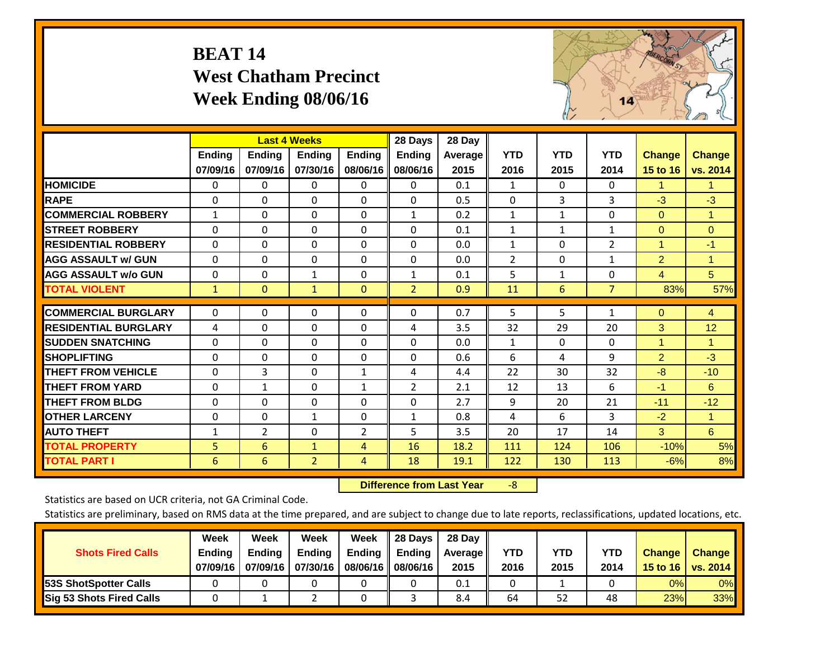## **BEAT 14 West Chatham Precinct Week Ending 08/06/16**



|                             |               | <b>Last 4 Weeks</b> |                |                | 28 Days        | 28 Day         |                |              |                |                      |                |
|-----------------------------|---------------|---------------------|----------------|----------------|----------------|----------------|----------------|--------------|----------------|----------------------|----------------|
|                             | <b>Ending</b> | <b>Ending</b>       | Ending         | Ending         | Ending         | <b>Average</b> | <b>YTD</b>     | <b>YTD</b>   | <b>YTD</b>     | <b>Change</b>        | <b>Change</b>  |
|                             | 07/09/16      | 07/09/16            | 07/30/16       | 08/06/16       | 08/06/16       | 2015           | 2016           | 2015         | 2014           | 15 to 16             | vs. 2014       |
| <b>HOMICIDE</b>             | 0             | 0                   | $\Omega$       | 0              | 0              | 0.1            | $\mathbf{1}$   | 0            | 0              | 1                    | 1.             |
| <b>RAPE</b>                 | $\Omega$      | $\Omega$            | $\Omega$       | $\Omega$       | $\Omega$       | 0.5            | $\Omega$       | 3            | 3              | $-3$                 | $-3$           |
| <b>COMMERCIAL ROBBERY</b>   | 1             | 0                   | $\Omega$       | 0              | 1              | 0.2            | 1              | 1            | $\Omega$       | $\Omega$             | $\mathbf{1}$   |
| <b>STREET ROBBERY</b>       | $\Omega$      | $\Omega$            | $\Omega$       | $\Omega$       | $\Omega$       | 0.1            | $\mathbf{1}$   | $\mathbf{1}$ | $\mathbf{1}$   | $\Omega$             | $\overline{0}$ |
| <b>RESIDENTIAL ROBBERY</b>  | $\Omega$      | $\Omega$            | $\Omega$       | $\Omega$       | $\Omega$       | 0.0            | $\mathbf{1}$   | $\Omega$     | $\overline{2}$ | $\blacktriangleleft$ | $-1$           |
| <b>AGG ASSAULT w/ GUN</b>   | $\Omega$      | $\Omega$            | $\mathbf{0}$   | $\Omega$       | $\Omega$       | 0.0            | $\overline{2}$ | $\Omega$     | $\mathbf{1}$   | $\overline{2}$       | $\mathbf{1}$   |
| <b>AGG ASSAULT w/o GUN</b>  | 0             | 0                   | 1              | 0              | $\mathbf{1}$   | 0.1            | 5              | $\mathbf{1}$ | 0              | $\overline{4}$       | 5              |
| <b>TOTAL VIOLENT</b>        | $\mathbf{1}$  | $\overline{0}$      | $\mathbf{1}$   | $\mathbf{0}$   | $\overline{2}$ | 0.9            | 11             | 6            | $\overline{7}$ | 83%                  | 57%            |
|                             |               |                     |                |                |                |                |                |              |                |                      |                |
| <b>COMMERCIAL BURGLARY</b>  | $\Omega$      | $\Omega$            | $\Omega$       | $\Omega$       | $\Omega$       | 0.7            | 5              | 5            | 1              | $\mathbf{0}$         | 4              |
| <b>RESIDENTIAL BURGLARY</b> | 4             | 0                   | $\mathbf{0}$   | 0              | 4              | 3.5            | 32             | 29           | 20             | 3                    | 12             |
| <b>ISUDDEN SNATCHING</b>    | $\Omega$      | 0                   | $\mathbf{0}$   | 0              | 0              | 0.0            | $\mathbf{1}$   | 0            | 0              | 1                    | 1              |
| <b>SHOPLIFTING</b>          | $\Omega$      | 0                   | $\Omega$       | 0              | $\Omega$       | 0.6            | 6              | 4            | 9              | 2                    | $-3$           |
| <b>THEFT FROM VEHICLE</b>   | $\Omega$      | 3                   | $\Omega$       | 1              | 4              | 4.4            | 22             | 30           | 32             | -8                   | $-10$          |
| <b>THEFT FROM YARD</b>      | 0             | 1                   | 0              | 1              | $\overline{2}$ | 2.1            | 12             | 13           | 6              | $-1$                 | 6              |
| <b>THEFT FROM BLDG</b>      | $\Omega$      | $\Omega$            | $\Omega$       | $\Omega$       | $\Omega$       | 2.7            | 9              | 20           | 21             | $-11$                | $-12$          |
| <b>OTHER LARCENY</b>        | 0             | 0                   | $\mathbf{1}$   | 0              | 1              | 0.8            | 4              | 6            | 3              | $-2$                 | $\mathbf{1}$   |
| <b>AUTO THEFT</b>           | $\mathbf{1}$  | $\overline{2}$      | 0              | $\overline{2}$ | 5              | 3.5            | 20             | 17           | 14             | 3                    | 6              |
| <b>TOTAL PROPERTY</b>       | 5             | 6                   | $\mathbf{1}$   | 4              | 16             | 18.2           | 111            | 124          | 106            | $-10%$               | 5%             |
| <b>TOTAL PART I</b>         | 6             | 6                   | $\overline{2}$ | 4              | 18             | 19.1           | 122            | 130          | 113            | $-6%$                | 8%             |

 **Difference from Last Year**‐8

Statistics are based on UCR criteria, not GA Criminal Code.

| <b>Shots Fired Calls</b>        | Week<br><b>Ending</b><br>07/09/16 | Week<br><b>Endina</b><br>07/09/16 | <b>Week</b><br>Ending<br>07/30/16 | Week<br>Ending<br>08/06/16 | 28 Days<br><b>Ending</b><br>08/06/16 | 28 Day<br>Average II<br>2015 | YTD<br>2016 | YTD<br>2015 | <b>YTD</b><br>2014 | <b>Change</b><br>15 to 16 $\vert$ | <b>Change</b><br>vs. 2014 |
|---------------------------------|-----------------------------------|-----------------------------------|-----------------------------------|----------------------------|--------------------------------------|------------------------------|-------------|-------------|--------------------|-----------------------------------|---------------------------|
| <b>153S ShotSpotter Calls</b>   |                                   |                                   |                                   |                            |                                      | 0.1                          |             |             |                    | 0%                                | 0%                        |
| <b>Sig 53 Shots Fired Calls</b> |                                   |                                   |                                   |                            |                                      | 8.4                          | 64          | 52          | 48                 | 23%                               | 33%                       |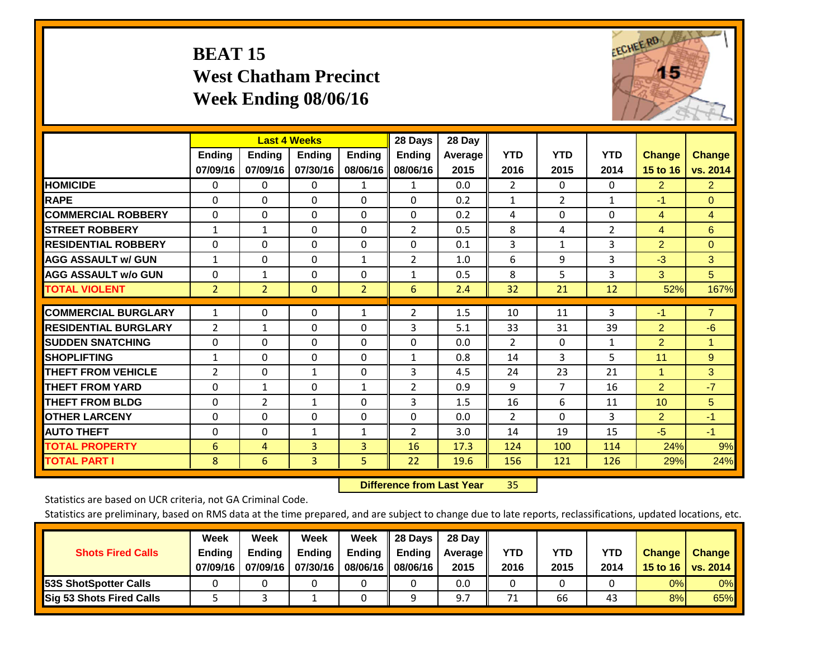# **BEAT 15 West Chatham Precinct Week Ending 08/06/16**



|                             |                | <b>Last 4 Weeks</b> |               |                | 28 Days        | 28 Day  |                |                |                |                      |                |
|-----------------------------|----------------|---------------------|---------------|----------------|----------------|---------|----------------|----------------|----------------|----------------------|----------------|
|                             | <b>Ending</b>  | <b>Ending</b>       | <b>Endina</b> | <b>Endina</b>  | <b>Endina</b>  | Average | <b>YTD</b>     | <b>YTD</b>     | <b>YTD</b>     | <b>Change</b>        | <b>Change</b>  |
|                             | 07/09/16       | 07/09/16            | 07/30/16      | 08/06/16       | 08/06/16       | 2015    | 2016           | 2015           | 2014           | 15 to 16             | vs. 2014       |
| <b>HOMICIDE</b>             | 0              | 0                   | $\Omega$      | 1              | 1              | 0.0     | $\overline{2}$ | $\Omega$       | 0              | $\overline{2}$       | 2 <sup>1</sup> |
| <b>RAPE</b>                 | 0              | $\Omega$            | $\Omega$      | $\Omega$       | $\Omega$       | 0.2     | $\mathbf{1}$   | $\overline{2}$ | $\mathbf{1}$   | $-1$                 | $\Omega$       |
| <b>COMMERCIAL ROBBERY</b>   | $\Omega$       | $\Omega$            | $\Omega$      | 0              | $\Omega$       | 0.2     | 4              | $\Omega$       | 0              | $\overline{4}$       | $\overline{4}$ |
| <b>STREET ROBBERY</b>       | $\mathbf{1}$   | $\mathbf{1}$        | $\Omega$      | $\Omega$       | $\overline{2}$ | 0.5     | 8              | 4              | $\overline{2}$ | $\overline{4}$       | 6              |
| <b>RESIDENTIAL ROBBERY</b>  | 0              | $\Omega$            | $\Omega$      | $\mathbf{0}$   | $\Omega$       | 0.1     | 3              | $\mathbf{1}$   | 3              | $\overline{2}$       | $\Omega$       |
| <b>AGG ASSAULT w/ GUN</b>   | $\mathbf{1}$   | $\Omega$            | $\Omega$      | 1              | $\overline{2}$ | 1.0     | 6              | 9              | 3              | $-3$                 | 3              |
| <b>AGG ASSAULT w/o GUN</b>  | $\Omega$       | $\mathbf{1}$        | $\Omega$      | 0              | 1              | 0.5     | 8              | 5              | 3              | 3                    | 5              |
| <b>TOTAL VIOLENT</b>        | $\overline{2}$ | $\overline{2}$      | $\mathbf{0}$  | $\overline{2}$ | 6              | 2.4     | 32             | 21             | 12             | 52%                  | 167%           |
|                             |                |                     |               |                |                |         |                |                |                |                      |                |
| <b>COMMERCIAL BURGLARY</b>  | $\mathbf{1}$   | 0                   | $\mathbf{0}$  | 1              | 2              | 1.5     | 10             | 11             | 3              | $-1$                 | $\overline{7}$ |
| <b>RESIDENTIAL BURGLARY</b> | 2              | 1                   | $\mathbf{0}$  | $\mathbf{0}$   | 3              | 5.1     | 33             | 31             | 39             | 2                    | -6             |
| <b>SUDDEN SNATCHING</b>     | $\Omega$       | $\Omega$            | $\Omega$      | $\Omega$       | $\Omega$       | 0.0     | $\overline{2}$ | 0              | 1              | $\overline{2}$       | 1              |
| <b>SHOPLIFTING</b>          | 1              | 0                   | $\Omega$      | $\Omega$       | $\mathbf{1}$   | 0.8     | 14             | 3              | 5              | 11                   | $9^{\circ}$    |
| <b>THEFT FROM VEHICLE</b>   | 2              | 0                   | $\mathbf{1}$  | $\mathbf{0}$   | 3              | 4.5     | 24             | 23             | 21             | $\blacktriangleleft$ | 3              |
| <b>THEFT FROM YARD</b>      | $\Omega$       | $\mathbf{1}$        | $\mathbf{0}$  | 1              | 2              | 0.9     | 9              | 7              | 16             | 2                    | $-7$           |
| <b>THEFT FROM BLDG</b>      | $\Omega$       | 2                   | 1             | $\mathbf{0}$   | 3              | 1.5     | 16             | 6              | 11             | 10                   | 5              |
| <b>IOTHER LARCENY</b>       | 0              | 0                   | $\mathbf{0}$  | $\Omega$       | 0              | 0.0     | $\overline{2}$ | $\Omega$       | 3              | $\overline{2}$       | $-1$           |
| <b>AUTO THEFT</b>           | 0              | 0                   | 1             | 1              | 2              | 3.0     | 14             | 19             | 15             | $-5$                 | $-1$           |
| <b>TOTAL PROPERTY</b>       | 6              | 4                   | 3             | 3              | 16             | 17.3    | 124            | 100            | 114            | 24%                  | 9%             |
| <b>TOTAL PART I</b>         | 8              | 6                   | 3             | 5              | 22             | 19.6    | 156            | 121            | 126            | 29%                  | 24%            |

 **Difference from Last Year**r 35

Statistics are based on UCR criteria, not GA Criminal Code.

| <b>Shots Fired Calls</b>        | Week<br><b>Ending</b><br>07/09/16 | Week<br><b>Endina</b><br>07/09/16 | <b>Week</b><br>Ending<br>07/30/16 | Week<br>Ending<br>08/06/16 | 28 Days<br><b>Ending</b><br>08/06/16 | 28 Day<br>Average II<br>2015 | YTD<br>2016 | YTD<br>2015 | <b>YTD</b><br>2014 | <b>Change</b><br>15 to 16 $\vert$ | <b>Change</b><br>vs. 2014 |
|---------------------------------|-----------------------------------|-----------------------------------|-----------------------------------|----------------------------|--------------------------------------|------------------------------|-------------|-------------|--------------------|-----------------------------------|---------------------------|
| <b>153S ShotSpotter Calls</b>   |                                   |                                   |                                   |                            |                                      | 0.0                          |             |             |                    | 0%                                | 0%                        |
| <b>Sig 53 Shots Fired Calls</b> |                                   |                                   |                                   |                            |                                      | 97                           | 71          | 66          | 43                 | 8%                                | 65%                       |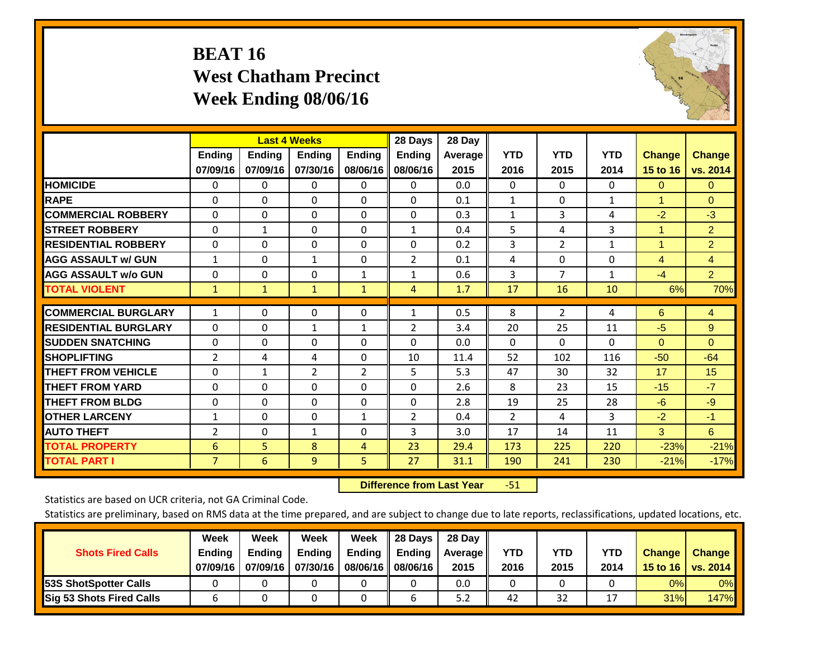## **BEAT 16 West Chatham Precinct Week Ending 08/06/16**



|                             |                           | <b>Last 4 Weeks</b>       |                           |                           | 28 Days                   | 28 Day            |                    |                    |                    |                           |                           |
|-----------------------------|---------------------------|---------------------------|---------------------------|---------------------------|---------------------------|-------------------|--------------------|--------------------|--------------------|---------------------------|---------------------------|
|                             | <b>Ending</b><br>07/09/16 | <b>Ending</b><br>07/09/16 | <b>Endina</b><br>07/30/16 | <b>Endina</b><br>08/06/16 | <b>Endina</b><br>08/06/16 | Average  <br>2015 | <b>YTD</b><br>2016 | <b>YTD</b><br>2015 | <b>YTD</b><br>2014 | <b>Change</b><br>15 to 16 | <b>Change</b><br>vs. 2014 |
| <b>HOMICIDE</b>             | 0                         | 0                         | $\Omega$                  | 0                         | 0                         | 0.0               | 0                  | $\Omega$           | 0                  | $\mathbf{0}$              | $\Omega$                  |
| <b>RAPE</b>                 | 0                         | $\Omega$                  | $\Omega$                  | $\Omega$                  | $\Omega$                  | 0.1               | $\mathbf{1}$       | $\Omega$           | $\mathbf{1}$       | 1                         | $\Omega$                  |
| <b>COMMERCIAL ROBBERY</b>   | $\Omega$                  | $\Omega$                  | $\Omega$                  | 0                         | $\Omega$                  | 0.3               | $\mathbf{1}$       | 3                  | 4                  | $-2$                      | $-3$                      |
| <b>STREET ROBBERY</b>       | $\Omega$                  | $\mathbf{1}$              | $\Omega$                  | $\Omega$                  | $\mathbf{1}$              | 0.4               | 5                  | 4                  | 3                  | $\overline{1}$            | $\overline{2}$            |
| <b>RESIDENTIAL ROBBERY</b>  | 0                         | $\Omega$                  | $\mathbf{0}$              | $\mathbf{0}$              | $\Omega$                  | 0.2               | 3                  | $\overline{2}$     | $\mathbf{1}$       | 1                         | $\overline{2}$            |
| <b>AGG ASSAULT w/ GUN</b>   | $\mathbf{1}$              | $\Omega$                  | $\mathbf{1}$              | $\Omega$                  | $\overline{2}$            | 0.1               | 4                  | 0                  | 0                  | $\overline{4}$            | $\overline{4}$            |
| <b>AGG ASSAULT w/o GUN</b>  | $\Omega$                  | 0                         | $\Omega$                  | 1                         | 1                         | 0.6               | 3                  | 7                  | $\mathbf{1}$       | $-4$                      | $\overline{2}$            |
| <b>TOTAL VIOLENT</b>        | $\mathbf{1}$              | $\mathbf{1}$              | $\mathbf{1}$              | $\mathbf{1}$              | 4                         | 1.7               | 17                 | 16                 | 10                 | 6%                        | 70%                       |
| <b>COMMERCIAL BURGLARY</b>  | $\mathbf{1}$              | 0                         | $\mathbf{0}$              | $\mathbf{0}$              | $\mathbf{1}$              | 0.5               | 8                  | $\overline{2}$     | 4                  | 6                         | 4                         |
| <b>RESIDENTIAL BURGLARY</b> | $\Omega$                  | $\Omega$                  | $\mathbf{1}$              | 1                         | 2                         | 3.4               | 20                 | 25                 | 11                 | -5                        | 9                         |
| <b>SUDDEN SNATCHING</b>     | 0                         | $\Omega$                  | $\Omega$                  | $\Omega$                  | $\Omega$                  | 0.0               | $\Omega$           | 0                  | 0                  | $\Omega$                  | $\Omega$                  |
| <b>SHOPLIFTING</b>          | 2                         | 4                         | 4                         | $\Omega$                  | 10                        | 11.4              | 52                 | 102                | 116                | $-50$                     | $-64$                     |
| <b>THEFT FROM VEHICLE</b>   | $\Omega$                  | $\mathbf{1}$              | $\overline{2}$            | 2                         | 5.                        | 5.3               | 47                 | 30                 | 32                 | 17                        | 15                        |
| <b>THEFT FROM YARD</b>      | $\Omega$                  | 0                         | $\mathbf{0}$              | $\Omega$                  | $\Omega$                  | 2.6               | 8                  | 23                 | 15                 | $-15$                     | $-7$                      |
| <b>THEFT FROM BLDG</b>      | 0                         | 0                         | $\Omega$                  | $\mathbf{0}$              | $\Omega$                  | 2.8               | 19                 | 25                 | 28                 | -6                        | $-9$                      |
| <b>IOTHER LARCENY</b>       | 1                         | 0                         | $\mathbf{0}$              | 1                         | $\overline{2}$            | 0.4               | 2                  | 4                  | 3                  | $-2$                      | $-1$                      |
| <b>AUTO THEFT</b>           | 2                         | 0                         | 1                         | 0                         | 3                         | 3.0               | 17                 | 14                 | 11                 | 3                         | 6                         |
| <b>TOTAL PROPERTY</b>       | 6                         | 5 <sup>5</sup>            | 8                         | 4                         | 23                        | 29.4              | 173                | 225                | 220                | $-23%$                    | $-21%$                    |
| <b>TOTAL PART I</b>         | $\overline{7}$            | 6                         | 9                         | 5.                        | 27                        | 31.1              | 190                | 241                | 230                | $-21%$                    | $-17%$                    |

 **Difference from Last Year**r -51

Statistics are based on UCR criteria, not GA Criminal Code.

| <b>Shots Fired Calls</b>        | Week<br><b>Ending</b><br>07/09/16 | Week<br><b>Endina</b><br>07/09/16 | Week<br>Ending<br>07/30/16 | Week<br>Ending<br>08/06/16 | 28 Days<br><b>Ending</b><br>08/06/16 | 28 Day<br>Average II<br>2015 | YTD<br>2016 | YTD<br>2015 | <b>YTD</b><br>2014 | <b>Change</b><br>15 to 16 $\vert$ | <b>Change</b><br>vs. 2014 |
|---------------------------------|-----------------------------------|-----------------------------------|----------------------------|----------------------------|--------------------------------------|------------------------------|-------------|-------------|--------------------|-----------------------------------|---------------------------|
| <b>153S ShotSpotter Calls</b>   |                                   |                                   |                            |                            |                                      | 0.0                          |             |             |                    | 0%                                | 0%                        |
| <b>Sig 53 Shots Fired Calls</b> |                                   |                                   |                            |                            |                                      | 5.2                          | 42          | 32          |                    | 31%                               | <b>147%</b>               |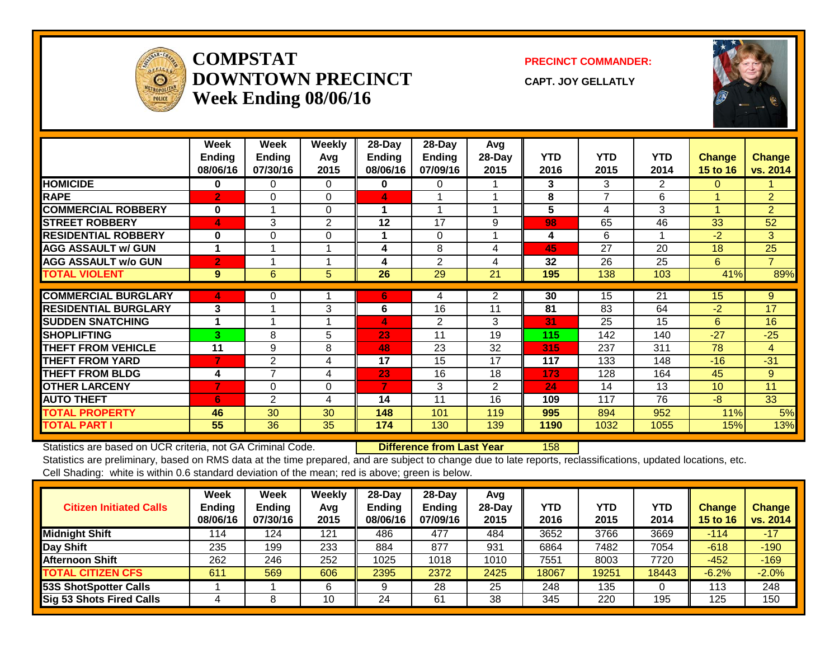

### **COMPSTATDOWNTOWN PRECINCTWeek Ending 08/06/16**

**PRECINCT COMMANDER:**

**CAPT. JOY GELLATLY**



|                             | Week<br>Ending<br>08/06/16 | Week<br><b>Ending</b><br>07/30/16 | Weekly<br>Avg<br>2015 | $28$ -Day<br>Ending<br>08/06/16 | $28$ -Day<br>Ending<br>07/09/16 | Avg<br>$28$ -Day<br>2015 | <b>YTD</b><br>2016 | <b>YTD</b><br>2015 | <b>YTD</b><br>2014 | <b>Change</b><br>15 to 16 | <b>Change</b><br>vs. 2014 |
|-----------------------------|----------------------------|-----------------------------------|-----------------------|---------------------------------|---------------------------------|--------------------------|--------------------|--------------------|--------------------|---------------------------|---------------------------|
| <b>HOMICIDE</b>             | 0                          | $\Omega$                          | 0                     | 0                               | 0                               |                          | 3                  | 3                  | $\overline{2}$     | 0                         |                           |
| <b>RAPE</b>                 | $\overline{2}$             | $\Omega$                          | $\Omega$              | 4                               |                                 |                          | 8                  | 7                  | 6                  |                           | $\overline{2}$            |
| <b>COMMERCIAL ROBBERY</b>   | $\bf{0}$                   |                                   | $\Omega$              | 1                               | -1                              |                          | 5                  | 4                  | 3                  | 1                         | $\overline{2}$            |
| <b>STREET ROBBERY</b>       | 4                          | 3                                 | 2                     | 12                              | 17                              | 9                        | 98                 | 65                 | 46                 | 33                        | 52                        |
| <b>RESIDENTIAL ROBBERY</b>  | $\bf{0}$                   | $\Omega$                          | $\Omega$              |                                 | $\Omega$                        |                          | 4                  | 6                  |                    | $-2$                      | 3                         |
| <b>AGG ASSAULT w/ GUN</b>   | 1                          |                                   |                       | 4                               | 8                               | 4                        | 45                 | 27                 | 20                 | 18                        | 25                        |
| <b>AGG ASSAULT w/o GUN</b>  | $\overline{2}$             |                                   |                       | 4                               | 2                               | 4                        | 32                 | 26                 | 25                 | 6                         | $\overline{7}$            |
| <b>TOTAL VIOLENT</b>        | 9                          | 6                                 | 5                     | 26                              | 29                              | 21                       | 195                | 138                | 103                | 41%                       | 89%                       |
| <b>COMMERCIAL BURGLARY</b>  | 4                          | 0                                 |                       | 6                               | 4                               | 2                        | 30                 | 15                 | 21                 | 15                        | 9                         |
| <b>RESIDENTIAL BURGLARY</b> | 3                          |                                   | 3                     | 6                               | 16                              | 11                       | 81                 | 83                 | 64                 | $-2$                      | 17                        |
| <b>SUDDEN SNATCHING</b>     |                            |                                   |                       | $\blacktriangle$                | 2                               | 3                        | 31                 | 25                 | 15                 | 6                         | 16                        |
| <b>SHOPLIFTING</b>          | 3.                         | 8                                 | 5                     | 23                              | 11                              | 19                       | 115                | 142                | 140                | $-27$                     | $-25$                     |
| <b>THEFT FROM VEHICLE</b>   | 11                         | 9                                 | 8                     | 48                              | 23                              | 32                       | 315                | 237                | 311                | 78                        | 4                         |
| <b>THEFT FROM YARD</b>      | 7                          | $\mathbf{2}$                      | 4                     | 17                              | 15                              | 17                       | 117                | 133                | 148                | $-16$                     | $-31$                     |
| <b>THEFT FROM BLDG</b>      | 4                          | 7                                 | 4                     | 23                              | 16                              | 18                       | 173                | 128                | 164                | 45                        | 9                         |
| <b>OTHER LARCENY</b>        | 7                          | $\mathbf 0$                       | 0                     | 7                               | 3                               | 2                        | 24                 | 14                 | 13                 | 10 <sup>°</sup>           | 11                        |
| <b>AUTO THEFT</b>           | 6                          | 2                                 | 4                     | 14                              | 11                              | 16                       | 109                | 117                | 76                 | $-8$                      | 33                        |
| <b>TOTAL PROPERTY</b>       | 46                         | 30                                | 30                    | 148                             | 101                             | 119                      | 995                | 894                | 952                | 11%                       | 5%                        |
| <b>TOTAL PART I</b>         | 55                         | 36                                | 35                    | 174                             | 130                             | 139                      | 1190               | 1032               | 1055               | 15%                       | 13%                       |

Statistics are based on UCR criteria, not GA Criminal Code. **Difference from Last Year** 158

| <b>Citizen Initiated Calls</b> | Week<br><b>Ending</b><br>08/06/16 | Week<br><b>Ending</b><br>07/30/16 | Weekly<br>Avg<br>2015 | $28$ -Dav<br>Ending<br>08/06/16 | $28$ -Dav<br><b>Ending</b><br>07/09/16 | Avg<br>$28-Dav$<br>2015 | YTD<br>2016 | YTD<br>2015 | YTD<br>2014 | Change<br><b>15 to 16</b> | <b>Change</b><br>vs. 2014 |
|--------------------------------|-----------------------------------|-----------------------------------|-----------------------|---------------------------------|----------------------------------------|-------------------------|-------------|-------------|-------------|---------------------------|---------------------------|
| <b>Midnight Shift</b>          | 114                               | 124                               | 121                   | 486                             | 477                                    | 484                     | 3652        | 3766        | 3669        | $-114$                    | $-17$                     |
| Day Shift                      | 235                               | 199                               | 233                   | 884                             | 877                                    | 931                     | 6864        | 7482        | 7054        | $-618$                    | $-190$                    |
| <b>Afternoon Shift</b>         | 262                               | 246                               | 252                   | 1025                            | 1018                                   | 1010                    | 7551        | 8003        | 7720        | $-452$                    | $-169$                    |
| <b>TOTAL CITIZEN CFS</b>       | 611                               | 569                               | 606                   | 2395                            | 2372                                   | 2425                    | 18067       | 19251       | 18443       | $-6.2%$                   | $-2.0%$                   |
| 53S ShotSpotter Calls          |                                   |                                   | 6                     |                                 | 28                                     | 25                      | 248         | 135         |             | 113                       | 248                       |
| Sig 53 Shots Fired Calls       |                                   |                                   | 10                    | 24                              | 61                                     | 38                      | 345         | 220         | 195         | 125                       | 150                       |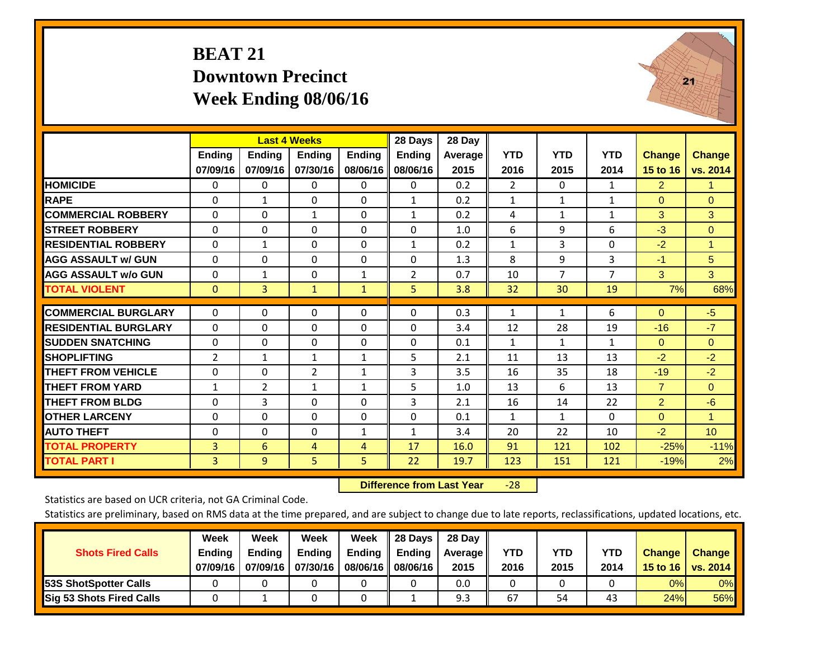## **BEAT 21 Downtown Precinct Week Ending 08/06/16**



|                             |               | <b>Last 4 Weeks</b> |                |               | 28 Days        | 28 Day  |                |              |              |                |                 |
|-----------------------------|---------------|---------------------|----------------|---------------|----------------|---------|----------------|--------------|--------------|----------------|-----------------|
|                             | <b>Ending</b> | <b>Ending</b>       | <b>Ending</b>  | <b>Ending</b> | <b>Ending</b>  | Average | <b>YTD</b>     | <b>YTD</b>   | <b>YTD</b>   | <b>Change</b>  | <b>Change</b>   |
|                             | 07/09/16      | 07/09/16            | 07/30/16       | 08/06/16      | 08/06/16       | 2015    | 2016           | 2015         | 2014         | 15 to 16       | vs. 2014        |
| <b>HOMICIDE</b>             | 0             | 0                   | $\mathbf 0$    | 0             | $\mathbf{0}$   | 0.2     | $\overline{2}$ | $\mathbf{0}$ | 1            | $\overline{2}$ | 1.              |
| <b>RAPE</b>                 | 0             | 1                   | $\mathbf{0}$   | $\Omega$      | 1              | 0.2     | $\mathbf{1}$   | 1            | 1            | $\mathbf{0}$   | $\Omega$        |
| <b>COMMERCIAL ROBBERY</b>   | $\Omega$      | 0                   | $\mathbf{1}$   | $\mathbf{0}$  | 1              | 0.2     | 4              | 1            | 1            | 3              | 3               |
| <b>ISTREET ROBBERY</b>      | $\Omega$      | 0                   | $\Omega$       | $\Omega$      | $\Omega$       | 1.0     | 6              | 9            | 6            | $-3$           | $\Omega$        |
| <b>RESIDENTIAL ROBBERY</b>  | $\Omega$      | 1                   | $\Omega$       | $\Omega$      | $\mathbf{1}$   | 0.2     | $\mathbf{1}$   | 3            | $\Omega$     | $-2$           | $\mathbf{1}$    |
| <b>AGG ASSAULT w/ GUN</b>   | $\Omega$      | $\Omega$            | $\Omega$       | $\mathbf 0$   | $\Omega$       | 1.3     | 8              | 9            | 3            | $-1$           | 5 <sup>5</sup>  |
| <b>AGG ASSAULT w/o GUN</b>  | $\Omega$      | $\mathbf{1}$        | $\mathbf{0}$   | $\mathbf{1}$  | $\overline{2}$ | 0.7     | 10             | 7            | 7            | 3              | 3               |
| <b>TOTAL VIOLENT</b>        | $\mathbf{0}$  | 3                   | $\mathbf{1}$   | $\mathbf{1}$  | 5.             | 3.8     | 32             | 30           | 19           | 7%             | 68%             |
| <b>COMMERCIAL BURGLARY</b>  | $\Omega$      | $\Omega$            | 0              | 0             | $\Omega$       | 0.3     | 1              | $\mathbf{1}$ | 6            | $\mathbf{0}$   | $-5$            |
| <b>RESIDENTIAL BURGLARY</b> | $\Omega$      | $\Omega$            | $\Omega$       | $\Omega$      | $\Omega$       | 3.4     | 12             | 28           | 19           | $-16$          | $-7$            |
| <b>ISUDDEN SNATCHING</b>    | $\Omega$      | $\Omega$            | $\Omega$       | $\Omega$      | $\Omega$       | 0.1     | $\mathbf{1}$   | $\mathbf{1}$ | $\mathbf{1}$ | $\mathbf{0}$   | $\Omega$        |
| <b>SHOPLIFTING</b>          | 2             | 1                   | $\mathbf{1}$   | 1             | 5              | 2.1     | 11             | 13           | 13           | $-2$           | $-2$            |
| <b>THEFT FROM VEHICLE</b>   | $\Omega$      | $\Omega$            | $\overline{2}$ | 1             | 3              | 3.5     | 16             | 35           | 18           | $-19$          | $-2$            |
| <b>THEFT FROM YARD</b>      | $\mathbf{1}$  | $\overline{2}$      | $\mathbf{1}$   | $\mathbf{1}$  | 5              | 1.0     | 13             | 6            | 13           | $\overline{7}$ | $\Omega$        |
| <b>THEFT FROM BLDG</b>      | 0             | 3                   | $\Omega$       | 0             | 3              | 2.1     | 16             | 14           | 22           | $\overline{2}$ | $-6$            |
| <b>OTHER LARCENY</b>        | $\Omega$      | $\Omega$            | $\Omega$       | $\mathbf{0}$  | $\Omega$       | 0.1     | $\mathbf{1}$   | $\mathbf{1}$ | 0            | $\mathbf{0}$   | 1               |
| <b>AUTO THEFT</b>           | $\Omega$      | $\Omega$            | $\Omega$       | 1             | $\mathbf{1}$   | 3.4     | 20             | 22           | 10           | $-2$           | 10 <sup>°</sup> |
| <b>TOTAL PROPERTY</b>       | 3             | 6                   | 4              | 4             | 17             | 16.0    | 91             | 121          | 102          | $-25%$         | $-11%$          |
| <b>TOTAL PART I</b>         | 3             | 9                   | 5              | 5             | 22             | 19.7    | 123            | 151          | 121          | $-19%$         | 2%              |

 **Difference from Last Year**‐28

Statistics are based on UCR criteria, not GA Criminal Code.

| <b>Shots Fired Calls</b>        | Week<br><b>Ending</b><br>07/09/16 | Week<br><b>Endina</b><br>07/09/16 | <b>Week</b><br>Ending<br>07/30/16 | Week<br>Ending<br>08/06/16 | 28 Days<br><b>Ending</b><br>08/06/16 | 28 Day<br>Average II<br>2015 | YTD<br>2016 | YTD<br>2015 | YTD<br>2014 | <b>Change</b><br>15 to 16 $\vert$ | <b>Change</b><br>vs. 2014 |
|---------------------------------|-----------------------------------|-----------------------------------|-----------------------------------|----------------------------|--------------------------------------|------------------------------|-------------|-------------|-------------|-----------------------------------|---------------------------|
| <b>153S ShotSpotter Calls</b>   |                                   |                                   |                                   |                            |                                      | 0.0                          |             |             |             | 0%                                | 0%                        |
| <b>Sig 53 Shots Fired Calls</b> |                                   |                                   |                                   |                            |                                      | 9.3                          | 67          | 54          | 43          | 24%                               | 56%                       |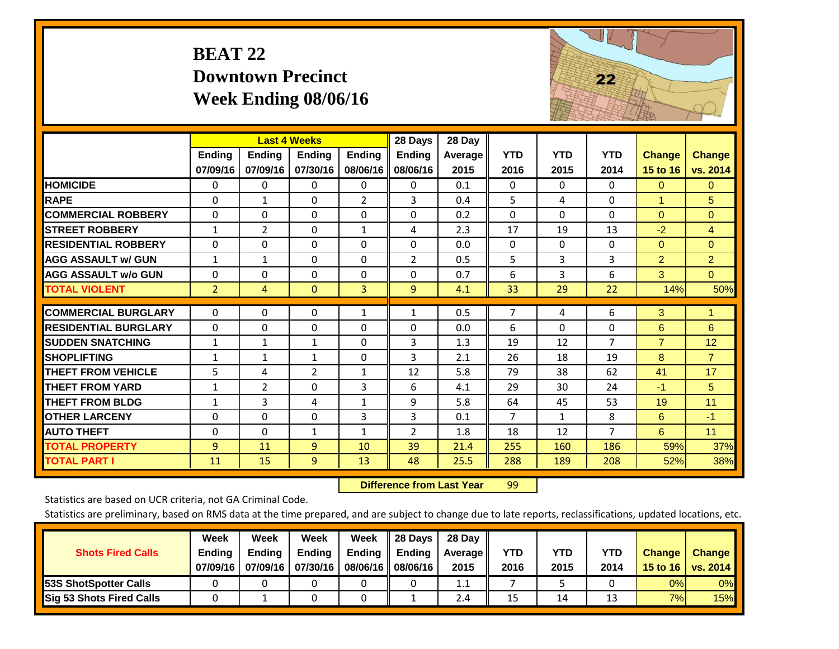## **BEAT 22 Downtown Precinct Week Ending 08/06/16**



|                             |                    |                           | <b>Last 4 Weeks</b>       |                           | 28 Days                   | 28 Day                 |                    |                    |                    |                                  |                           |
|-----------------------------|--------------------|---------------------------|---------------------------|---------------------------|---------------------------|------------------------|--------------------|--------------------|--------------------|----------------------------------|---------------------------|
|                             | Ending<br>07/09/16 | <b>Endina</b><br>07/09/16 | <b>Endina</b><br>07/30/16 | <b>Endina</b><br>08/06/16 | <b>Ending</b><br>08/06/16 | <b>Average</b><br>2015 | <b>YTD</b><br>2016 | <b>YTD</b><br>2015 | <b>YTD</b><br>2014 | <b>Change</b><br><b>15 to 16</b> | <b>Change</b><br>vs. 2014 |
| <b>HOMICIDE</b>             | 0                  | $\Omega$                  | 0                         | 0                         | 0                         | 0.1                    | $\Omega$           | $\Omega$           | $\Omega$           | $\mathbf{0}$                     | $\mathbf{0}$              |
| <b>RAPE</b>                 | $\Omega$           | $\mathbf{1}$              | $\Omega$                  | $\overline{2}$            | 3                         | 0.4                    | 5                  | 4                  | $\Omega$           | 1                                | 5                         |
| <b>COMMERCIAL ROBBERY</b>   | $\Omega$           | $\Omega$                  | $\Omega$                  | $\Omega$                  | $\Omega$                  | 0.2                    | $\Omega$           | $\Omega$           | $\Omega$           | $\Omega$                         | $\Omega$                  |
| <b>STREET ROBBERY</b>       | $\mathbf{1}$       | $\overline{2}$            | $\Omega$                  | $\mathbf{1}$              | 4                         | 2.3                    | 17                 | 19                 | 13                 | $-2$                             | $\overline{4}$            |
| <b>RESIDENTIAL ROBBERY</b>  | $\Omega$           | $\Omega$                  | $\Omega$                  | $\Omega$                  | $\Omega$                  | 0.0                    | $\Omega$           | $\Omega$           | $\Omega$           | $\Omega$                         | $\Omega$                  |
| <b>AGG ASSAULT w/ GUN</b>   | $\mathbf{1}$       | $\mathbf{1}$              | $\Omega$                  | 0                         | 2                         | 0.5                    | 5                  | 3                  | 3                  | $\overline{2}$                   | $\overline{2}$            |
| <b>AGG ASSAULT w/o GUN</b>  | $\Omega$           | $\Omega$                  | $\Omega$                  | $\Omega$                  | $\Omega$                  | 0.7                    | 6                  | 3                  | 6                  | 3                                | $\Omega$                  |
| <b>TOTAL VIOLENT</b>        | $\overline{2}$     | 4                         | $\overline{0}$            | 3                         | 9                         | 4.1                    | 33                 | 29                 | 22                 | 14%                              | 50%                       |
| <b>COMMERCIAL BURGLARY</b>  | 0                  | $\mathbf{0}$              | 0                         | 1                         | $\mathbf{1}$              | 0.5                    | 7                  | 4                  | 6                  | 3                                | 1                         |
| <b>RESIDENTIAL BURGLARY</b> | $\Omega$           | 0                         | $\Omega$                  | 0                         | $\Omega$                  | 0.0                    | 6                  | $\Omega$           | 0                  | 6                                | 6                         |
| <b>ISUDDEN SNATCHING</b>    | $\mathbf{1}$       | 1                         | 1                         | $\Omega$                  | 3                         | 1.3                    | 19                 | 12                 | $\overline{7}$     | $\overline{7}$                   | 12                        |
| <b>SHOPLIFTING</b>          | 1                  | 1                         | $\mathbf{1}$              | 0                         | 3                         | 2.1                    | 26                 | 18                 | 19                 | 8                                | $\overline{7}$            |
| <b>THEFT FROM VEHICLE</b>   | 5                  | 4                         | $\overline{2}$            | $\mathbf{1}$              | 12                        | 5.8                    | 79                 | 38                 | 62                 | 41                               | 17                        |
| <b>THEFT FROM YARD</b>      | $\mathbf{1}$       | $\overline{2}$            | $\Omega$                  | 3                         | 6                         | 4.1                    | 29                 | 30                 | 24                 | $-1$                             | 5                         |
| <b>THEFT FROM BLDG</b>      | $\mathbf{1}$       | 3                         | 4                         | $\mathbf{1}$              | 9                         | 5.8                    | 64                 | 45                 | 53                 | 19                               | 11                        |
| <b>OTHER LARCENY</b>        | $\Omega$           | $\Omega$                  | $\Omega$                  | 3                         | 3                         | 0.1                    | $\overline{7}$     | 1                  | 8                  | 6                                | $-1$                      |
| <b>AUTO THEFT</b>           | 0                  | $\mathbf{0}$              | $\mathbf{1}$              | $\mathbf{1}$              | $\overline{2}$            | 1.8                    | 18                 | 12                 | $\overline{7}$     | 6                                | 11                        |
| <b>TOTAL PROPERTY</b>       | 9                  | 11                        | 9                         | 10                        | 39                        | 21.4                   | 255                | 160                | 186                | 59%                              | 37%                       |
| <b>TOTAL PART I</b>         | 11                 | 15                        | 9                         | 13                        | 48                        | 25.5                   | 288                | 189                | 208                | 52%                              | 38%                       |

 **Difference from Last Year**r 99

Statistics are based on UCR criteria, not GA Criminal Code.

| <b>Shots Fired Calls</b>        | Week<br><b>Ending</b><br>07/09/16 | Week<br><b>Endina</b><br>07/09/16 | Week<br>Ending<br>07/30/16 | Week<br>Ending<br>08/06/16 II | 28 Days<br><b>Ending</b><br>08/06/16 | 28 Day<br>Average II<br>2015 | YTD<br>2016 | YTD<br>2015 | <b>YTD</b><br>2014 | <b>Change</b><br>15 to 16 $\vert$ | <b>Change</b><br>vs. 2014 |
|---------------------------------|-----------------------------------|-----------------------------------|----------------------------|-------------------------------|--------------------------------------|------------------------------|-------------|-------------|--------------------|-----------------------------------|---------------------------|
| <b>153S ShotSpotter Calls</b>   |                                   |                                   |                            |                               |                                      | 1.1                          |             |             |                    | 0%                                | 0%                        |
| <b>Sig 53 Shots Fired Calls</b> |                                   |                                   |                            |                               |                                      | 2.4                          | 15          | 14          | 13                 | 7%                                | <b>15%</b>                |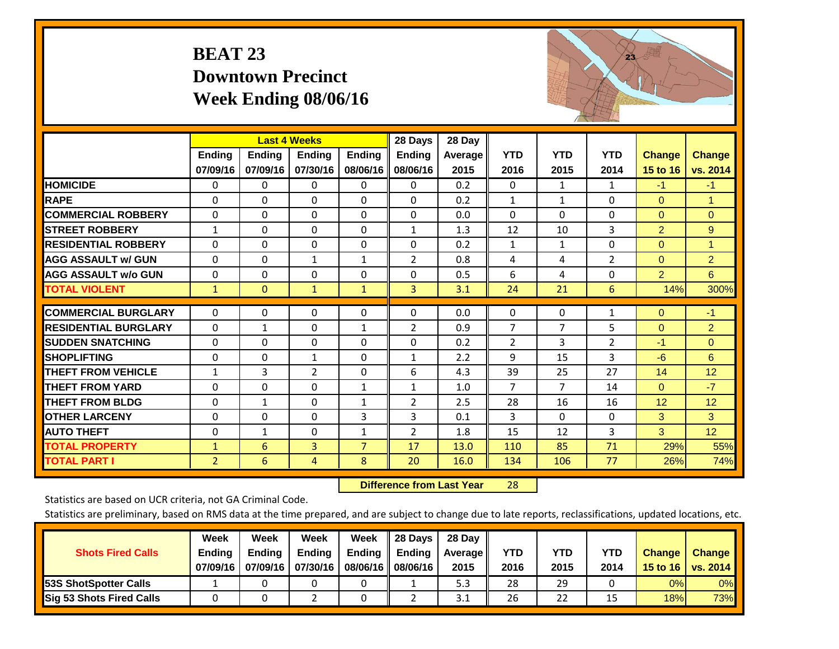## **BEAT 23 Downtown Precinct Week Ending 08/06/16**



|                             |                    | <b>Last 4 Weeks</b>       |                           |                           | 28 Days                   | 28 Day             |                    |                    |                    |                                  |                           |
|-----------------------------|--------------------|---------------------------|---------------------------|---------------------------|---------------------------|--------------------|--------------------|--------------------|--------------------|----------------------------------|---------------------------|
|                             | Ending<br>07/09/16 | <b>Endina</b><br>07/09/16 | <b>Ending</b><br>07/30/16 | <b>Endina</b><br>08/06/16 | <b>Ending</b><br>08/06/16 | Average   <br>2015 | <b>YTD</b><br>2016 | <b>YTD</b><br>2015 | <b>YTD</b><br>2014 | <b>Change</b><br><b>15 to 16</b> | <b>Change</b><br>vs. 2014 |
| <b>HOMICIDE</b>             | $\Omega$           | 0                         | 0                         | 0                         | $\Omega$                  | 0.2                | $\Omega$           | $\mathbf{1}$       | $\mathbf{1}$       | $-1$                             | $-1$                      |
| <b>RAPE</b>                 | 0                  | 0                         | $\Omega$                  | 0                         | 0                         | 0.2                | 1                  | 1                  | 0                  | $\mathbf{0}$                     | 1.                        |
| <b>COMMERCIAL ROBBERY</b>   | $\Omega$           | $\Omega$                  | $\mathbf{0}$              | $\Omega$                  | $\Omega$                  | 0.0                | $\mathbf{0}$       | $\Omega$           | 0                  | $\Omega$                         | $\mathbf{0}$              |
| <b>STREET ROBBERY</b>       | $\mathbf{1}$       | $\Omega$                  | 0                         | 0                         | $\mathbf{1}$              | 1.3                | 12                 | 10                 | 3                  | $\overline{2}$                   | 9                         |
| <b>RESIDENTIAL ROBBERY</b>  | $\Omega$           | $\Omega$                  | $\Omega$                  | 0                         | $\Omega$                  | 0.2                | $\mathbf{1}$       | $\mathbf 1$        | 0                  | $\Omega$                         | 1                         |
| <b>AGG ASSAULT w/ GUN</b>   | $\Omega$           | $\Omega$                  | $\mathbf{1}$              | 1                         | 2                         | 0.8                | 4                  | 4                  | $\overline{2}$     | $\Omega$                         | $\overline{2}$            |
| <b>AGG ASSAULT w/o GUN</b>  | 0                  | $\Omega$                  | $\Omega$                  | 0                         | $\Omega$                  | 0.5                | 6                  | 4                  | 0                  | $\overline{2}$                   | 6                         |
| <b>TOTAL VIOLENT</b>        | 1                  | $\mathbf{0}$              | $\mathbf{1}$              | $\mathbf{1}$              | 3                         | 3.1                | 24                 | 21                 | $6\phantom{.}6$    | 14%                              | 300%                      |
| <b>COMMERCIAL BURGLARY</b>  | $\Omega$           | $\Omega$                  | $\Omega$                  | $\Omega$                  | 0                         | 0.0                | 0                  | $\Omega$           | 1                  | $\mathbf{0}$                     | $-1$                      |
| <b>RESIDENTIAL BURGLARY</b> | $\Omega$           | $\mathbf{1}$              | $\Omega$                  | $\mathbf{1}$              | $\overline{2}$            | 0.9                | $\overline{7}$     | 7                  | 5                  | $\mathbf{0}$                     | $\overline{2}$            |
| <b>SUDDEN SNATCHING</b>     | $\Omega$           | $\Omega$                  | $\Omega$                  | $\Omega$                  | 0                         | 0.2                | $\overline{2}$     | 3                  | $\overline{2}$     | $-1$                             | $\Omega$                  |
| <b>SHOPLIFTING</b>          | 0                  | $\Omega$                  | 1                         | 0                         | $\mathbf{1}$              | 2.2                | 9                  | 15                 | 3                  | $-6$                             | 6                         |
| <b>THEFT FROM VEHICLE</b>   | $\mathbf{1}$       | 3                         | $\overline{2}$            | $\Omega$                  | 6                         | 4.3                | 39                 | 25                 | 27                 | 14                               | 12                        |
| <b>THEFT FROM YARD</b>      | 0                  | $\Omega$                  | 0                         | $\mathbf{1}$              | $\mathbf{1}$              | 1.0                | $\overline{7}$     | 7                  | 14                 | $\Omega$                         | $-7$                      |
| <b>THEFT FROM BLDG</b>      | $\Omega$           | $\mathbf{1}$              | $\Omega$                  | $\mathbf{1}$              | $\overline{2}$            | 2.5                | 28                 | 16                 | 16                 | 12                               | 12                        |
| <b>OTHER LARCENY</b>        | 0                  | $\Omega$                  | 0                         | 3                         | 3                         | 0.1                | 3                  | 0                  | 0                  | 3                                | 3                         |
| <b>AUTO THEFT</b>           | $\Omega$           | $\mathbf{1}$              | $\Omega$                  | $\mathbf{1}$              | $\overline{2}$            | 1.8                | 15                 | 12                 | 3                  | 3                                | 12                        |
| <b>TOTAL PROPERTY</b>       | $\mathbf{1}$       | 6                         | 3                         | $\overline{7}$            | 17                        | 13.0               | 110                | 85                 | 71                 | 29%                              | 55%                       |
| <b>TOTAL PART I</b>         | 2                  | 6                         | 4                         | 8                         | 20                        | 16.0               | 134                | 106                | 77                 | 26%                              | 74%                       |

 **Difference from Last Year**r 28

Statistics are based on UCR criteria, not GA Criminal Code.

| <b>Shots Fired Calls</b>        | Week<br><b>Ending</b><br>07/09/16 | Week<br><b>Endina</b><br>07/09/16 | Week<br>Ending<br>07/30/16 | Week<br>Ending<br>08/06/16 | 28 Days<br><b>Ending</b><br>08/06/16 | 28 Day<br>Average II<br>2015 | YTD<br>2016 | YTD<br>2015 | YTD<br>2014 | <b>Change</b><br>15 to 16 $\vert$ | <b>Change</b><br>vs. 2014 |
|---------------------------------|-----------------------------------|-----------------------------------|----------------------------|----------------------------|--------------------------------------|------------------------------|-------------|-------------|-------------|-----------------------------------|---------------------------|
| <b>153S ShotSpotter Calls</b>   |                                   |                                   |                            |                            |                                      | 5.3                          | 28          | 29          |             | 0%                                | 0%                        |
| <b>Sig 53 Shots Fired Calls</b> |                                   |                                   |                            |                            |                                      | 3.1                          | 26          | 22          |             | 18%                               | <b>73%</b>                |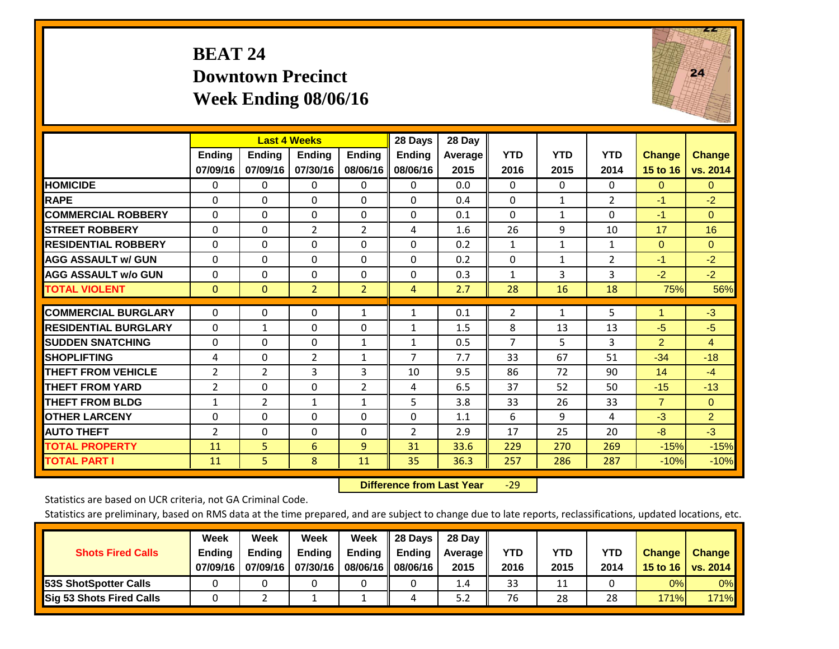## **BEAT 24 Downtown Precinct Week Ending 08/06/16**



|                             |                    |                           | <b>Last 4 Weeks</b>       |                           | 28 Days            | 28 Day          |                    |                    |                    |                           |                           |
|-----------------------------|--------------------|---------------------------|---------------------------|---------------------------|--------------------|-----------------|--------------------|--------------------|--------------------|---------------------------|---------------------------|
|                             | Ending<br>07/09/16 | <b>Ending</b><br>07/09/16 | <b>Ending</b><br>07/30/16 | <b>Ending</b><br>08/06/16 | Ending<br>08/06/16 | Average<br>2015 | <b>YTD</b><br>2016 | <b>YTD</b><br>2015 | <b>YTD</b><br>2014 | <b>Change</b><br>15 to 16 | <b>Change</b><br>vs. 2014 |
| <b>HOMICIDE</b>             | 0                  | 0                         | 0                         | 0                         | $\Omega$           | 0.0             | 0                  | $\Omega$           | 0                  | $\mathbf{0}$              | $\mathbf{0}$              |
| <b>RAPE</b>                 | $\Omega$           | $\Omega$                  | $\Omega$                  | $\Omega$                  | $\Omega$           | 0.4             | $\Omega$           | $\mathbf{1}$       | $\overline{2}$     | $-1$                      | $-2$                      |
| <b>COMMERCIAL ROBBERY</b>   | $\Omega$           | 0                         | $\Omega$                  | $\Omega$                  | $\Omega$           | 0.1             | $\Omega$           | $\mathbf{1}$       | $\Omega$           | $-1$                      | $\Omega$                  |
| <b>STREET ROBBERY</b>       | $\mathbf{0}$       | $\Omega$                  | $\overline{2}$            | $\overline{2}$            | 4                  | 1.6             | 26                 | 9                  | 10                 | 17                        | 16                        |
| <b>RESIDENTIAL ROBBERY</b>  | 0                  | 0                         | $\Omega$                  | $\Omega$                  | 0                  | 0.2             | $\mathbf{1}$       | 1                  | 1                  | $\Omega$                  | $\Omega$                  |
| <b>AGG ASSAULT w/ GUN</b>   | 0                  | 0                         | $\Omega$                  | $\Omega$                  | 0                  | 0.2             | $\Omega$           | $\mathbf{1}$       | $\overline{2}$     | $-1$                      | $-2$                      |
| <b>AGG ASSAULT w/o GUN</b>  | $\Omega$           | 0                         | $\Omega$                  | $\Omega$                  | $\Omega$           | 0.3             | $\mathbf{1}$       | $\overline{3}$     | 3                  | $-2$                      | $-2$                      |
| <b>TOTAL VIOLENT</b>        | $\mathbf{0}$       | $\mathbf{0}$              | $\overline{2}$            | $\overline{2}$            | 4                  | 2.7             | 28                 | 16                 | 18                 | 75%                       | 56%                       |
| <b>COMMERCIAL BURGLARY</b>  | 0                  | $\Omega$                  | 0                         | 1                         | $\mathbf{1}$       | 0.1             | $\overline{2}$     | $\mathbf{1}$       |                    | 1                         | $-3$                      |
|                             |                    |                           |                           |                           |                    |                 |                    |                    | 5                  |                           |                           |
| <b>RESIDENTIAL BURGLARY</b> | $\Omega$           | 1                         | 0                         | 0                         | $\mathbf{1}$       | 1.5             | 8                  | 13                 | 13                 | $-5$                      | $-5$                      |
| <b>ISUDDEN SNATCHING</b>    | 0                  | 0                         | 0                         | 1                         | 1                  | 0.5             | $\overline{7}$     | 5.                 | 3                  | $\overline{2}$            | $\overline{4}$            |
| <b>SHOPLIFTING</b>          | 4                  | $\Omega$                  | $\overline{2}$            | 1                         | $\overline{7}$     | 7.7             | 33                 | 67                 | 51                 | $-34$                     | $-18$                     |
| <b>THEFT FROM VEHICLE</b>   | 2                  | 2                         | 3                         | 3                         | 10                 | 9.5             | 86                 | 72                 | 90                 | 14                        | $-4$                      |
| <b>THEFT FROM YARD</b>      | 2                  | $\Omega$                  | 0                         | $\overline{2}$            | 4                  | 6.5             | 37                 | 52                 | 50                 | $-15$                     | $-13$                     |
| <b>THEFT FROM BLDG</b>      | $\mathbf{1}$       | $\overline{2}$            | $\mathbf{1}$              | 1                         | 5                  | 3.8             | 33                 | 26                 | 33                 | $\overline{7}$            | $\Omega$                  |
| <b>OTHER LARCENY</b>        | 0                  | $\Omega$                  | $\Omega$                  | $\Omega$                  | $\Omega$           | 1.1             | 6                  | 9                  | 4                  | $-3$                      | $\overline{2}$            |
| <b>AUTO THEFT</b>           | $\overline{2}$     | $\Omega$                  | $\Omega$                  | $\Omega$                  | $\overline{2}$     | 2.9             | 17                 | 25                 | 20                 | -8                        | $-3$                      |
| <b>TOTAL PROPERTY</b>       | 11                 | 5.                        | 6                         | 9                         | 31                 | 33.6            | 229                | 270                | 269                | $-15%$                    | $-15%$                    |
| <b>TOTAL PART I</b>         | 11                 | 5                         | 8                         | 11                        | 35                 | 36.3            | 257                | 286                | 287                | $-10%$                    | $-10%$                    |

 **Difference from Last Year**‐29

Statistics are based on UCR criteria, not GA Criminal Code.

|                                 | Week          | Week          | Week          | Week                 | 28 Days | 28 Day     |      |      |      |               |                 |
|---------------------------------|---------------|---------------|---------------|----------------------|---------|------------|------|------|------|---------------|-----------------|
| <b>Shots Fired Calls</b>        | <b>Ending</b> | <b>Ending</b> | <b>Ending</b> | <b>Ending</b>        | Ending  | Average II | YTD  | YTD  | YTD  | <b>Change</b> | <b>Change</b>   |
|                                 | 07/09/16      | 07/09/16      | 07/30/16      | 08/06/16    08/06/16 |         | 2015       | 2016 | 2015 | 2014 | 15 to 16      | <b>vs. 2014</b> |
| <b>153S ShotSpotter Calls</b>   |               |               |               |                      |         | 1.4        | 33   | 11   |      | 0%            | 0%              |
| <b>Sig 53 Shots Fired Calls</b> |               |               |               |                      |         | 5.2        | 76   | 28   | 28   | 171%          | <b>171%</b>     |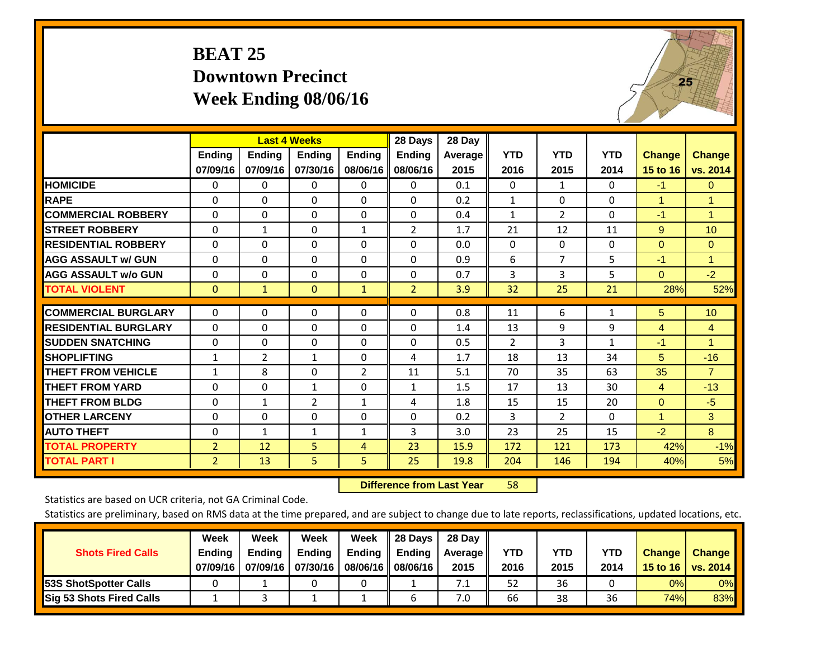## **BEAT 25 Downtown Precinct Week Ending 08/06/16**



|                             |                    | <b>Last 4 Weeks</b> |                           |                           | 28 Days                   | 28 Day            |                    |                    |                    |                           |                           |
|-----------------------------|--------------------|---------------------|---------------------------|---------------------------|---------------------------|-------------------|--------------------|--------------------|--------------------|---------------------------|---------------------------|
|                             | Ending<br>07/09/16 | Ending<br>07/09/16  | <b>Ending</b><br>07/30/16 | <b>Ending</b><br>08/06/16 | <b>Ending</b><br>08/06/16 | Average  <br>2015 | <b>YTD</b><br>2016 | <b>YTD</b><br>2015 | <b>YTD</b><br>2014 | <b>Change</b><br>15 to 16 | <b>Change</b><br>vs. 2014 |
| <b>HOMICIDE</b>             | 0                  | 0                   | 0                         | 0                         | $\Omega$                  | 0.1               | $\mathbf{0}$       | $\mathbf{1}$       | 0                  | $-1$                      | $\mathbf{0}$              |
| <b>RAPE</b>                 | 0                  | $\Omega$            | $\Omega$                  | 0                         | 0                         | 0.2               | 1                  | 0                  | $\Omega$           | 1                         | 1.                        |
| <b>COMMERCIAL ROBBERY</b>   | $\Omega$           | $\Omega$            | $\mathbf{0}$              | $\Omega$                  | $\Omega$                  | 0.4               | 1                  | $\overline{2}$     | $\Omega$           | $-1$                      | $\mathbf{1}$              |
| <b>STREET ROBBERY</b>       | 0                  | $\mathbf{1}$        | $\Omega$                  | $\mathbf{1}$              | 2                         | 1.7               | 21                 | 12                 | 11                 | 9                         | 10                        |
| <b>RESIDENTIAL ROBBERY</b>  | $\Omega$           | $\Omega$            | $\mathbf{0}$              | $\Omega$                  | $\Omega$                  | 0.0               | $\mathbf{0}$       | 0                  | 0                  | $\mathbf{0}$              | $\mathbf{0}$              |
| <b>AGG ASSAULT w/ GUN</b>   | $\Omega$           | $\Omega$            | $\Omega$                  | $\Omega$                  | 0                         | 0.9               | 6                  | $\overline{7}$     | 5                  | $-1$                      | 1                         |
| <b>AGG ASSAULT w/o GUN</b>  | 0                  | $\Omega$            | $\mathbf{0}$              | 0                         | $\Omega$                  | 0.7               | 3                  | 3                  | 5                  | $\Omega$                  | $-2$                      |
| <b>TOTAL VIOLENT</b>        | $\mathbf{0}$       | 1                   | $\mathbf{0}$              | $\mathbf{1}$              | $\overline{2}$            | 3.9               | 32                 | 25                 | 21                 | 28%                       | 52%                       |
| <b>COMMERCIAL BURGLARY</b>  | $\Omega$           | $\Omega$            | $\Omega$                  | $\Omega$                  | 0                         | 0.8               | 11                 | 6                  | $\mathbf{1}$       | 5                         | 10                        |
| <b>RESIDENTIAL BURGLARY</b> | $\Omega$           | $\Omega$            | $\Omega$                  | $\Omega$                  | $\Omega$                  | 1.4               | 13                 | 9                  | 9                  | $\overline{4}$            | $\overline{4}$            |
| <b>ISUDDEN SNATCHING</b>    | $\Omega$           | $\Omega$            | $\Omega$                  | 0                         | 0                         | 0.5               | 2                  | 3                  | 1                  | $-1$                      | 1                         |
| <b>SHOPLIFTING</b>          | 1                  | $\overline{2}$      | $\mathbf{1}$              | 0                         | 4                         | 1.7               | 18                 | 13                 | 34                 | 5                         | $-16$                     |
| <b>THEFT FROM VEHICLE</b>   | $\mathbf{1}$       | 8                   | $\Omega$                  | $\overline{2}$            | 11                        | 5.1               | 70                 | 35                 | 63                 | 35                        | $\overline{7}$            |
| <b>THEFT FROM YARD</b>      | $\Omega$           | $\Omega$            | $\mathbf{1}$              | $\Omega$                  | $\mathbf{1}$              | 1.5               | 17                 | 13                 | 30                 | $\overline{4}$            | $-13$                     |
| <b>THEFT FROM BLDG</b>      | 0                  | 1                   | 2                         | $\mathbf{1}$              | 4                         | 1.8               | 15                 | 15                 | 20                 | $\mathbf{0}$              | $-5$                      |
| <b>OTHER LARCENY</b>        | $\Omega$           | 0                   | $\Omega$                  | 0                         | 0                         | 0.2               | 3                  | $\overline{2}$     | $\Omega$           | $\mathbf{1}$              | 3                         |
| <b>AUTO THEFT</b>           | 0                  | $\mathbf{1}$        | $\mathbf{1}$              | 1                         | 3                         | 3.0               | 23                 | 25                 | 15                 | $-2$                      | 8                         |
| <b>TOTAL PROPERTY</b>       | $\overline{2}$     | 12                  | 5                         | 4                         | 23                        | 15.9              | 172                | 121                | 173                | 42%                       | $-1%$                     |
| <b>TOTAL PART I</b>         | $\overline{2}$     | 13                  | 5.                        | 5                         | 25                        | 19.8              | 204                | 146                | 194                | 40%                       | 5%                        |

 **Difference from Last Year**r 58

Statistics are based on UCR criteria, not GA Criminal Code.

| <b>Shots Fired Calls</b>        | Week<br><b>Ending</b><br>07/09/16 | Week<br><b>Endina</b><br>07/09/16 | <b>Week</b><br>Ending<br>07/30/16 | Week<br>Ending<br>08/06/16 | 28 Days<br><b>Ending</b><br>08/06/16 | 28 Day<br>Average II<br>2015 | YTD<br>2016 | YTD<br>2015 | <b>YTD</b><br>2014 | <b>Change</b><br>15 to $16$ | <b>Change</b><br>vs. 2014 |
|---------------------------------|-----------------------------------|-----------------------------------|-----------------------------------|----------------------------|--------------------------------------|------------------------------|-------------|-------------|--------------------|-----------------------------|---------------------------|
| <b>153S ShotSpotter Calls</b>   |                                   |                                   |                                   |                            |                                      | 7.1                          | 52          | 36          |                    | 0%                          | 0%                        |
| <b>Sig 53 Shots Fired Calls</b> |                                   |                                   |                                   |                            |                                      | 7.0                          | 66          | 38          | 36                 | 74%                         | 83%                       |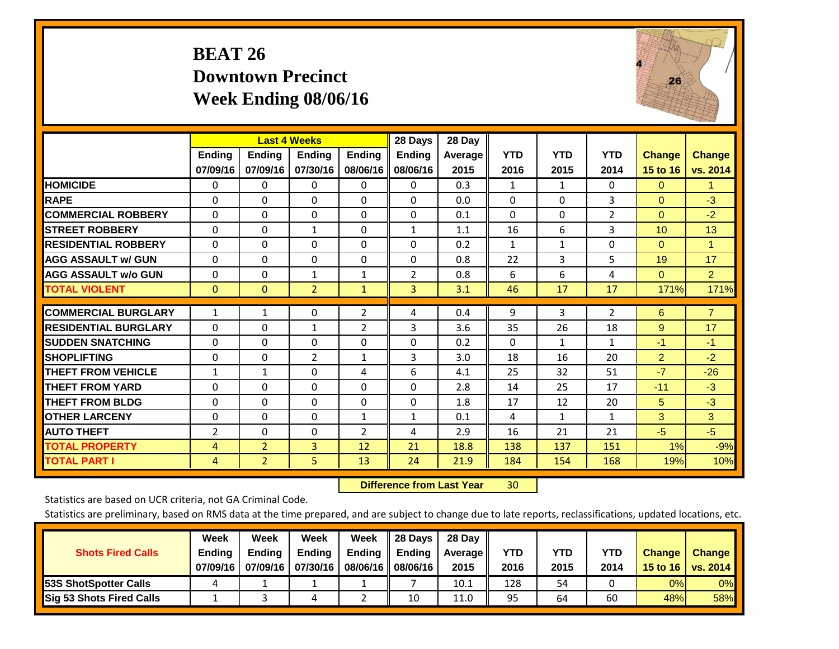## **BEAT 26 Downtown Precinct Week Ending 08/06/16**



|                             |                    | <b>Last 4 Weeks</b>       |                           |                           | 28 Days                   | 28 Day          |                    |                    |                    |                           |                           |
|-----------------------------|--------------------|---------------------------|---------------------------|---------------------------|---------------------------|-----------------|--------------------|--------------------|--------------------|---------------------------|---------------------------|
|                             | Ending<br>07/09/16 | <b>Ending</b><br>07/09/16 | <b>Endina</b><br>07/30/16 | <b>Ending</b><br>08/06/16 | <b>Endina</b><br>08/06/16 | Average<br>2015 | <b>YTD</b><br>2016 | <b>YTD</b><br>2015 | <b>YTD</b><br>2014 | <b>Change</b><br>15 to 16 | <b>Change</b><br>vs. 2014 |
| <b>HOMICIDE</b>             | 0                  | $\mathbf{0}$              | 0                         | 0                         | 0                         | 0.3             | 1                  | 1                  | 0                  | $\Omega$                  | 1.                        |
| <b>RAPE</b>                 | 0                  | $\Omega$                  | $\Omega$                  | $\Omega$                  | $\Omega$                  | 0.0             | $\Omega$           | 0                  | 3                  | $\Omega$                  | $-3$                      |
| <b>COMMERCIAL ROBBERY</b>   | $\Omega$           | $\Omega$                  | $\Omega$                  | $\Omega$                  | $\Omega$                  | 0.1             | $\Omega$           | $\Omega$           | $\overline{2}$     | $\Omega$                  | $-2$                      |
| <b>STREET ROBBERY</b>       | $\Omega$           | $\Omega$                  | $\mathbf{1}$              | $\mathbf{0}$              | $\mathbf{1}$              | 1.1             | 16                 | 6                  | 3                  | 10 <sup>1</sup>           | 13                        |
| <b>RESIDENTIAL ROBBERY</b>  | $\Omega$           | $\Omega$                  | $\Omega$                  | $\mathbf{0}$              | $\Omega$                  | 0.2             | $\mathbf{1}$       | 1                  | 0                  | $\Omega$                  | 1                         |
| <b>AGG ASSAULT w/ GUN</b>   | $\Omega$           | $\Omega$                  | $\Omega$                  | $\mathbf{0}$              | $\Omega$                  | 0.8             | 22                 | 3                  | 5                  | 19                        | 17                        |
| <b>AGG ASSAULT w/o GUN</b>  | $\Omega$           | $\Omega$                  | $\mathbf{1}$              | 1                         | $\overline{2}$            | 0.8             | 6                  | 6                  | 4                  | $\Omega$                  | 2 <sup>1</sup>            |
| <b>TOTAL VIOLENT</b>        | $\mathbf{0}$       | $\mathbf{0}$              | $\overline{2}$            | $\mathbf{1}$              | 3                         | 3.1             | 46                 | 17                 | 17                 | 171%                      | 171%                      |
|                             |                    |                           |                           |                           |                           |                 |                    |                    |                    |                           |                           |
| <b>COMMERCIAL BURGLARY</b>  | $\mathbf{1}$       | 1                         | $\Omega$                  | $\overline{2}$            | 4                         | 0.4             | 9                  | 3                  | $\overline{2}$     | 6                         | $\overline{7}$            |
| <b>RESIDENTIAL BURGLARY</b> | $\Omega$           | $\Omega$                  | 1                         | $\overline{2}$            | 3                         | 3.6             | 35                 | 26                 | 18                 | 9                         | 17                        |
| <b>SUDDEN SNATCHING</b>     | 0                  | 0                         | $\Omega$                  | $\mathbf{0}$              | $\Omega$                  | 0.2             | $\Omega$           | $\mathbf{1}$       | 1                  | $-1$                      | $-1$                      |
| <b>SHOPLIFTING</b>          | 0                  | $\Omega$                  | $\overline{2}$            | 1                         | 3                         | 3.0             | 18                 | 16                 | 20                 | $\overline{2}$            | $-2$                      |
| <b>THEFT FROM VEHICLE</b>   | $\mathbf{1}$       | $\mathbf{1}$              | $\Omega$                  | 4                         | 6                         | 4.1             | 25                 | 32                 | 51                 | $-7$                      | $-26$                     |
| <b>THEFT FROM YARD</b>      | $\Omega$           | $\Omega$                  | $\Omega$                  | $\mathbf{0}$              | $\Omega$                  | 2.8             | 14                 | 25                 | 17                 | $-11$                     | $-3$                      |
| <b>THEFT FROM BLDG</b>      | $\Omega$           | $\Omega$                  | $\Omega$                  | $\mathbf{0}$              | $\Omega$                  | 1.8             | 17                 | 12                 | 20                 | 5                         | $-3$                      |
| <b>OTHER LARCENY</b>        | 0                  | $\Omega$                  | $\Omega$                  | 1                         | 1                         | 0.1             | 4                  | $\mathbf{1}$       | $\mathbf{1}$       | 3                         | 3                         |
| <b>AUTO THEFT</b>           | $\overline{2}$     | 0                         | $\Omega$                  | 2                         | 4                         | 2.9             | 16                 | 21                 | 21                 | $-5$                      | $-5$                      |
| <b>TOTAL PROPERTY</b>       | 4                  | $\overline{2}$            | 3                         | 12                        | 21                        | 18.8            | 138                | 137                | 151                | 1%                        | $-9%$                     |
| <b>TOTAL PART I</b>         | 4                  | $\overline{2}$            | 5                         | 13                        | 24                        | 21.9            | 184                | 154                | 168                | 19%                       | 10%                       |

 **Difference from Last Year**r 30

Statistics are based on UCR criteria, not GA Criminal Code.

| <b>Shots Fired Calls</b>        | Week<br><b>Ending</b><br>07/09/16 | Week<br><b>Endina</b><br>07/09/16 | <b>Week</b><br>Ending<br>07/30/16 | Week<br>Ending<br>08/06/16 | 28 Days<br><b>Ending</b><br>08/06/16 | 28 Day<br>Average II<br>2015 | YTD<br>2016 | YTD<br>2015 | <b>YTD</b><br>2014 | <b>Change</b><br>15 to 16 | <b>Change</b><br>vs. 2014 |
|---------------------------------|-----------------------------------|-----------------------------------|-----------------------------------|----------------------------|--------------------------------------|------------------------------|-------------|-------------|--------------------|---------------------------|---------------------------|
| <b>153S ShotSpotter Calls</b>   |                                   |                                   |                                   |                            |                                      | 10.1                         | 128         | 54          |                    | 0%                        | 0%                        |
| <b>Sig 53 Shots Fired Calls</b> |                                   |                                   |                                   |                            | 10                                   | 11.0                         | 95          | 64          | 60                 | 48%l                      | 58%                       |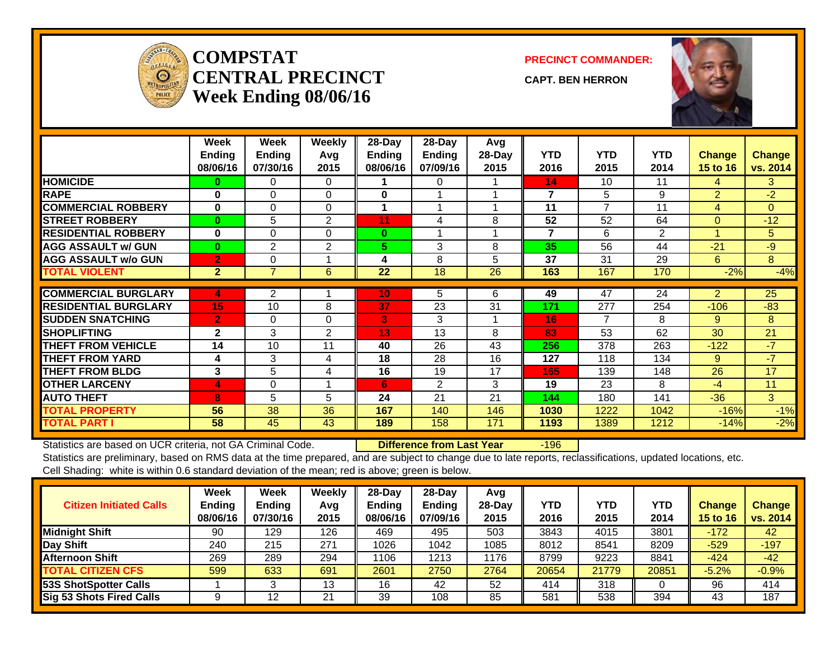

#### **COMPSTATCENTRAL PRECINCTWeek Ending 08/06/16**

**PRECINCT COMMANDER:**

**CAPT. BEN HERRON**



|                             | Week<br><b>Endina</b><br>08/06/16 | Week<br><b>Endina</b><br>07/30/16 | Weekly<br>Avg<br>2015 | 28-Day<br><b>Ending</b><br>08/06/16 | 28-Day<br><b>Ending</b><br>07/09/16 | Avg<br>$28$ -Day<br>2015 | <b>YTD</b><br>2016 | <b>YTD</b><br>2015 | <b>YTD</b><br>2014 | <b>Change</b><br>15 to 16 | <b>Change</b><br>vs. 2014 |
|-----------------------------|-----------------------------------|-----------------------------------|-----------------------|-------------------------------------|-------------------------------------|--------------------------|--------------------|--------------------|--------------------|---------------------------|---------------------------|
| <b>HOMICIDE</b>             | 0                                 | 0                                 | $\Omega$              |                                     | 0                                   |                          | 14                 | 10                 | 11                 | 4                         | 3                         |
| <b>RAPE</b>                 | $\bf{0}$                          | $\Omega$                          | $\Omega$              | 0                                   |                                     |                          | 7                  | 5.                 | 9                  | $\overline{2}$            | $-2$                      |
| <b>COMMERCIAL ROBBERY</b>   | $\bf{0}$                          | $\Omega$                          | $\Omega$              |                                     |                                     |                          | 11                 | 7                  | 11                 | 4                         | $\overline{0}$            |
| <b>STREET ROBBERY</b>       | $\bf{0}$                          | 5                                 | 2                     | 11                                  | 4                                   | 8                        | 52                 | 52                 | 64                 | $\Omega$                  | $-12$                     |
| <b>RESIDENTIAL ROBBERY</b>  | $\bf{0}$                          | $\Omega$                          | $\Omega$              | $\bf{0}$                            |                                     |                          | $\overline{7}$     | 6                  | 2                  |                           | 5                         |
| <b>AGG ASSAULT w/ GUN</b>   | $\bf{0}$                          | $\overline{2}$                    | 2                     | 5.                                  | 3                                   | 8                        | 35                 | 56                 | 44                 | $-21$                     | $-9$                      |
| <b>AGG ASSAULT w/o GUN</b>  | $\overline{2}$                    | $\Omega$                          |                       | 4                                   | 8                                   | 5                        | 37                 | 31                 | 29                 | 6                         | 8                         |
| <b>TOTAL VIOLENT</b>        | 2 <sup>1</sup>                    | $\overline{7}$                    | 6                     | 22                                  | 18                                  | 26                       | 163                | 167                | 170                | $-2%$                     | $-4%$                     |
|                             |                                   |                                   |                       |                                     |                                     |                          |                    |                    |                    |                           |                           |
| <b>COMMERCIAL BURGLARY</b>  | 4                                 | $\overline{2}$                    |                       | 10                                  | 5                                   | 6                        | 49                 | 47                 | 24                 | 2                         | 25                        |
| <b>RESIDENTIAL BURGLARY</b> | 15                                | 10                                | 8                     | 37                                  | 23                                  | 31                       | 171                | 277                | 254                | $-106$                    | $-83$                     |
| <b>SUDDEN SNATCHING</b>     | $\overline{2}$                    | $\Omega$                          | $\Omega$              | 3                                   | 3                                   |                          | 16                 | 7                  | 8                  | 9                         | 8                         |
| <b>SHOPLIFTING</b>          | $\mathbf{2}$                      | 3                                 | 2                     | 13                                  | 13                                  | 8                        | 83                 | 53                 | 62                 | 30                        | 21                        |
| <b>THEFT FROM VEHICLE</b>   | 14                                | 10                                | 11                    | 40                                  | 26                                  | 43                       | 256                | 378                | 263                | $-122$                    | $-7$                      |
| <b>THEFT FROM YARD</b>      | 4                                 | 3                                 | 4                     | 18                                  | 28                                  | 16                       | 127                | 118                | 134                | 9                         | $-7$                      |
| <b>THEFT FROM BLDG</b>      | 3                                 | 5                                 | 4                     | 16                                  | 19                                  | 17                       | 165                | 139                | 148                | 26                        | 17                        |
| <b>OTHER LARCENY</b>        | $\overline{4}$                    | $\Omega$                          |                       | 6                                   | $\overline{2}$                      | 3                        | 19                 | 23                 | 8                  | $-4$                      | 11                        |
| <b>AUTO THEFT</b>           | 8                                 | 5                                 | 5                     | 24                                  | 21                                  | 21                       | 144                | 180                | 141                | $-36$                     | 3                         |
| <b>TOTAL PROPERTY</b>       | 56                                | 38                                | 36                    | 167                                 | 140                                 | 146                      | 1030               | 1222               | 1042               | $-16%$                    | $-1%$                     |
| <b>TOTAL PART I</b>         | 58                                | 45                                | 43                    | 189                                 | 158                                 | 171                      | 1193               | 1389               | 1212               | $-14%$                    | $-2%$                     |

Statistics are based on UCR criteria, not GA Criminal Code. **Difference from Last Year** -196

| <b>Citizen Initiated Calls</b>  | Week<br><b>Ending</b><br>08/06/16 | <b>Week</b><br><b>Ending</b><br>07/30/16 | Weekly<br>Avg<br>2015 | $28$ -Day<br><b>Ending</b><br>08/06/16 | 28-Dav<br><b>Ending</b><br>07/09/16 | Avg<br>$28-Dav$<br>2015 | <b>YTD</b><br>2016 | <b>YTD</b><br>2015 | YTD<br>2014 | Change<br>15 to 16 | <b>Change</b><br>vs. 2014 |
|---------------------------------|-----------------------------------|------------------------------------------|-----------------------|----------------------------------------|-------------------------------------|-------------------------|--------------------|--------------------|-------------|--------------------|---------------------------|
| <b>Midnight Shift</b>           | 90                                | 129                                      | 126                   | 469                                    | 495                                 | 503                     | 3843               | 4015               | 3801        | $-172$             | 42                        |
| Day Shift                       | 240                               | 215                                      | 271                   | 1026                                   | 1042                                | 1085                    | 8012               | 8541               | 8209        | $-529$             | $-197$                    |
| <b>Afternoon Shift</b>          | 269                               | 289                                      | 294                   | 1106                                   | 1213                                | 1176                    | 8799               | 9223               | 8841        | $-424$             | $-42$                     |
| <b>TOTAL CITIZEN CFS</b>        | 599                               | 633                                      | 691                   | 2601                                   | 2750                                | 2764                    | 20654              | 21779              | 20851       | $-5.2%$            | $-0.9%$                   |
| <b>53S ShotSpotter Calls</b>    |                                   |                                          | 13                    | 16                                     | 42                                  | 52                      | 414                | 318                |             | 96                 | 414                       |
| <b>Sig 53 Shots Fired Calls</b> |                                   | 12                                       | 21                    | 39                                     | 108                                 | 85                      | 581                | 538                | 394         | 43                 | 187                       |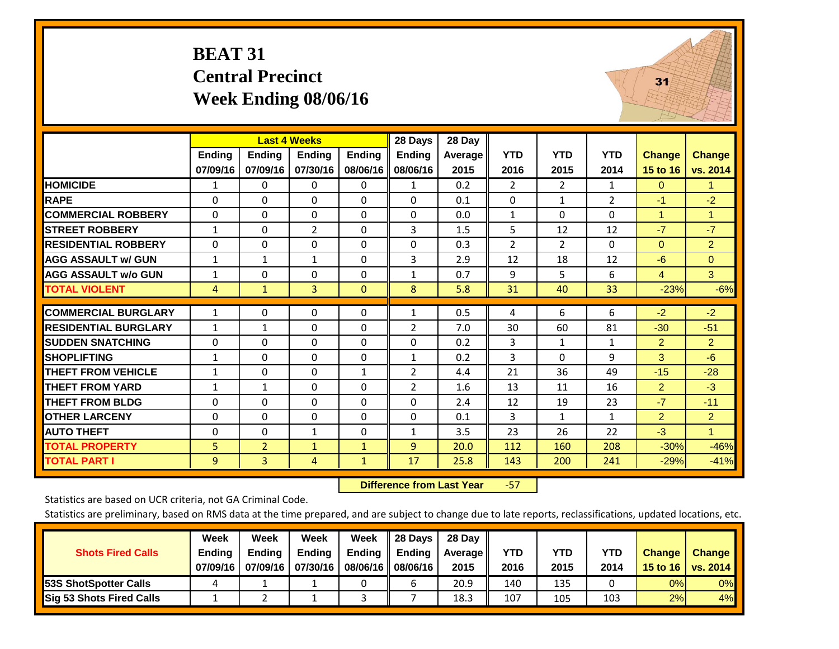## **BEAT 31 Central Precinct Week Ending 08/06/16**



|                             |               |                | <b>Last 4 Weeks</b> |               | 28 Days        | 28 Day  |                |                |                |                |                      |
|-----------------------------|---------------|----------------|---------------------|---------------|----------------|---------|----------------|----------------|----------------|----------------|----------------------|
|                             | <b>Ending</b> | <b>Ending</b>  | Ending              | <b>Endina</b> | <b>Ending</b>  | Average | <b>YTD</b>     | <b>YTD</b>     | <b>YTD</b>     | <b>Change</b>  | <b>Change</b>        |
|                             | 07/09/16      | 07/09/16       | 07/30/16            | 08/06/16      | 08/06/16       | 2015    | 2016           | 2015           | 2014           | 15 to 16       | vs. 2014             |
| <b>HOMICIDE</b>             | 1             | 0              | 0                   | $\Omega$      | 1              | 0.2     | $\overline{2}$ | $\overline{2}$ | 1              | $\Omega$       | $\mathbf{1}$         |
| <b>RAPE</b>                 | 0             | 0              | 0                   | $\Omega$      | $\Omega$       | 0.1     | 0              | 1              | $\overline{2}$ | $-1$           | $-2$                 |
| <b>COMMERCIAL ROBBERY</b>   | $\mathbf{0}$  | $\Omega$       | 0                   | $\Omega$      | $\Omega$       | 0.0     | $\mathbf{1}$   | $\Omega$       | 0              | 1              | $\mathbf{1}$         |
| <b>STREET ROBBERY</b>       | $\mathbf{1}$  | $\Omega$       | $\overline{2}$      | $\mathbf{0}$  | 3              | 1.5     | 5              | 12             | 12             | $-7$           | $-7$                 |
| <b>RESIDENTIAL ROBBERY</b>  | $\mathbf{0}$  | $\Omega$       | 0                   | $\mathbf{0}$  | $\Omega$       | 0.3     | $\overline{2}$ | $\overline{2}$ | 0              | $\Omega$       | $\overline{2}$       |
| <b>AGG ASSAULT w/ GUN</b>   | $\mathbf{1}$  | $\mathbf{1}$   | $\mathbf{1}$        | $\Omega$      | 3              | 2.9     | 12             | 18             | 12             | $-6$           | $\Omega$             |
| <b>AGG ASSAULT w/o GUN</b>  | $\mathbf{1}$  | $\Omega$       | 0                   | $\mathbf{0}$  | $\mathbf{1}$   | 0.7     | 9              | 5.             | 6              | $\overline{4}$ | 3 <sup>°</sup>       |
| <b>TOTAL VIOLENT</b>        | 4             | $\mathbf{1}$   | 3                   | $\mathbf{0}$  | 8              | 5.8     | 31             | 40             | 33             | $-23%$         | $-6%$                |
|                             |               |                |                     |               |                |         |                |                |                |                |                      |
| <b>COMMERCIAL BURGLARY</b>  | $\mathbf{1}$  | $\Omega$       | 0                   | $\mathbf{0}$  | $\mathbf{1}$   | 0.5     | 4              | 6              | 6              | $-2$           | $-2$                 |
| <b>RESIDENTIAL BURGLARY</b> | 1             | 1              | 0                   | $\mathbf{0}$  | $\overline{2}$ | 7.0     | 30             | 60             | 81             | $-30$          | $-51$                |
| <b>SUDDEN SNATCHING</b>     | 0             | 0              | 0                   | $\mathbf{0}$  | $\Omega$       | 0.2     | 3              | $\mathbf{1}$   | $\mathbf{1}$   | $\overline{2}$ | $\overline{2}$       |
| <b>SHOPLIFTING</b>          | $\mathbf{1}$  | $\Omega$       | 0                   | $\mathbf{0}$  | $\mathbf{1}$   | 0.2     | 3              | $\Omega$       | 9              | 3              | $-6$                 |
| <b>THEFT FROM VEHICLE</b>   | 1             | $\Omega$       | 0                   | 1             | 2              | 4.4     | 21             | 36             | 49             | $-15$          | $-28$                |
| <b>THEFT FROM YARD</b>      | $\mathbf{1}$  | $\mathbf{1}$   | 0                   | $\mathbf{0}$  | 2              | 1.6     | 13             | 11             | 16             | $\overline{2}$ | $-3$                 |
| <b>THEFT FROM BLDG</b>      | 0             | $\Omega$       | 0                   | $\mathbf{0}$  | $\Omega$       | 2.4     | 12             | 19             | 23             | $-7$           | $-11$                |
| <b>OTHER LARCENY</b>        | $\Omega$      | $\Omega$       | 0                   | $\mathbf{0}$  | $\Omega$       | 0.1     | 3              | $\mathbf{1}$   | $\mathbf{1}$   | $\overline{2}$ | $\overline{2}$       |
| <b>AUTO THEFT</b>           | 0             | $\Omega$       | $\mathbf{1}$        | $\mathbf 0$   | $\mathbf{1}$   | 3.5     | 23             | 26             | 22             | $-3$           | $\blacktriangleleft$ |
| <b>TOTAL PROPERTY</b>       | 5             | $\overline{2}$ | $\mathbf{1}$        | $\mathbf{1}$  | 9              | 20.0    | 112            | 160            | 208            | $-30%$         | $-46%$               |
| <b>TOTAL PART I</b>         | 9             | 3              | 4                   | $\mathbf{1}$  | 17             | 25.8    | 143            | 200            | 241            | $-29%$         | $-41%$               |

 **Difference from Last Year**‐57

Statistics are based on UCR criteria, not GA Criminal Code.

|                                 | Week          | Week          | Week          | Week          | 28 Days             | 28 Dav     |            |      |            |               |                                    |
|---------------------------------|---------------|---------------|---------------|---------------|---------------------|------------|------------|------|------------|---------------|------------------------------------|
| <b>Shots Fired Calls</b>        | <b>Ending</b> | <b>Endina</b> | <b>Ending</b> | <b>Ending</b> | Ending              | Average II | <b>YTD</b> | YTD  | <b>YTD</b> | <b>Change</b> | <b>Change</b>                      |
|                                 | 07/09/16      | 07/09/16      | 07/30/16      |               | 08/06/16   08/06/16 | 2015       | 2016       | 2015 | 2014       |               | 15 to 16   vs. 2014 $\blacksquare$ |
| <b>153S ShotSpotter Calls</b>   |               |               |               |               |                     | 20.9       | 140        | 135  |            | 0%            | 0%                                 |
| <b>Sig 53 Shots Fired Calls</b> |               |               |               |               |                     | 18.3       | 107        | 105  | 103        | 2%            | 4%                                 |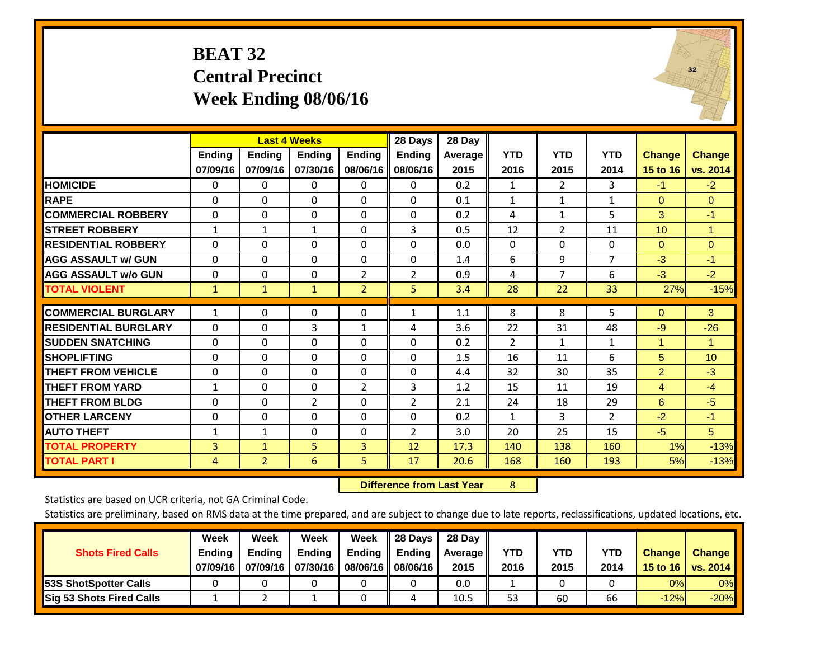## **BEAT 32 Central Precinct Week Ending 08/06/16**



|                             |               |                | <b>Last 4 Weeks</b> |                | 28 Days        | 28 Day  |                |                       |                |                      |               |
|-----------------------------|---------------|----------------|---------------------|----------------|----------------|---------|----------------|-----------------------|----------------|----------------------|---------------|
|                             | <b>Ending</b> | <b>Ending</b>  | <b>Endina</b>       | <b>Ending</b>  | <b>Ending</b>  | Average | <b>YTD</b>     | <b>YTD</b>            | <b>YTD</b>     | <b>Change</b>        | <b>Change</b> |
|                             | 07/09/16      | 07/09/16       | 07/30/16            | 08/06/16       | 08/06/16       | 2015    | 2016           | 2015                  | 2014           | 15 to 16             | vs. 2014      |
| <b>HOMICIDE</b>             | 0             | 0              | $\Omega$            | 0              | 0              | 0.2     | 1              | $\mathbf{2}^{\prime}$ | 3              | $-1$                 | $-2$          |
| <b>RAPE</b>                 | $\Omega$      | $\Omega$       | 0                   | $\mathbf{0}$   | $\Omega$       | 0.1     | $\mathbf{1}$   | $\mathbf{1}$          | $\mathbf{1}$   | $\Omega$             | $\mathbf{0}$  |
| <b>COMMERCIAL ROBBERY</b>   | $\Omega$      | $\Omega$       | 0                   | $\mathbf{0}$   | $\Omega$       | 0.2     | 4              | $\mathbf{1}$          | 5              | 3                    | $-1$          |
| <b>STREET ROBBERY</b>       | $\mathbf{1}$  | $\mathbf{1}$   | $\mathbf{1}$        | $\mathbf{0}$   | 3              | 0.5     | 12             | $\overline{2}$        | 11             | 10 <sup>°</sup>      | $\mathbf{1}$  |
| <b>RESIDENTIAL ROBBERY</b>  | $\Omega$      | $\Omega$       | 0                   | $\mathbf{0}$   | 0              | 0.0     | $\Omega$       | 0                     | 0              | $\Omega$             | $\mathbf{0}$  |
| <b>AGG ASSAULT w/ GUN</b>   | $\Omega$      | 0              | $\Omega$            | $\Omega$       | $\Omega$       | 1.4     | 6              | 9                     | 7              | $-3$                 | $-1$          |
| <b>AGG ASSAULT w/o GUN</b>  | $\mathbf 0$   | $\Omega$       | $\Omega$            | $\overline{2}$ | $\overline{2}$ | 0.9     | 4              | $\overline{7}$        | 6              | $-3$                 | $-2$          |
| <b>TOTAL VIOLENT</b>        | $\mathbf{1}$  | $\mathbf{1}$   | $\mathbf{1}$        | $\overline{2}$ | 5              | 3.4     | 28             | 22                    | 33             | 27%                  | $-15%$        |
|                             |               |                |                     |                |                |         |                |                       |                |                      |               |
| <b>COMMERCIAL BURGLARY</b>  | $\mathbf{1}$  | $\Omega$       | 0                   | $\mathbf 0$    | 1              | 1.1     | 8              | 8                     | 5              | $\Omega$             | 3             |
| <b>RESIDENTIAL BURGLARY</b> | $\Omega$      | $\Omega$       | 3                   | $\mathbf{1}$   | 4              | 3.6     | 22             | 31                    | 48             | $-9$                 | $-26$         |
| <b>SUDDEN SNATCHING</b>     | $\Omega$      | $\Omega$       | $\Omega$            | $\Omega$       | $\Omega$       | 0.2     | $\overline{2}$ | 1                     | $\mathbf{1}$   | $\blacktriangleleft$ | 1             |
| <b>SHOPLIFTING</b>          | $\mathbf 0$   | $\Omega$       | $\Omega$            | $\mathbf 0$    | $\Omega$       | 1.5     | 16             | 11                    | 6              | 5                    | 10            |
| <b>THEFT FROM VEHICLE</b>   | $\Omega$      | $\Omega$       | 0                   | $\Omega$       | $\Omega$       | 4.4     | 32             | 30                    | 35             | $\overline{2}$       | $-3$          |
| <b>THEFT FROM YARD</b>      | $\mathbf{1}$  | $\Omega$       | 0                   | $\overline{2}$ | 3              | 1.2     | 15             | 11                    | 19             | $\overline{4}$       | $-4$          |
| <b>THEFT FROM BLDG</b>      | $\mathbf 0$   | $\Omega$       | $\overline{2}$      | $\Omega$       | $\overline{2}$ | 2.1     | 24             | 18                    | 29             | 6                    | $-5$          |
| <b>OTHER LARCENY</b>        | $\Omega$      | $\Omega$       | 0                   | $\mathbf{0}$   | $\Omega$       | 0.2     | $\mathbf{1}$   | 3                     | $\overline{2}$ | $-2$                 | $-1$          |
| <b>AUTO THEFT</b>           | $\mathbf{1}$  | $\mathbf{1}$   | 0                   | $\Omega$       | $\overline{2}$ | 3.0     | 20             | 25                    | 15             | $-5$                 | 5             |
| <b>TOTAL PROPERTY</b>       | 3             | $\mathbf{1}$   | 5                   | 3              | 12             | 17.3    | 140            | 138                   | 160            | 1%                   | $-13%$        |
| <b>TOTAL PART I</b>         | 4             | $\overline{2}$ | 6                   | 5              | 17             | 20.6    | 168            | 160                   | 193            | 5%                   | $-13%$        |

 **Difference from Last Year**r 8

Statistics are based on UCR criteria, not GA Criminal Code.

|                                 | Week          | Week          | <b>Week</b> | Week     | 28 Days       | 28 Day     |      |      |            |               |               |
|---------------------------------|---------------|---------------|-------------|----------|---------------|------------|------|------|------------|---------------|---------------|
| <b>Shots Fired Calls</b>        | <b>Ending</b> | <b>Endina</b> | Ending      | Ending   | <b>Ending</b> | Average II | YTD  | YTD  | <b>YTD</b> | <b>Change</b> | <b>Change</b> |
|                                 | 07/09/16      | 07/09/16      | 07/30/16    | 08/06/16 | 08/06/16      | 2015       | 2016 | 2015 | 2014       | 15 to 16      | vs. 2014      |
| <b>153S ShotSpotter Calls</b>   |               |               |             |          |               | 0.0        |      |      |            | 0%            | 0%            |
| <b>Sig 53 Shots Fired Calls</b> |               |               |             |          | 4             | 10.5       | 53   | 60   | 66         | $-12%$        | $-20%$        |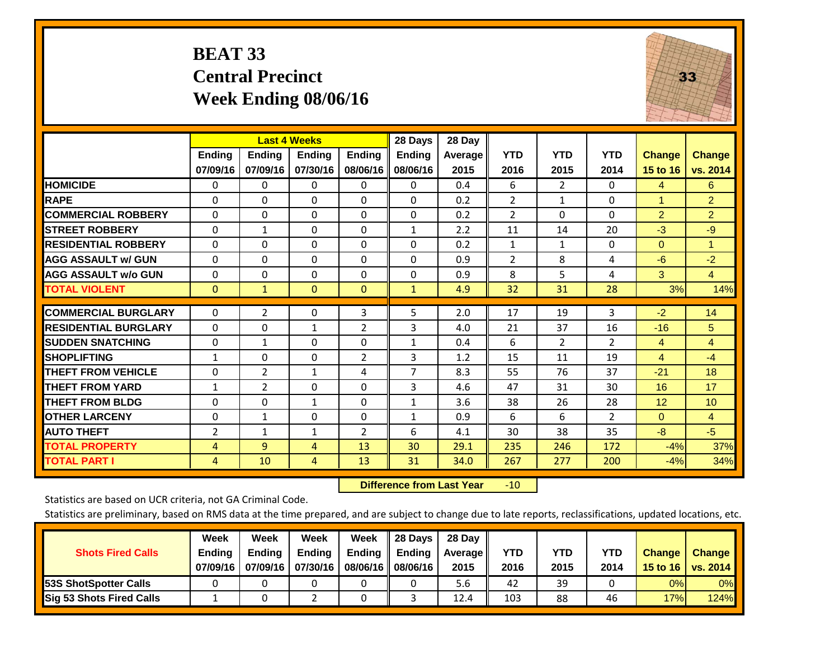## **BEAT 33 Central Precinct Week Ending 08/06/16**



|                             |                | <b>Last 4 Weeks</b> |                |                | 28 Days       | 28 Day  |                |                |                |                |                |
|-----------------------------|----------------|---------------------|----------------|----------------|---------------|---------|----------------|----------------|----------------|----------------|----------------|
|                             | <b>Ending</b>  | <b>Ending</b>       | Ending         | <b>Endina</b>  | <b>Ending</b> | Average | <b>YTD</b>     | <b>YTD</b>     | <b>YTD</b>     | Change         | <b>Change</b>  |
|                             | 07/09/16       | 07/09/16            | 07/30/16       | 08/06/16       | 08/06/16      | 2015    | 2016           | 2015           | 2014           | 15 to 16       | vs. 2014       |
| <b>HOMICIDE</b>             | 0              | 0                   | 0              | 0              | $\mathbf{0}$  | 0.4     | 6              | $\overline{2}$ | 0              | 4              | 6              |
| <b>RAPE</b>                 | 0              | $\Omega$            | $\Omega$       | $\Omega$       | $\Omega$      | 0.2     | $\overline{2}$ | 1              | 0              | 1              | $\overline{2}$ |
| <b>COMMERCIAL ROBBERY</b>   | 0              | 0                   | $\Omega$       | 0              | 0             | 0.2     | $\overline{2}$ | $\Omega$       | 0              | $\overline{2}$ | $\overline{2}$ |
| <b>ISTREET ROBBERY</b>      | $\Omega$       | $\mathbf{1}$        | $\Omega$       | $\Omega$       | $\mathbf{1}$  | 2.2     | 11             | 14             | 20             | $-3$           | $-9$           |
| <b>RESIDENTIAL ROBBERY</b>  | $\Omega$       | 0                   | $\mathbf{0}$   | 0              | $\Omega$      | 0.2     | $\mathbf{1}$   | $\mathbf{1}$   | 0              | $\mathbf{0}$   | 1              |
| <b>AGG ASSAULT w/ GUN</b>   | 0              | 0                   | $\Omega$       | $\mathbf{0}$   | $\Omega$      | 0.9     | $\overline{2}$ | 8              | 4              | -6             | $-2$           |
| <b>AGG ASSAULT w/o GUN</b>  | $\Omega$       | 0                   | $\Omega$       | $\Omega$       | $\Omega$      | 0.9     | 8              | 5              | 4              | 3              | $\overline{4}$ |
| <b>TOTAL VIOLENT</b>        | $\mathbf{0}$   | $\mathbf{1}$        | $\overline{0}$ | $\mathbf{0}$   | $\mathbf{1}$  | 4.9     | 32             | 31             | 28             | 3%             | 14%            |
| <b>COMMERCIAL BURGLARY</b>  | $\Omega$       | $\overline{2}$      | $\mathbf{0}$   | 3              | 5             | 2.0     | 17             | 19             | 3              | $-2$           | 14             |
|                             |                |                     |                |                |               |         |                |                |                |                |                |
| <b>RESIDENTIAL BURGLARY</b> | 0              | 0                   | 1              | $\overline{2}$ | 3             | 4.0     | 21             | 37             | 16             | $-16$          | 5              |
| <b>SUDDEN SNATCHING</b>     | $\Omega$       | $\mathbf{1}$        | $\mathbf{0}$   | $\mathbf{0}$   | $\mathbf{1}$  | 0.4     | 6              | $\overline{2}$ | $\overline{2}$ | 4              | $\overline{4}$ |
| <b>SHOPLIFTING</b>          | 1              | $\Omega$            | $\Omega$       | $\overline{2}$ | 3             | 1.2     | 15             | 11             | 19             | 4              | $-4$           |
| <b>THEFT FROM VEHICLE</b>   | 0              | $\overline{2}$      | $\mathbf{1}$   | 4              | 7             | 8.3     | 55             | 76             | 37             | $-21$          | 18             |
| <b>THEFT FROM YARD</b>      | $\mathbf{1}$   | $\overline{2}$      | $\mathbf{0}$   | $\mathbf{0}$   | 3             | 4.6     | 47             | 31             | 30             | 16             | 17             |
| <b>THEFT FROM BLDG</b>      | 0              | 0                   | $\mathbf{1}$   | $\mathbf{0}$   | 1             | 3.6     | 38             | 26             | 28             | 12             | 10             |
| <b>OTHER LARCENY</b>        | 0              | $\mathbf{1}$        | $\mathbf{0}$   | 0              | 1             | 0.9     | 6              | 6              | $\overline{2}$ | $\Omega$       | $\overline{4}$ |
| <b>AUTO THEFT</b>           | 2              | $\mathbf{1}$        | $\mathbf{1}$   | 2              | 6             | 4.1     | 30             | 38             | 35             | $-8$           | $-5$           |
| <b>TOTAL PROPERTY</b>       | $\overline{4}$ | 9                   | 4              | 13             | 30            | 29.1    | 235            | 246            | 172            | $-4%$          | 37%            |
| <b>TOTAL PART I</b>         | 4              | 10                  | 4              | 13             | 31            | 34.0    | 267            | 277            | 200            | $-4%$          | 34%            |

 **Difference from Last Year**r -10

Statistics are based on UCR criteria, not GA Criminal Code.

| <b>Shots Fired Calls</b>        | Week<br><b>Ending</b><br>07/09/16 | Week<br><b>Endina</b><br>07/09/16 | <b>Week</b><br>Ending<br>07/30/16 | Week<br>Ending<br>08/06/16 | 28 Days<br><b>Ending</b><br>08/06/16 | 28 Day<br>Average II<br>2015 | YTD<br>2016 | YTD<br>2015 | <b>YTD</b><br>2014 | <b>Change</b><br>15 to 16 | <b>Change</b><br>vs. 2014 |
|---------------------------------|-----------------------------------|-----------------------------------|-----------------------------------|----------------------------|--------------------------------------|------------------------------|-------------|-------------|--------------------|---------------------------|---------------------------|
| <b>153S ShotSpotter Calls</b>   |                                   |                                   |                                   |                            |                                      | 5.6                          | 42          | 39          |                    | 0%                        | 0%                        |
| <b>Sig 53 Shots Fired Calls</b> |                                   |                                   |                                   |                            |                                      | 12.4                         | 103         | 88          | 46                 | 17%                       | 124%                      |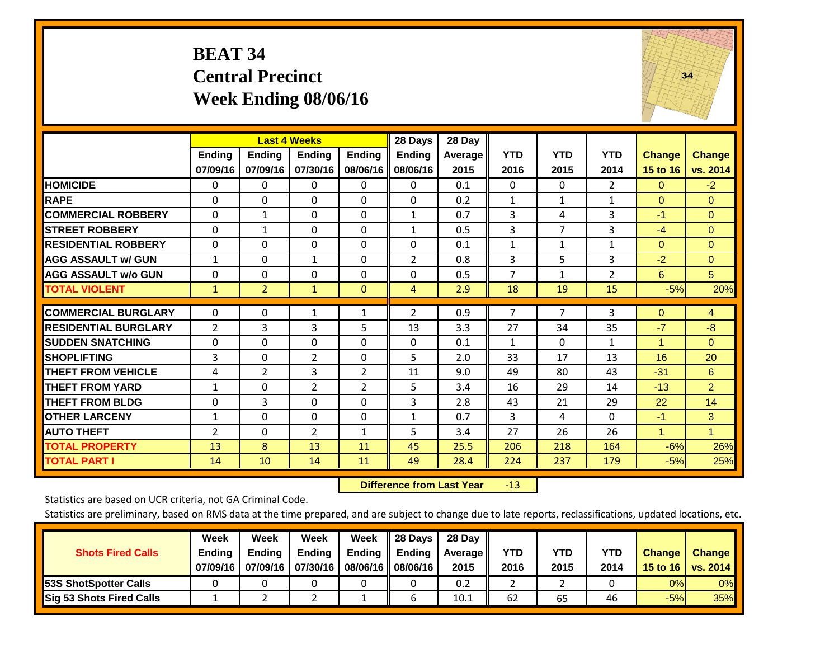## **BEAT 34 Central Precinct Week Ending 08/06/16**



|                             |                    | <b>Last 4 Weeks</b>       |                           |                           | 28 Days                   | 28 Day            |                    |                    |                    |                           |                           |
|-----------------------------|--------------------|---------------------------|---------------------------|---------------------------|---------------------------|-------------------|--------------------|--------------------|--------------------|---------------------------|---------------------------|
|                             | Ending<br>07/09/16 | <b>Ending</b><br>07/09/16 | <b>Ending</b><br>07/30/16 | <b>Ending</b><br>08/06/16 | <b>Ending</b><br>08/06/16 | Average  <br>2015 | <b>YTD</b><br>2016 | <b>YTD</b><br>2015 | <b>YTD</b><br>2014 | <b>Change</b><br>15 to 16 | <b>Change</b><br>vs. 2014 |
| <b>HOMICIDE</b>             | 0                  | 0                         | 0                         | 0                         | 0                         | 0.1               | $\mathbf{0}$       | $\Omega$           | $\overline{2}$     | $\Omega$                  | $-2$                      |
| <b>RAPE</b>                 | $\Omega$           | $\Omega$                  | $\Omega$                  | 0                         | $\Omega$                  | 0.2               | 1                  | $\mathbf{1}$       | $\mathbf{1}$       | $\Omega$                  | $\Omega$                  |
| <b>COMMERCIAL ROBBERY</b>   | $\Omega$           | $\mathbf{1}$              | $\mathbf{0}$              | $\Omega$                  | $\mathbf{1}$              | 0.7               | 3                  | 4                  | 3                  | $-1$                      | $\Omega$                  |
| <b>STREET ROBBERY</b>       | $\mathbf 0$        | $\mathbf{1}$              | $\Omega$                  | $\Omega$                  | 1                         | 0.5               | 3                  | $\overline{7}$     | 3                  | $-4$                      | $\Omega$                  |
| <b>IRESIDENTIAL ROBBERY</b> | $\Omega$           | $\Omega$                  | $\Omega$                  | $\Omega$                  | $\Omega$                  | 0.1               | $\mathbf{1}$       | $\mathbf{1}$       | $\mathbf{1}$       | $\Omega$                  | $\mathbf{0}$              |
| <b>AGG ASSAULT w/ GUN</b>   | $\mathbf{1}$       | $\Omega$                  | $\mathbf{1}$              | $\Omega$                  | $\overline{2}$            | 0.8               | 3                  | 5                  | 3                  | $-2$                      | $\Omega$                  |
| <b>AGG ASSAULT w/o GUN</b>  | 0                  | $\Omega$                  | $\Omega$                  | $\Omega$                  | $\Omega$                  | 0.5               | $\overline{7}$     | $\mathbf{1}$       | $\overline{2}$     | 6                         | 5 <sup>5</sup>            |
| <b>TOTAL VIOLENT</b>        | $\mathbf{1}$       | $\overline{2}$            | $\mathbf{1}$              | $\mathbf{0}$              | $\overline{4}$            | 2.9               | 18                 | 19                 | 15                 | $-5%$                     | 20%                       |
| <b>COMMERCIAL BURGLARY</b>  | $\Omega$           | $\Omega$                  | $\mathbf{1}$              | $\mathbf{1}$              | $\overline{2}$            | 0.9               | $\overline{7}$     | 7                  | 3                  | $\Omega$                  | $\overline{4}$            |
| <b>RESIDENTIAL BURGLARY</b> | $\overline{2}$     | 3                         | 3                         | 5                         | 13                        | 3.3               | 27                 | 34                 | 35                 | $-7$                      | $-8$                      |
| <b>SUDDEN SNATCHING</b>     | $\Omega$           | $\Omega$                  | $\Omega$                  | $\Omega$                  | 0                         | 0.1               | $\mathbf{1}$       | $\Omega$           | $\mathbf{1}$       | 1                         | $\Omega$                  |
| <b>SHOPLIFTING</b>          | 3                  | $\Omega$                  | $\overline{2}$            | $\Omega$                  | 5                         | 2.0               | 33                 | 17                 | 13                 | 16                        | 20                        |
| <b>THEFT FROM VEHICLE</b>   | 4                  | $\overline{2}$            | 3                         | $\overline{2}$            | 11                        | 9.0               | 49                 | 80                 | 43                 | $-31$                     | 6                         |
| <b>THEFT FROM YARD</b>      | $\mathbf{1}$       | $\Omega$                  | $\overline{2}$            | $\overline{2}$            | 5                         | 3.4               | 16                 | 29                 | 14                 | $-13$                     | $\overline{2}$            |
| <b>THEFT FROM BLDG</b>      | 0                  | 3                         | $\Omega$                  | $\Omega$                  | 3                         | 2.8               | 43                 | 21                 | 29                 | 22                        | 14                        |
| <b>OTHER LARCENY</b>        | $\mathbf{1}$       | $\Omega$                  | $\Omega$                  | $\Omega$                  | $\mathbf{1}$              | 0.7               | 3                  | 4                  | $\Omega$           | $-1$                      | 3                         |
| <b>AUTO THEFT</b>           | $\overline{2}$     | $\Omega$                  | $\overline{2}$            | $\mathbf{1}$              | 5                         | 3.4               | 27                 | 26                 | 26                 | $\overline{1}$            | $\mathbf{1}$              |
| <b>TOTAL PROPERTY</b>       | 13                 | 8                         | 13                        | 11                        | 45                        | 25.5              | 206                | 218                | 164                | $-6%$                     | 26%                       |
| <b>TOTAL PART I</b>         | 14                 | 10                        | 14                        | 11                        | 49                        | 28.4              | 224                | 237                | 179                | $-5%$                     | 25%                       |

 **Difference from Last Year**r -13

Statistics are based on UCR criteria, not GA Criminal Code.

| <b>Shots Fired Calls</b>        | Week<br><b>Ending</b><br>07/09/16 | Week<br><b>Endina</b><br>07/09/16 | <b>Week</b><br>Ending<br>07/30/16 | Week<br>Ending<br>08/06/16 | 28 Days<br><b>Ending</b><br>08/06/16 | 28 Day<br>Average II<br>2015 | YTD<br>2016 | YTD<br>2015 | <b>YTD</b><br>2014 | <b>Change</b><br>15 to $16$ | <b>Change</b><br>vs. 2014 |
|---------------------------------|-----------------------------------|-----------------------------------|-----------------------------------|----------------------------|--------------------------------------|------------------------------|-------------|-------------|--------------------|-----------------------------|---------------------------|
| <b>153S ShotSpotter Calls</b>   |                                   |                                   |                                   |                            |                                      | 0.2                          |             |             |                    | 0%                          | 0%                        |
| <b>Sig 53 Shots Fired Calls</b> |                                   |                                   |                                   |                            |                                      | 10.1                         | 62          | 65          | 46                 | $-5%$                       | 35%                       |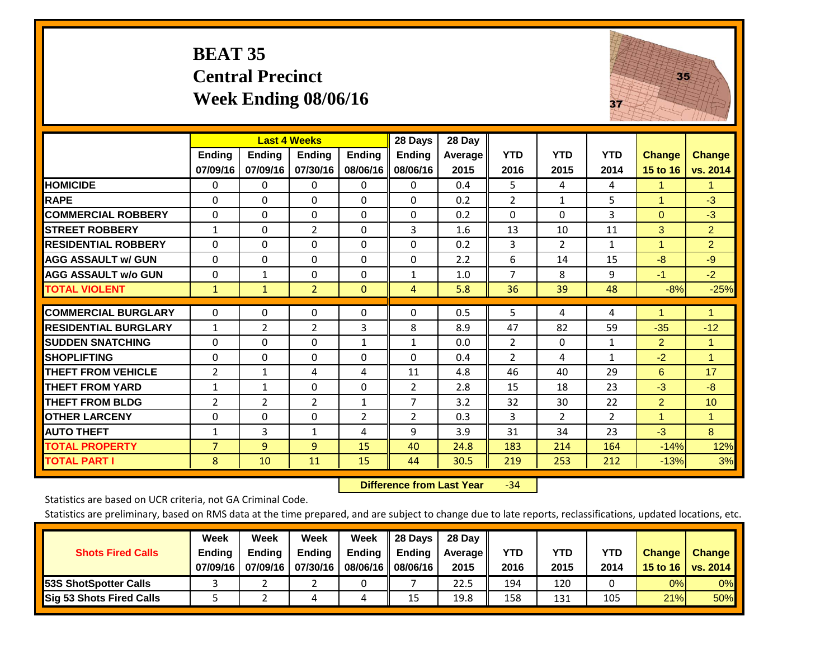## **BEAT 35 Central Precinct Week Ending 08/06/16**



|                             |                           | <b>Last 4 Weeks</b>       |                           |                           | 28 Days                   | 28 Day             |                    |                    |                    |                           |                      |
|-----------------------------|---------------------------|---------------------------|---------------------------|---------------------------|---------------------------|--------------------|--------------------|--------------------|--------------------|---------------------------|----------------------|
|                             | <b>Ending</b><br>07/09/16 | <b>Ending</b><br>07/09/16 | <b>Endina</b><br>07/30/16 | <b>Endina</b><br>08/06/16 | <b>Ending</b><br>08/06/16 | Average   <br>2015 | <b>YTD</b><br>2016 | <b>YTD</b><br>2015 | <b>YTD</b><br>2014 | <b>Change</b><br>15 to 16 | Change<br>vs. 2014   |
| <b>HOMICIDE</b>             | 0                         | 0                         | 0                         | 0                         | 0                         | 0.4                | 5                  | 4                  | 4                  | 1.                        | 1.                   |
| <b>RAPE</b>                 | 0                         | 0                         | $\Omega$                  | $\mathbf{0}$              | $\Omega$                  | 0.2                | $\overline{2}$     | 1                  | 5                  | 1                         | $-3$                 |
| <b>COMMERCIAL ROBBERY</b>   | 0                         | 0                         | $\Omega$                  | $\Omega$                  | 0                         | 0.2                | $\Omega$           | $\Omega$           | 3                  | $\Omega$                  | $-3$                 |
| <b>ISTREET ROBBERY</b>      | $\mathbf{1}$              | 0                         | $\overline{2}$            | 0                         | 3                         | 1.6                | 13                 | 10                 | 11                 | 3                         | $\overline{2}$       |
| <b>RESIDENTIAL ROBBERY</b>  | $\Omega$                  | 0                         | $\mathbf{0}$              | 0                         | $\Omega$                  | 0.2                | 3                  | $\overline{2}$     | $\mathbf{1}$       | $\blacktriangleleft$      | $\overline{2}$       |
| <b>AGG ASSAULT w/ GUN</b>   | $\Omega$                  | $\Omega$                  | $\Omega$                  | 0                         | $\Omega$                  | 2.2                | 6                  | 14                 | 15                 | -8                        | $-9$                 |
| <b>AGG ASSAULT w/o GUN</b>  | 0                         | 1                         | $\mathbf{0}$              | $\Omega$                  | 1                         | 1.0                | $\overline{7}$     | 8                  | 9                  | $-1$                      | $-2$                 |
| <b>TOTAL VIOLENT</b>        | 1                         | $\mathbf{1}$              | $\overline{2}$            | $\mathbf{0}$              | 4                         | 5.8                | 36                 | 39                 | 48                 | $-8%$                     | $-25%$               |
| <b>COMMERCIAL BURGLARY</b>  | $\mathbf 0$               | 0                         | 0                         | 0                         | $\Omega$                  | 0.5                | 5                  | 4                  | 4                  |                           | 1                    |
| <b>RESIDENTIAL BURGLARY</b> | $\mathbf{1}$              | 2                         | 2                         | 3                         | 8                         | 8.9                | 47                 | 82                 | 59                 | $-35$                     | $-12$                |
| <b>ISUDDEN SNATCHING</b>    | $\Omega$                  | 0                         | $\Omega$                  | $\mathbf{1}$              | $\mathbf{1}$              | 0.0                | $\overline{2}$     | $\Omega$           | 1                  | $\overline{2}$            | $\blacktriangleleft$ |
| <b>SHOPLIFTING</b>          | 0                         | 0                         | $\Omega$                  | $\Omega$                  | 0                         | 0.4                | $\overline{2}$     | 4                  | $\mathbf{1}$       | $-2$                      | $\blacktriangleleft$ |
| <b>THEFT FROM VEHICLE</b>   | 2                         | $\mathbf{1}$              | 4                         | 4                         | 11                        | 4.8                | 46                 | 40                 | 29                 | 6                         | 17                   |
| <b>THEFT FROM YARD</b>      | $\mathbf{1}$              | 1                         | $\Omega$                  | 0                         | 2                         | 2.8                | 15                 | 18                 | 23                 | $-3$                      | $-8$                 |
| <b>THEFT FROM BLDG</b>      | 2                         | 2                         | $\overline{2}$            | $\mathbf{1}$              | $\overline{7}$            | 3.2                | 32                 | 30                 | 22                 | $\overline{2}$            | 10                   |
| <b>OTHER LARCENY</b>        | 0                         | $\Omega$                  | $\Omega$                  | 2                         | $\overline{2}$            | 0.3                | 3                  | $\overline{2}$     | $\overline{2}$     | 1                         | $\blacktriangleleft$ |
| <b>AUTO THEFT</b>           | $\mathbf{1}$              | 3                         | $\mathbf{1}$              | 4                         | 9                         | 3.9                | 31                 | 34                 | 23                 | $-3$                      | 8                    |
| <b>TOTAL PROPERTY</b>       | $\overline{7}$            | 9                         | 9                         | 15                        | 40                        | 24.8               | 183                | 214                | 164                | $-14%$                    | 12%                  |
| <b>TOTAL PART I</b>         | 8                         | 10                        | 11                        | 15                        | 44                        | 30.5               | 219                | 253                | 212                | $-13%$                    | 3%                   |

 **Difference from Last Year**r -34

Statistics are based on UCR criteria, not GA Criminal Code.

|                                 | Week          | Week          | <b>Week</b> | Week     | 28 Days       | 28 Day            |      |      |            |               |               |
|---------------------------------|---------------|---------------|-------------|----------|---------------|-------------------|------|------|------------|---------------|---------------|
| <b>Shots Fired Calls</b>        | <b>Ending</b> | <b>Endina</b> | Ending      | Ending   | <b>Ending</b> | <b>Average</b> II | YTD  | YTD  | <b>YTD</b> | <b>Change</b> | <b>Change</b> |
|                                 | 07/09/16      | 07/09/16      | 07/30/16    | 08/06/16 | 08/06/16      | 2015              | 2016 | 2015 | 2014       | 15 to 16      | vs. 2014      |
| <b>153S ShotSpotter Calls</b>   |               |               |             |          |               | 22.5              | 194  | 120  |            | 0%            | 0%            |
| <b>Sig 53 Shots Fired Calls</b> |               |               |             | ப        | 15            | 19.8              | 158  | 131  | 105        | 21%           | <b>50%</b>    |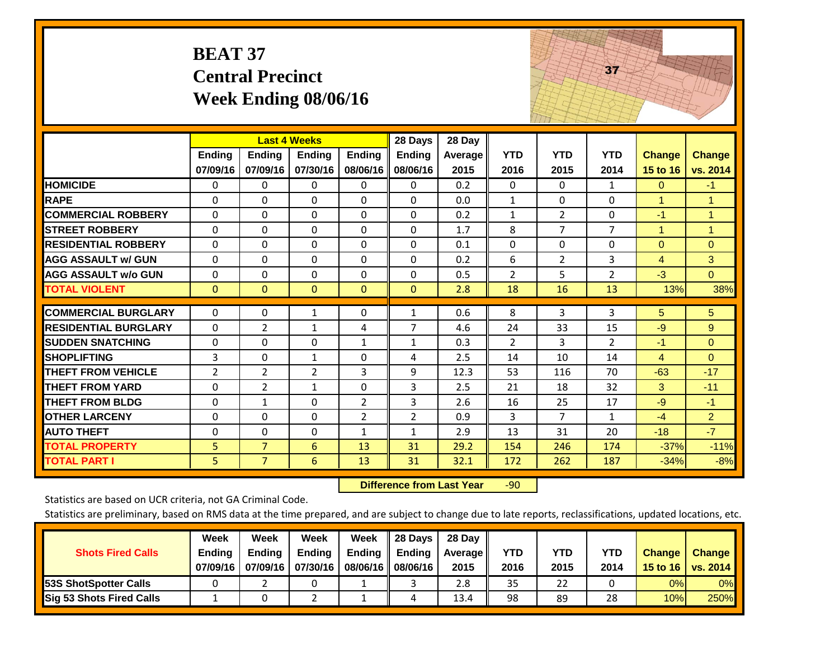|                             | <b>BEAT 37</b>     | <b>Central Precinct</b>   | Week Ending 08/06/16                      |                           |                                      |                           |                    |                    | 37                 |                           |                           |
|-----------------------------|--------------------|---------------------------|-------------------------------------------|---------------------------|--------------------------------------|---------------------------|--------------------|--------------------|--------------------|---------------------------|---------------------------|
|                             | Ending<br>07/09/16 | <b>Ending</b><br>07/09/16 | <b>Last 4 Weeks</b><br>Ending<br>07/30/16 | <b>Ending</b><br>08/06/16 | 28 Days<br><b>Ending</b><br>08/06/16 | 28 Day<br>Average<br>2015 | <b>YTD</b><br>2016 | <b>YTD</b><br>2015 | <b>YTD</b><br>2014 | <b>Change</b><br>15 to 16 | <b>Change</b><br>vs. 2014 |
| <b>HOMICIDE</b>             | $\Omega$           | $\Omega$                  | $\Omega$                                  | $\mathbf{0}$              | $\Omega$                             | 0.2                       | $\Omega$           | $\Omega$           | $\mathbf{1}$       | $\Omega$                  | $-1$                      |
| <b>RAPE</b>                 | $\Omega$           | 0                         | $\overline{0}$                            | $\Omega$                  | $\Omega$                             | 0.0                       | $\mathbf{1}$       | $\Omega$           | $\mathbf 0$        | $\mathbf{1}$              | $\mathbf{1}$              |
| <b>COMMERCIAL ROBBERY</b>   | $\Omega$           | $\Omega$                  | $\Omega$                                  | 0                         | 0                                    | 0.2                       | $\mathbf{1}$       | $\overline{2}$     | $\Omega$           | $-1$                      | 1                         |
| <b>STREET ROBBERY</b>       | $\Omega$           | $\Omega$                  | $\Omega$                                  | $\Omega$                  | 0                                    | 1.7                       | 8                  | $\overline{7}$     | $\overline{7}$     | $\mathbf{1}$              | $\mathbf{1}$              |
| <b>RESIDENTIAL ROBBERY</b>  | $\Omega$           | $\Omega$                  | $\Omega$                                  | $\Omega$                  | $\Omega$                             | 0.1                       | $\Omega$           | $\Omega$           | $\Omega$           | $\mathbf{0}$              | $\overline{0}$            |
| <b>AGG ASSAULT w/ GUN</b>   | $\mathbf 0$        | 0                         | $\mathbf 0$                               | $\Omega$                  | 0                                    | 0.2                       | 6                  | $\overline{2}$     | 3                  | $\overline{4}$            | 3                         |
| <b>AGG ASSAULT w/o GUN</b>  | $\Omega$           | 0                         | $\Omega$                                  | $\Omega$                  | 0                                    | 0.5                       | $\overline{2}$     | 5                  | $\overline{2}$     | $-3$                      | $\overline{0}$            |
| <b>TOTAL VIOLENT</b>        | $\overline{0}$     | $\Omega$                  | $\mathbf{0}$                              | $\mathbf{0}$              | $\Omega$                             | 2.8                       | 18                 | 16                 | 13                 | 13%                       | 38%                       |
| <b>COMMERCIAL BURGLARY</b>  | 0                  | 0                         | 1                                         | 0                         | $\mathbf{1}$                         | 0.6                       | 8                  | 3                  | 3                  | 5                         | 5                         |
| <b>RESIDENTIAL BURGLARY</b> | $\Omega$           | $\overline{2}$            | $\mathbf{1}$                              | 4                         | $\overline{7}$                       | 4.6                       | 24                 | 33                 | 15                 | $-9$                      | 9                         |
| <b>SUDDEN SNATCHING</b>     | 0                  | 0                         | 0                                         | 1                         | $\mathbf{1}$                         | 0.3                       | $\overline{2}$     | 3                  | $\overline{2}$     | $-1$                      | $\overline{0}$            |
| <b>SHOPLIFTING</b>          | 3                  | 0                         | $\mathbf{1}$                              | $\Omega$                  | 4                                    | 2.5                       | 14                 | 10                 | 14                 | $\overline{4}$            | $\Omega$                  |
| <b>THEFT FROM VEHICLE</b>   | $\overline{2}$     | $\overline{2}$            | $\overline{2}$                            | 3                         | 9                                    | 12.3                      | 53                 | 116                | 70                 | $-63$                     | $-17$                     |
| <b>THEFT FROM YARD</b>      | $\Omega$           | $\overline{2}$            | $\mathbf{1}$                              | $\Omega$                  | 3                                    | 2.5                       | 21                 | 18                 | 32                 | 3                         | $-11$                     |
| <b>THEFT FROM BLDG</b>      | 0                  | $\mathbf{1}$              | $\Omega$                                  | $\overline{2}$            | 3                                    | 2.6                       | 16                 | 25                 | 17                 | $-9$                      | $-1$                      |
| <b>OTHER LARCENY</b>        | $\Omega$           | $\Omega$                  | $\Omega$                                  | $\overline{2}$            | $\overline{2}$                       | 0.9                       | 3                  | $\overline{7}$     | $\mathbf{1}$       | $-4$                      | 2 <sup>1</sup>            |
| <b>AUTO THEFT</b>           | 0                  | $\Omega$                  | $\Omega$                                  | $\mathbf{1}$              | $\mathbf{1}$                         | 2.9                       | 13                 | 31                 | 20                 | $-18$                     | $-7$                      |
| <b>TOTAL PROPERTY</b>       | 5                  | $\overline{7}$            | 6                                         | 13                        | 31                                   | 29.2                      | 154                | 246                | 174                | $-37%$                    | $-11%$                    |
| <b>TOTAL PART I</b>         | 5                  | $\overline{7}$            | 6                                         | 13                        | 31                                   | 32.1                      | 172                | 262                | 187                | $-34%$                    | $-8%$                     |

 **Difference from Last Year**r -90 THE REAL PROPERTY.

Statistics are based on UCR criteria, not GA Criminal Code.

| <b>Shots Fired Calls</b>        | Week<br><b>Ending</b><br>07/09/16 | Week<br><b>Endina</b><br>07/09/16 | <b>Week</b><br>Ending<br>07/30/16 | Week<br>Ending<br>08/06/16 | 28 Days<br><b>Ending</b><br>08/06/16 | 28 Day<br>Average II<br>2015 | YTD<br>2016 | YTD<br>2015 | <b>YTD</b><br>2014 | <b>Change</b><br>15 to 16 | <b>Change</b><br>vs. 2014 |
|---------------------------------|-----------------------------------|-----------------------------------|-----------------------------------|----------------------------|--------------------------------------|------------------------------|-------------|-------------|--------------------|---------------------------|---------------------------|
| <b>153S ShotSpotter Calls</b>   |                                   |                                   |                                   |                            |                                      | 2.8                          | 35          | 22          |                    | 0%                        | 0%                        |
| <b>Sig 53 Shots Fired Calls</b> |                                   |                                   |                                   |                            |                                      | 13.4                         | 98          | 89          | 28                 | 10%                       | 250%                      |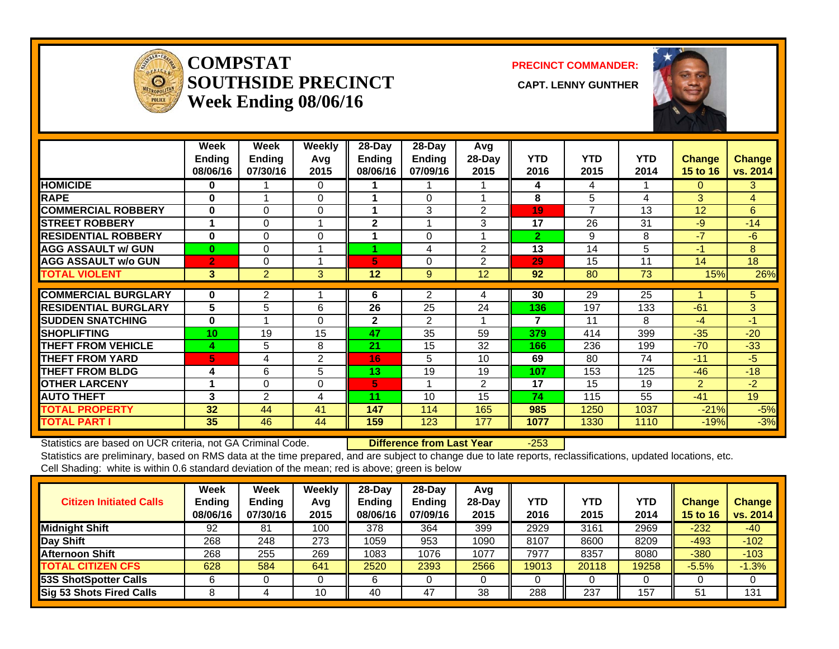

#### **COMPSTATSOUTHSIDE PRECINCT** CAPT. LENNY GUNTHER **Week Ending 08/06/16**

**PRECINCT COMMANDER:**



|                             | Week<br><b>Ending</b><br>08/06/16 | Week<br><b>Ending</b><br>07/30/16 | <b>Weekly</b><br>Avg<br>2015 | $28$ -Day<br><b>Ending</b><br>08/06/16 | $28 - Day$<br>Ending<br>07/09/16 | Avg<br>28-Day<br>2015 | <b>YTD</b><br>2016 | <b>YTD</b><br>2015 | <b>YTD</b><br>2014 | <b>Change</b><br>15 to 16 | <b>Change</b><br>vs. 2014 |
|-----------------------------|-----------------------------------|-----------------------------------|------------------------------|----------------------------------------|----------------------------------|-----------------------|--------------------|--------------------|--------------------|---------------------------|---------------------------|
| <b>HOMICIDE</b>             | 0                                 |                                   | 0                            |                                        | 1                                |                       | 4                  | 4                  |                    | 0                         | 3                         |
| <b>RAPE</b>                 | 0                                 |                                   | $\Omega$                     | 4                                      | 0                                |                       | 8                  | 5                  | 4                  | 3                         | 4                         |
| <b>COMMERCIAL ROBBERY</b>   | $\bf{0}$                          | $\Omega$                          | $\Omega$                     | 1                                      | 3                                | $\overline{2}$        | 19                 | $\overline{7}$     | 13                 | 12                        | 6                         |
| <b>STREET ROBBERY</b>       |                                   | 0                                 |                              | $\mathbf{2}$                           | 1                                | 3                     | 17                 | 26                 | 31                 | $-9$                      | $-14$                     |
| <b>RESIDENTIAL ROBBERY</b>  | $\bf{0}$                          | 0                                 | 0                            |                                        | $\Omega$                         |                       | $\overline{2}$     | 9                  | 8                  | $-7$                      | $-6$                      |
| <b>AGG ASSAULT w/ GUN</b>   | $\bf{0}$                          | $\Omega$                          |                              |                                        | 4                                | 2                     | 13                 | 14                 | 5                  | -1                        | 8                         |
| <b>AGG ASSAULT w/o GUN</b>  | $\mathbf{2}$                      | $\Omega$                          |                              | 5                                      | 0                                | $\overline{2}$        | 29                 | 15                 | 11                 | 14                        | 18                        |
| <b>TOTAL VIOLENT</b>        | 3 <sup>1</sup>                    | $\overline{2}$                    | 3                            | 12                                     | 9                                | 12                    | 92                 | 80                 | 73                 | 15%                       | 26%                       |
|                             |                                   |                                   |                              |                                        |                                  |                       |                    |                    |                    |                           |                           |
| <b>COMMERCIAL BURGLARY</b>  | 0                                 | 2                                 |                              | 6                                      | 2                                | 4                     | 30                 | 29                 | 25                 |                           | 5 <sup>5</sup>            |
| <b>RESIDENTIAL BURGLARY</b> | 5                                 | 5                                 | 6                            | 26                                     | 25                               | 24                    | 136                | 197                | 133                | $-61$                     | 3                         |
| <b>ISUDDEN SNATCHING</b>    | $\bf{0}$                          |                                   | $\Omega$                     | $\mathbf{2}$                           | $\mathfrak{p}$                   |                       | 7                  | 11                 | 8                  | $-4$                      | $-1$                      |
| <b>SHOPLIFTING</b>          | 10                                | 19                                | 15                           | 47                                     | 35                               | 59                    | 379                | 414                | 399                | $-35$                     | $-20$                     |
| <b>THEFT FROM VEHICLE</b>   | 4                                 | 5                                 | 8                            | 21                                     | 15                               | 32                    | 166                | 236                | 199                | $-70$                     | $-33$                     |
| <b>THEFT FROM YARD</b>      | 5                                 | 4                                 | 2                            | 16                                     | 5                                | 10 <sup>1</sup>       | 69                 | 80                 | 74                 | $-11$                     | $-5$                      |
| <b>THEFT FROM BLDG</b>      | 4                                 | 6                                 | 5                            | 13                                     | 19                               | 19                    | 107                | 153                | 125                | $-46$                     | $-18$                     |
| <b>OTHER LARCENY</b>        |                                   | 0                                 | 0                            | 5                                      | 1                                | $\overline{2}$        | 17                 | 15                 | 19                 | $\overline{2}$            | $-2$                      |
| <b>AUTO THEFT</b>           | 3                                 | 2                                 | 4                            | 11                                     | 10                               | 15                    | 74                 | 115                | 55                 | $-41$                     | 19                        |
| <b>TOTAL PROPERTY</b>       | 32                                | 44                                | 41                           | 147                                    | 114                              | 165                   | 985                | 1250               | 1037               | $-21%$                    | $-5%$                     |
| <b>TOTAL PART I</b>         | 35                                | 46                                | 44                           | 159                                    | 123                              | 177                   | 1077               | 1330               | 1110               | $-19%$                    | $-3%$                     |

Statistics are based on UCR criteria, not GA Criminal Code. **Difference from Last Year** -253 Statistics are preliminary, based on RMS data at the time prepared, and are subject to change due to late reports, reclassifications, updated locations, etc.

Cell Shading: white is within 0.6 standard deviation of the mean; red is above; green is below

| <b>Citizen Initiated Calls</b> | Week<br>Ending<br>08/06/16 | <b>Week</b><br><b>Ending</b><br>07/30/16 | Weekly<br>Avg<br>2015 | $28 - Day$<br>Ending<br>08/06/16 | $28-Day$<br><b>Ending</b><br>07/09/16 | Avg<br>$28$ -Day<br>2015 | YTD<br>2016 | <b>YTD</b><br>2015 | <b>YTD</b><br>2014 | <b>Change</b><br>15 to 16 | <b>Change</b><br>vs. 2014 |
|--------------------------------|----------------------------|------------------------------------------|-----------------------|----------------------------------|---------------------------------------|--------------------------|-------------|--------------------|--------------------|---------------------------|---------------------------|
| Midnight Shift                 | 92                         | 81                                       | 100                   | 378                              | 364                                   | 399                      | 2929        | 3161               | 2969               | $-232$                    | $-40$                     |
| Day Shift                      | 268                        | 248                                      | 273                   | 1059                             | 953                                   | 1090                     | 8107        | 8600               | 8209               | $-493$                    | $-102$                    |
| <b>Afternoon Shift</b>         | 268                        | 255                                      | 269                   | 1083                             | 1076                                  | 1077                     | 7977        | 8357               | 8080               | $-380$                    | $-103$                    |
| <b>TOTAL CITIZEN CFS</b>       | 628                        | 584                                      | 641                   | 2520                             | 2393                                  | 2566                     | 19013       | 20118              | 19258              | $-5.5%$                   | $-1.3%$                   |
| <b>53S ShotSpotter Calls</b>   |                            |                                          |                       |                                  |                                       |                          |             |                    |                    |                           |                           |
| Sig 53 Shots Fired Calls       |                            |                                          | 10                    | 40                               | 47                                    | 38                       | 288         | 237                | 157                | 51                        | 131                       |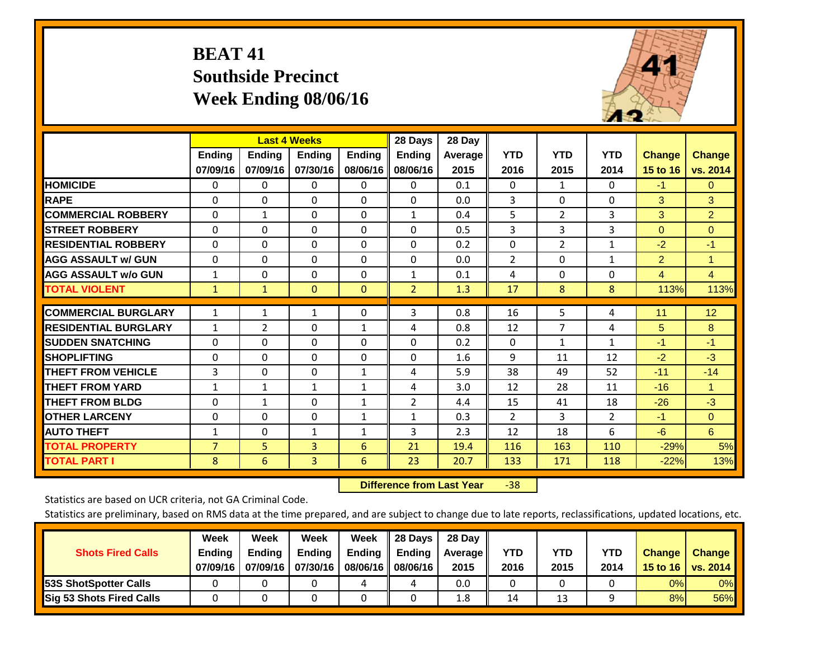## **BEAT 41 Southside Precinct Week Ending 08/06/16**



|                             |                           | <b>Last 4 Weeks</b>       |                           |                           | 28 Days                   | 28 Day             |                    |                    |                    |                           |                           |
|-----------------------------|---------------------------|---------------------------|---------------------------|---------------------------|---------------------------|--------------------|--------------------|--------------------|--------------------|---------------------------|---------------------------|
|                             | <b>Ending</b><br>07/09/16 | <b>Ending</b><br>07/09/16 | <b>Endina</b><br>07/30/16 | <b>Endina</b><br>08/06/16 | <b>Endina</b><br>08/06/16 | Average   <br>2015 | <b>YTD</b><br>2016 | <b>YTD</b><br>2015 | <b>YTD</b><br>2014 | <b>Change</b><br>15 to 16 | <b>Change</b><br>vs. 2014 |
| <b>HOMICIDE</b>             | 0                         | $\mathbf{0}$              | $\Omega$                  | 0                         | $\mathbf{0}$              | 0.1                | $\mathbf{0}$       | $\mathbf{1}$       | 0                  | $-1$                      | $\mathbf{0}$              |
| <b>RAPE</b>                 | $\Omega$                  | 0                         | $\Omega$                  | $\mathbf{0}$              | $\Omega$                  | 0.0                | 3                  | $\Omega$           | 0                  | 3                         | 3                         |
| <b>COMMERCIAL ROBBERY</b>   | $\Omega$                  | $\mathbf{1}$              | $\Omega$                  | $\Omega$                  | $\mathbf{1}$              | 0.4                | 5                  | $\overline{2}$     | 3                  | 3                         | $\overline{2}$            |
| <b>ISTREET ROBBERY</b>      | $\Omega$                  | $\Omega$                  | $\Omega$                  | $\Omega$                  | $\Omega$                  | 0.5                | 3                  | 3                  | 3                  | $\Omega$                  | $\Omega$                  |
| <b>RESIDENTIAL ROBBERY</b>  | $\Omega$                  | $\Omega$                  | $\mathbf{0}$              | $\Omega$                  | $\Omega$                  | 0.2                | $\Omega$           | $\overline{2}$     | 1                  | $-2$                      | -1                        |
| <b>AGG ASSAULT w/ GUN</b>   | $\Omega$                  | $\Omega$                  | $\Omega$                  | $\mathbf{0}$              | $\Omega$                  | 0.0                | 2                  | $\Omega$           | 1                  | $\overline{2}$            | 1                         |
| <b>AGG ASSAULT w/o GUN</b>  | $\mathbf{1}$              | 0                         | $\Omega$                  | $\Omega$                  | 1                         | 0.1                | 4                  | $\Omega$           | 0                  | $\overline{4}$            | $\overline{4}$            |
| <b>TOTAL VIOLENT</b>        | 1                         | $\mathbf{1}$              | $\mathbf{0}$              | $\mathbf{0}$              | $\overline{2}$            | 1.3                | 17                 | 8                  | 8                  | 113%                      | 113%                      |
| <b>COMMERCIAL BURGLARY</b>  | $\mathbf{1}$              | 1                         | $\mathbf{1}$              | 0                         | 3                         | 0.8                | 16                 | 5                  | 4                  | 11                        | 12                        |
|                             |                           |                           |                           |                           |                           |                    |                    |                    |                    |                           |                           |
| <b>RESIDENTIAL BURGLARY</b> | 1                         | $\overline{2}$            | $\mathbf{0}$              | 1                         | 4                         | 0.8                | 12                 | 7                  | 4                  | 5                         | 8                         |
| <b>SUDDEN SNATCHING</b>     | 0                         | 0                         | $\mathbf{0}$              | $\mathbf{0}$              | $\Omega$                  | 0.2                | $\Omega$           | 1                  | 1                  | $-1$                      | $-1$                      |
| <b>SHOPLIFTING</b>          | 0                         | $\Omega$                  | $\Omega$                  | $\mathbf{0}$              | $\Omega$                  | 1.6                | 9                  | 11                 | 12                 | $-2$                      | $-3$                      |
| <b>THEFT FROM VEHICLE</b>   | 3                         | $\Omega$                  | $\Omega$                  | $\mathbf{1}$              | 4                         | 5.9                | 38                 | 49                 | 52                 | $-11$                     | $-14$                     |
| <b>THEFT FROM YARD</b>      | $\mathbf{1}$              | $\mathbf{1}$              | $\mathbf{1}$              | $\mathbf{1}$              | 4                         | 3.0                | 12                 | 28                 | 11                 | $-16$                     | $\overline{1}$            |
| <b>THEFT FROM BLDG</b>      | 0                         | 1                         | $\mathbf{0}$              | 1                         | 2                         | 4.4                | 15                 | 41                 | 18                 | $-26$                     | $-3$                      |
| <b>OTHER LARCENY</b>        | 0                         | 0                         | $\mathbf{0}$              | 1                         | 1                         | 0.3                | $\overline{2}$     | 3                  | 2                  | $-1$                      | $\mathbf{0}$              |
| <b>AUTO THEFT</b>           | 1                         | $\Omega$                  | $\mathbf{1}$              | 1                         | 3                         | 2.3                | 12                 | 18                 | 6                  | $-6$                      | $6^{\circ}$               |
| <b>TOTAL PROPERTY</b>       | $\overline{7}$            | 5 <sup>1</sup>            | 3                         | 6                         | 21                        | 19.4               | 116                | 163                | 110                | $-29%$                    | 5%                        |
| <b>TOTAL PART I</b>         | 8                         | 6                         | $\overline{3}$            | 6                         | 23                        | 20.7               | 133                | 171                | 118                | $-22%$                    | 13%                       |

 **Difference from Last Year**‐38

Statistics are based on UCR criteria, not GA Criminal Code.

| <b>Shots Fired Calls</b>        | Week<br><b>Ending</b><br>07/09/16 | Week<br><b>Endina</b><br>07/09/16 | <b>Week</b><br>Ending<br>07/30/16 | Week<br>Ending<br>08/06/16 | 28 Days<br><b>Ending</b><br>08/06/16 | 28 Day<br>Average II<br>2015 | YTD<br>2016 | YTD<br>2015 | <b>YTD</b><br>2014 | <b>Change</b><br>15 to 16 $\vert$ | <b>Change</b><br>vs. 2014 |
|---------------------------------|-----------------------------------|-----------------------------------|-----------------------------------|----------------------------|--------------------------------------|------------------------------|-------------|-------------|--------------------|-----------------------------------|---------------------------|
| 53S ShotSpotter Calls           |                                   |                                   |                                   | 4                          | 4                                    | 0.0                          |             |             |                    | 0%                                | 0%                        |
| <b>Sig 53 Shots Fired Calls</b> |                                   |                                   |                                   |                            |                                      | 1.8                          | 14          | 13          |                    | 8%                                | 56%                       |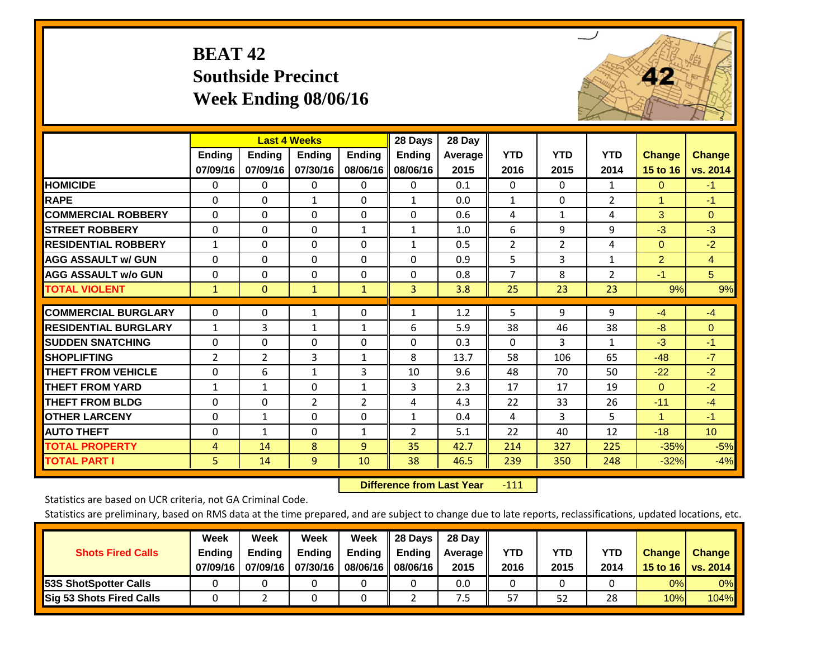## **BEAT 42 Southside Precinct Week Ending 08/06/16**



|                             |                | <b>Last 4 Weeks</b> |               |                | 28 Days        | 28 Day  |                |                |                |                |                 |
|-----------------------------|----------------|---------------------|---------------|----------------|----------------|---------|----------------|----------------|----------------|----------------|-----------------|
|                             | Ending         | Ending              | <b>Endina</b> | <b>Ending</b>  | <b>Ending</b>  | Average | <b>YTD</b>     | <b>YTD</b>     | <b>YTD</b>     | <b>Change</b>  | <b>Change</b>   |
|                             | 07/09/16       | 07/09/16            | 07/30/16      | 08/06/16       | 08/06/16       | 2015    | 2016           | 2015           | 2014           | 15 to 16       | vs. 2014        |
| <b>HOMICIDE</b>             | 0              | 0                   | $\Omega$      | $\Omega$       | $\Omega$       | 0.1     | $\Omega$       | $\mathbf{0}$   | $\mathbf{1}$   | $\mathbf{0}$   | $-1$            |
| <b>RAPE</b>                 | $\Omega$       | 0                   | 1             | $\Omega$       | $\mathbf{1}$   | 0.0     | $\mathbf{1}$   | $\Omega$       | 2              | 1              | $-1$            |
| <b>COMMERCIAL ROBBERY</b>   | $\Omega$       | $\Omega$            | $\Omega$      | $\Omega$       | $\Omega$       | 0.6     | 4              | 1              | 4              | 3              | $\Omega$        |
| <b>STREET ROBBERY</b>       | $\mathbf 0$    | $\Omega$            | $\Omega$      | 1              | $\mathbf{1}$   | 1.0     | 6              | 9              | 9              | $-3$           | $-3$            |
| <b>RESIDENTIAL ROBBERY</b>  | $\mathbf{1}$   | $\Omega$            | $\Omega$      | $\Omega$       | $\mathbf{1}$   | 0.5     | $\overline{2}$ | $\overline{2}$ | 4              | $\Omega$       | $-2$            |
| <b>AGG ASSAULT w/ GUN</b>   | $\Omega$       | $\Omega$            | $\Omega$      | $\Omega$       | $\Omega$       | 0.9     | 5              | $\overline{3}$ | 1              | $\overline{2}$ | $\overline{4}$  |
| <b>AGG ASSAULT w/o GUN</b>  | $\Omega$       | $\Omega$            | $\Omega$      | $\Omega$       | $\Omega$       | 0.8     | $\overline{7}$ | 8              | $\overline{2}$ | $-1$           | 5 <sup>5</sup>  |
| <b>TOTAL VIOLENT</b>        | 1              | $\mathbf{0}$        | $\mathbf{1}$  | $\mathbf{1}$   | 3              | 3.8     | 25             | 23             | 23             | 9%             | 9%              |
| <b>COMMERCIAL BURGLARY</b>  |                | $\Omega$            |               |                |                |         |                | 9              | 9              | $-4$           | $-4$            |
|                             | $\mathbf 0$    |                     | $\mathbf{1}$  | 0              | $\mathbf{1}$   | 1.2     | 5              |                |                |                |                 |
| <b>RESIDENTIAL BURGLARY</b> | $\mathbf{1}$   | 3                   | $\mathbf{1}$  | $\mathbf{1}$   | 6              | 5.9     | 38             | 46             | 38             | -8             | $\Omega$        |
| <b>SUDDEN SNATCHING</b>     | $\Omega$       | $\Omega$            | $\Omega$      | $\Omega$       | $\Omega$       | 0.3     | $\mathbf{0}$   | 3              | 1              | $-3$           | $-1$            |
| <b>ISHOPLIFTING</b>         | 2              | $\overline{2}$      | 3             | $\mathbf{1}$   | 8              | 13.7    | 58             | 106            | 65             | $-48$          | $-7$            |
| <b>THEFT FROM VEHICLE</b>   | $\Omega$       | 6                   | $\mathbf{1}$  | 3              | 10             | 9.6     | 48             | 70             | 50             | $-22$          | $-2$            |
| <b>THEFT FROM YARD</b>      | $\mathbf{1}$   | $\mathbf{1}$        | $\Omega$      | 1              | 3              | 2.3     | 17             | 17             | 19             | $\mathbf{0}$   | $-2$            |
| <b>THEFT FROM BLDG</b>      | $\Omega$       | $\Omega$            | 2             | $\overline{2}$ | 4              | 4.3     | 22             | 33             | 26             | $-11$          | $-4$            |
| <b>OTHER LARCENY</b>        | 0              | $\mathbf{1}$        | $\Omega$      | $\Omega$       | $\mathbf{1}$   | 0.4     | 4              | 3              | 5              | $\mathbf{1}$   | $-1$            |
| <b>AUTO THEFT</b>           | $\Omega$       | $\mathbf{1}$        | $\Omega$      | $\mathbf{1}$   | $\overline{2}$ | 5.1     | 22             | 40             | 12             | $-18$          | 10 <sub>1</sub> |
| <b>TOTAL PROPERTY</b>       | $\overline{4}$ | 14                  | 8             | $\overline{9}$ | 35             | 42.7    | 214            | 327            | 225            | $-35%$         | $-5%$           |
| <b>TOTAL PART I</b>         | 5              | 14                  | 9             | 10             | 38             | 46.5    | 239            | 350            | 248            | $-32%$         | $-4%$           |

 **Difference from Last Year**‐111

Statistics are based on UCR criteria, not GA Criminal Code.

| <b>Shots Fired Calls</b>        | Week<br><b>Ending</b><br>07/09/16 | Week<br><b>Endina</b><br>07/09/16 | <b>Week</b><br>Ending<br>07/30/16 | Week<br>Ending<br>08/06/16 | 28 Days<br>Ending<br>08/06/16 | 28 Day<br>Average II<br>2015 | YTD<br>2016 | YTD<br>2015 | <b>YTD</b><br>2014 | <b>Change</b><br>15 to 16 $\vert$ | <b>Change</b><br>vs. 2014 |
|---------------------------------|-----------------------------------|-----------------------------------|-----------------------------------|----------------------------|-------------------------------|------------------------------|-------------|-------------|--------------------|-----------------------------------|---------------------------|
| 53S ShotSpotter Calls           |                                   |                                   |                                   |                            |                               | 0.0                          |             |             |                    | 0%                                | 0%                        |
| <b>Sig 53 Shots Fired Calls</b> |                                   |                                   |                                   |                            |                               | כ.י                          | 57          | 52          | 28                 | 10%                               | 104%                      |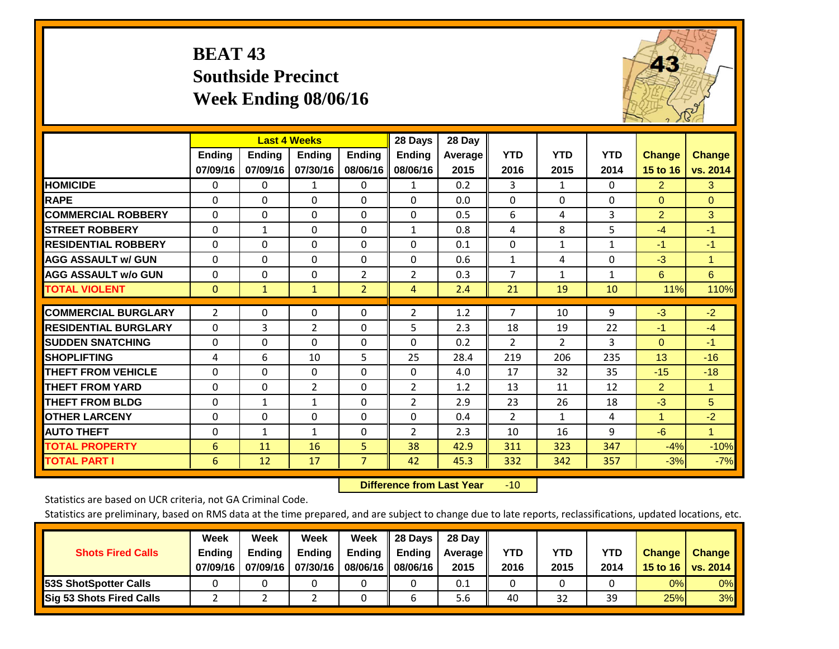## **BEAT 43 Southside Precinct Week Ending 08/06/16**



|                             |                |               | <b>Last 4 Weeks</b> |                | 28 Days        | 28 Day  |                |                |              |                |               |
|-----------------------------|----------------|---------------|---------------------|----------------|----------------|---------|----------------|----------------|--------------|----------------|---------------|
|                             | <b>Ending</b>  | <b>Ending</b> | <b>Ending</b>       | <b>Endina</b>  | <b>Ending</b>  | Average | <b>YTD</b>     | <b>YTD</b>     | <b>YTD</b>   | <b>Change</b>  | <b>Change</b> |
|                             | 07/09/16       | 07/09/16      | 07/30/16            | 08/06/16       | 08/06/16       | 2015    | 2016           | 2015           | 2014         | 15 to 16       | vs. 2014      |
| <b>HOMICIDE</b>             | 0              | 0             | 1                   | 0              | $\mathbf{1}$   | 0.2     | 3              | $\mathbf{1}$   | 0            | $\overline{2}$ | 3             |
| <b>RAPE</b>                 | $\Omega$       | 0             | $\Omega$            | 0              | $\Omega$       | 0.0     | $\mathbf{0}$   | 0              | $\Omega$     | $\Omega$       | $\Omega$      |
| <b>COMMERCIAL ROBBERY</b>   | $\Omega$       | 0             | $\Omega$            | $\Omega$       | $\Omega$       | 0.5     | 6              | 4              | 3            | $\overline{2}$ | 3             |
| <b>STREET ROBBERY</b>       | 0              | 1             | 0                   | $\Omega$       | $\mathbf{1}$   | 0.8     | 4              | 8              | 5            | $-4$           | $-1$          |
| <b>RESIDENTIAL ROBBERY</b>  | $\Omega$       | $\Omega$      | $\mathbf{0}$        | $\Omega$       | $\Omega$       | 0.1     | $\mathbf{0}$   | $\mathbf{1}$   | $\mathbf{1}$ | $-1$           | $-1$          |
| <b>AGG ASSAULT w/ GUN</b>   | $\Omega$       | 0             | $\Omega$            | $\Omega$       | $\Omega$       | 0.6     | $\mathbf{1}$   | 4              | $\Omega$     | $-3$           | 1.            |
| <b>AGG ASSAULT w/o GUN</b>  | $\Omega$       | 0             | $\mathbf{0}$        | $\overline{2}$ | $\overline{2}$ | 0.3     | $\overline{7}$ | 1              | $\mathbf{1}$ | 6              | 6             |
| <b>TOTAL VIOLENT</b>        | $\mathbf 0$    | $\mathbf{1}$  | $\mathbf{1}$        | $\overline{2}$ | $\overline{4}$ | 2.4     | 21             | 19             | 10           | 11%            | 110%          |
| <b>COMMERCIAL BURGLARY</b>  | $\overline{2}$ | $\Omega$      | 0                   | 0              | $\overline{2}$ | 1.2     | 7              | 10             | 9            | $-3$           | $-2$          |
|                             |                |               |                     |                |                |         |                |                |              |                |               |
| <b>RESIDENTIAL BURGLARY</b> | $\Omega$       | 3             | $\overline{2}$      | $\Omega$       | 5              | 2.3     | 18             | 19             | 22           | $-1$           | $-4$          |
| <b>ISUDDEN SNATCHING</b>    | $\Omega$       | 0             | $\mathbf{0}$        | $\Omega$       | $\Omega$       | 0.2     | $\overline{2}$ | $\overline{2}$ | 3            | $\mathbf{0}$   | $-1$          |
| <b>SHOPLIFTING</b>          | 4              | 6             | 10                  | 5              | 25             | 28.4    | 219            | 206            | 235          | 13             | $-16$         |
| <b>THEFT FROM VEHICLE</b>   | $\Omega$       | 0             | $\mathbf 0$         | $\Omega$       | $\Omega$       | 4.0     | 17             | 32             | 35           | $-15$          | $-18$         |
| <b>THEFT FROM YARD</b>      | $\Omega$       | $\Omega$      | $\overline{2}$      | $\Omega$       | $\overline{2}$ | 1.2     | 13             | 11             | 12           | $\overline{2}$ | 1             |
| <b>THEFT FROM BLDG</b>      | 0              | 1             | 1                   | $\Omega$       | $\overline{2}$ | 2.9     | 23             | 26             | 18           | $-3$           | 5             |
| <b>OTHER LARCENY</b>        | $\Omega$       | $\Omega$      | $\Omega$            | $\Omega$       | $\Omega$       | 0.4     | $\overline{2}$ | 1              | 4            | $\mathbf{1}$   | $-2$          |
| <b>AUTO THEFT</b>           | $\Omega$       | $\mathbf{1}$  | $\mathbf{1}$        | $\Omega$       | $\overline{2}$ | 2.3     | 10             | 16             | 9            | $-6$           | $\mathbf{1}$  |
| <b>TOTAL PROPERTY</b>       | 6              | 11            | 16                  | 5              | 38             | 42.9    | 311            | 323            | 347          | $-4%$          | $-10%$        |
| <b>TOTAL PART I</b>         | 6              | 12            | 17                  | $\overline{7}$ | 42             | 45.3    | 332            | 342            | 357          | $-3%$          | $-7%$         |

 **Difference from Last Year**r -10

Statistics are based on UCR criteria, not GA Criminal Code.

| <b>Shots Fired Calls</b>        | Week<br><b>Ending</b><br>07/09/16 | Week<br><b>Endina</b><br>07/09/16 | Week<br>Ending<br>07/30/16 | Week<br>Ending<br>08/06/16 | 28 Days<br><b>Ending</b><br>08/06/16 | 28 Day<br>Average II<br>2015 | YTD<br>2016 | YTD<br>2015 | <b>YTD</b><br>2014 | <b>Change</b><br>15 to 16 $\vert$ | <b>Change</b><br>vs. 2014 |
|---------------------------------|-----------------------------------|-----------------------------------|----------------------------|----------------------------|--------------------------------------|------------------------------|-------------|-------------|--------------------|-----------------------------------|---------------------------|
| <b>153S ShotSpotter Calls</b>   |                                   |                                   |                            |                            |                                      | 0.1                          |             |             |                    | 0%                                | 0%                        |
| <b>Sig 53 Shots Fired Calls</b> |                                   |                                   |                            |                            |                                      | 5.6                          | 40          | 32          | 39                 | 25%                               | 3%                        |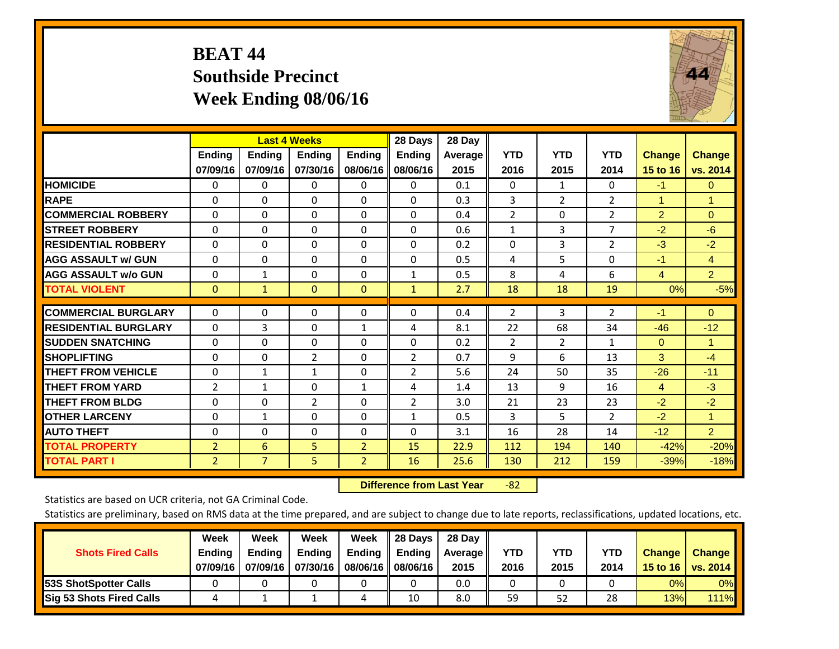## **BEAT 44 Southside Precinct Week Ending 08/06/16**



|                             |                | <b>Last 4 Weeks</b> |                |                | 28 Days        | 28 Day  |                |                |                |                |                |
|-----------------------------|----------------|---------------------|----------------|----------------|----------------|---------|----------------|----------------|----------------|----------------|----------------|
|                             | <b>Ending</b>  | <b>Ending</b>       | <b>Endina</b>  | <b>Ending</b>  | <b>Ending</b>  | Average | <b>YTD</b>     | <b>YTD</b>     | <b>YTD</b>     | <b>Change</b>  | <b>Change</b>  |
|                             | 07/09/16       | 07/09/16            | 07/30/16       | 08/06/16       | 08/06/16       | 2015    | 2016           | 2015           | 2014           | 15 to 16       | vs. 2014       |
| <b>HOMICIDE</b>             | 0              | 0                   | $\Omega$       | $\Omega$       | 0              | 0.1     | $\mathbf{0}$   | 1              | 0              | $-1$           | 0              |
| <b>RAPE</b>                 | 0              | $\Omega$            | $\Omega$       | $\Omega$       | $\Omega$       | 0.3     | 3              | $\overline{2}$ | $\overline{2}$ | 1              | 1.             |
| <b>COMMERCIAL ROBBERY</b>   | $\Omega$       | $\Omega$            | $\Omega$       | $\Omega$       | 0              | 0.4     | $\overline{2}$ | $\Omega$       | $\overline{2}$ | $\overline{2}$ | $\Omega$       |
| <b>ISTREET ROBBERY</b>      | $\Omega$       | $\Omega$            | $\Omega$       | $\Omega$       | $\Omega$       | 0.6     | $\mathbf{1}$   | 3              | $\overline{7}$ | $-2$           | $-6$           |
| <b>RESIDENTIAL ROBBERY</b>  | $\Omega$       | $\Omega$            | $\Omega$       | $\Omega$       | $\Omega$       | 0.2     | $\Omega$       | 3              | $\overline{2}$ | $-3$           | $-2$           |
| <b>AGG ASSAULT w/ GUN</b>   | $\Omega$       | $\Omega$            | $\Omega$       | $\mathbf{0}$   | $\Omega$       | 0.5     | 4              | 5              | 0              | -1             | $\overline{4}$ |
| <b>AGG ASSAULT w/o GUN</b>  | $\Omega$       | $\mathbf{1}$        | $\Omega$       | $\Omega$       | $\mathbf{1}$   | 0.5     | 8              | 4              | 6              | $\overline{4}$ | $\overline{2}$ |
| <b>TOTAL VIOLENT</b>        | $\mathbf{0}$   | $\mathbf{1}$        | $\mathbf{0}$   | $\mathbf{0}$   | $\mathbf{1}$   | 2.7     | 18             | 18             | 19             | 0%             | $-5%$          |
|                             |                |                     |                |                |                |         |                |                |                |                |                |
| <b>COMMERCIAL BURGLARY</b>  | $\Omega$       | $\Omega$            | $\Omega$       | 0              | $\Omega$       | 0.4     | $\overline{2}$ | 3              | $\overline{2}$ | $-1$           | $\Omega$       |
| <b>RESIDENTIAL BURGLARY</b> | $\Omega$       | 3                   | $\mathbf{0}$   | $\mathbf{1}$   | 4              | 8.1     | 22             | 68             | 34             | $-46$          | $-12$          |
| <b>SUDDEN SNATCHING</b>     | $\Omega$       | 0                   | $\mathbf{0}$   | $\Omega$       | 0              | 0.2     | $\overline{2}$ | $\overline{2}$ | 1              | $\mathbf{0}$   | $\mathbf{1}$   |
| <b>SHOPLIFTING</b>          | $\Omega$       | $\Omega$            | $\overline{2}$ | $\Omega$       | $\overline{2}$ | 0.7     | 9              | 6              | 13             | 3              | $-4$           |
| <b>THEFT FROM VEHICLE</b>   | $\Omega$       | $\mathbf{1}$        | $\mathbf{1}$   | $\mathbf{0}$   | $\overline{2}$ | 5.6     | 24             | 50             | 35             | $-26$          | $-11$          |
| <b>THEFT FROM YARD</b>      | 2              | $\mathbf{1}$        | $\Omega$       | 1              | 4              | 1.4     | 13             | 9              | 16             | $\overline{4}$ | $-3$           |
| <b>THEFT FROM BLDG</b>      | $\Omega$       | $\Omega$            | $\overline{2}$ | $\Omega$       | $\overline{2}$ | 3.0     | 21             | 23             | 23             | $-2$           | $-2$           |
| <b>OTHER LARCENY</b>        | $\mathbf{0}$   | $\mathbf{1}$        | $\Omega$       | $\Omega$       | $\mathbf{1}$   | 0.5     | 3              | 5.             | $\overline{2}$ | $-2$           | $\mathbf{1}$   |
| <b>AUTO THEFT</b>           | $\mathbf 0$    | 0                   | $\Omega$       | 0              | $\Omega$       | 3.1     | 16             | 28             | 14             | $-12$          | $\overline{2}$ |
| <b>TOTAL PROPERTY</b>       | $\overline{2}$ | 6                   | 5              | $\overline{2}$ | 15             | 22.9    | 112            | 194            | 140            | $-42%$         | $-20%$         |
| <b>TOTAL PART I</b>         | $\overline{2}$ | $\overline{7}$      | 5              | $\overline{2}$ | 16             | 25.6    | 130            | 212            | 159            | $-39%$         | $-18%$         |

 **Difference from Last Year**r -82

Statistics are based on UCR criteria, not GA Criminal Code.

| <b>Shots Fired Calls</b>        | Week<br><b>Ending</b><br>07/09/16 | Week<br><b>Endina</b><br>07/09/16 | <b>Week</b><br>Ending<br>07/30/16 | Week<br>Ending<br>08/06/16 | 28 Days<br><b>Ending</b><br>08/06/16 | 28 Day<br>Average II<br>2015 | YTD<br>2016 | YTD<br>2015 | <b>YTD</b><br>2014 | <b>Change</b><br>15 to 16 $\vert$ | <b>Change</b><br>vs. 2014 |
|---------------------------------|-----------------------------------|-----------------------------------|-----------------------------------|----------------------------|--------------------------------------|------------------------------|-------------|-------------|--------------------|-----------------------------------|---------------------------|
| <b>153S ShotSpotter Calls</b>   |                                   |                                   |                                   |                            |                                      | 0.0                          |             |             |                    | 0%                                | 0%                        |
| <b>Sig 53 Shots Fired Calls</b> |                                   |                                   |                                   |                            | 10                                   | 8.0                          | 59          | 52          | 28                 | 13%                               | <b>111%</b>               |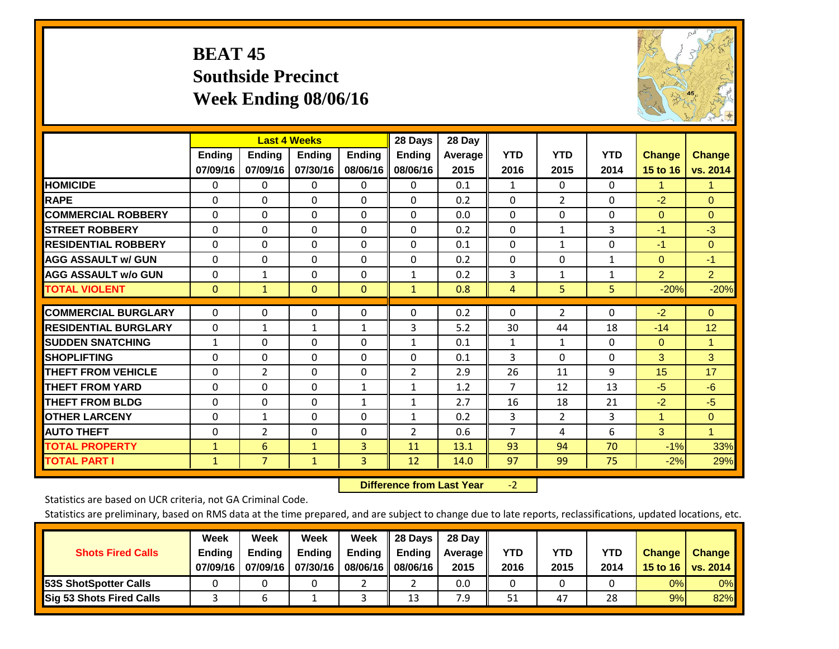## **BEAT 45 Southside Precinct Week Ending 08/06/16**



|                             |                           | <b>Last 4 Weeks</b> |                           |                           | 28 Days                   | 28 Day          |                    |                    |                    |                           |                           |
|-----------------------------|---------------------------|---------------------|---------------------------|---------------------------|---------------------------|-----------------|--------------------|--------------------|--------------------|---------------------------|---------------------------|
|                             | <b>Ending</b><br>07/09/16 | Ending<br>07/09/16  | <b>Ending</b><br>07/30/16 | <b>Ending</b><br>08/06/16 | <b>Ending</b><br>08/06/16 | Average<br>2015 | <b>YTD</b><br>2016 | <b>YTD</b><br>2015 | <b>YTD</b><br>2014 | <b>Change</b><br>15 to 16 | <b>Change</b><br>vs. 2014 |
| <b>HOMICIDE</b>             | 0                         | $\Omega$            | 0                         | 0                         | $\Omega$                  | 0.1             | 1                  | 0                  | 0                  | 1.                        | 1.                        |
| <b>RAPE</b>                 | $\Omega$                  | 0                   | $\Omega$                  | 0                         | 0                         | 0.2             | $\Omega$           | $\overline{2}$     | 0                  | $-2$                      | $\Omega$                  |
| <b>COMMERCIAL ROBBERY</b>   | $\Omega$                  | $\Omega$            | $\mathbf{0}$              | $\Omega$                  | $\Omega$                  | 0.0             | $\Omega$           | $\Omega$           | $\Omega$           | $\mathbf{0}$              | $\Omega$                  |
| <b>STREET ROBBERY</b>       | $\Omega$                  | $\Omega$            | $\Omega$                  | $\Omega$                  | 0                         | 0.2             | $\mathbf{0}$       | $\mathbf{1}$       | 3                  | $-1$                      | $-3$                      |
| <b>RESIDENTIAL ROBBERY</b>  | $\Omega$                  | $\Omega$            | $\Omega$                  | $\Omega$                  | $\Omega$                  | 0.1             | $\mathbf{0}$       | 1                  | 0                  | $-1$                      | $\Omega$                  |
| <b>AGG ASSAULT w/ GUN</b>   | $\Omega$                  | 0                   | $\Omega$                  | $\Omega$                  | 0                         | 0.2             | $\Omega$           | 0                  | 1                  | $\mathbf{0}$              | $-1$                      |
| <b>AGG ASSAULT w/o GUN</b>  | 0                         | 1                   | 0                         | $\Omega$                  | $\mathbf{1}$              | 0.2             | 3                  | 1                  | 1                  | $\overline{2}$            | 2 <sup>1</sup>            |
| <b>TOTAL VIOLENT</b>        | $\mathbf{0}$              | 1                   | $\mathbf{0}$              | $\mathbf{0}$              | $\mathbf{1}$              | 0.8             | 4                  | 5                  | 5                  | $-20%$                    | $-20%$                    |
| <b>COMMERCIAL BURGLARY</b>  | $\Omega$                  |                     |                           |                           | $\Omega$                  |                 | $\Omega$           |                    |                    | $-2$                      | $\mathbf{0}$              |
|                             |                           | 0                   | $\mathbf{0}$              | 0                         |                           | 0.2             |                    | $\overline{2}$     | 0                  |                           |                           |
| <b>RESIDENTIAL BURGLARY</b> | $\Omega$                  | $\mathbf{1}$        | 1                         | 1                         | 3                         | 5.2             | 30                 | 44                 | 18                 | $-14$                     | 12                        |
| <b>SUDDEN SNATCHING</b>     | $\mathbf{1}$              | 0                   | $\Omega$                  | 0                         | $\mathbf{1}$              | 0.1             | 1                  | 1                  | $\Omega$           | $\mathbf{0}$              | $\mathbf{1}$              |
| <b>SHOPLIFTING</b>          | $\Omega$                  | $\Omega$            | $\Omega$                  | 0                         | 0                         | 0.1             | 3                  | $\Omega$           | 0                  | 3                         | 3                         |
| <b>THEFT FROM VEHICLE</b>   | $\Omega$                  | $\overline{2}$      | $\Omega$                  | 0                         | 2                         | 2.9             | 26                 | 11                 | 9                  | 15                        | 17                        |
| <b>THEFT FROM YARD</b>      | $\Omega$                  | $\Omega$            | $\Omega$                  | 1                         | $\mathbf{1}$              | 1.2             | $\overline{7}$     | 12                 | 13                 | $-5$                      | $-6$                      |
| <b>THEFT FROM BLDG</b>      | 0                         | 0                   | $\Omega$                  | $\mathbf{1}$              | 1                         | 2.7             | 16                 | 18                 | 21                 | $-2$                      | $-5$                      |
| <b>OTHER LARCENY</b>        | $\Omega$                  | $\mathbf{1}$        | $\Omega$                  | 0                         | $\mathbf{1}$              | 0.2             | 3                  | $\overline{2}$     | 3                  | $\mathbf{1}$              | $\Omega$                  |
| <b>AUTO THEFT</b>           | 0                         | $\overline{2}$      | $\Omega$                  | $\Omega$                  | 2                         | 0.6             | $\overline{7}$     | 4                  | 6                  | 3                         | $\mathbf{1}$              |
| <b>TOTAL PROPERTY</b>       | $\mathbf{1}$              | 6                   | $\mathbf{1}$              | 3                         | 11                        | 13.1            | 93                 | 94                 | 70                 | $-1%$                     | 33%                       |
| <b>TOTAL PART I</b>         | $\mathbf{1}$              | $\overline{7}$      | $\mathbf{1}$              | 3                         | 12                        | 14.0            | 97                 | 99                 | 75                 | $-2%$                     | 29%                       |

 **Difference from Last Year**r -2

Statistics are based on UCR criteria, not GA Criminal Code.

| <b>Shots Fired Calls</b>        | Week<br><b>Ending</b><br>07/09/16 | Week<br><b>Endina</b><br>07/09/16 | <b>Week</b><br>Ending<br>07/30/16 | Week<br>Ending<br>08/06/16 | 28 Days<br><b>Ending</b><br>08/06/16 | 28 Day<br>Average II<br>2015 | YTD<br>2016 | YTD<br>2015 | <b>YTD</b><br>2014 | <b>Change</b><br>15 to 16 $\vert$ | <b>Change</b><br>vs. 2014 |
|---------------------------------|-----------------------------------|-----------------------------------|-----------------------------------|----------------------------|--------------------------------------|------------------------------|-------------|-------------|--------------------|-----------------------------------|---------------------------|
| <b>153S ShotSpotter Calls</b>   |                                   |                                   |                                   |                            |                                      | 0.0                          |             |             |                    | 0%                                | 0%                        |
| <b>Sig 53 Shots Fired Calls</b> |                                   |                                   |                                   |                            | 13                                   | 7.9                          | 51          | 47          | 28                 | 9%                                | 82%                       |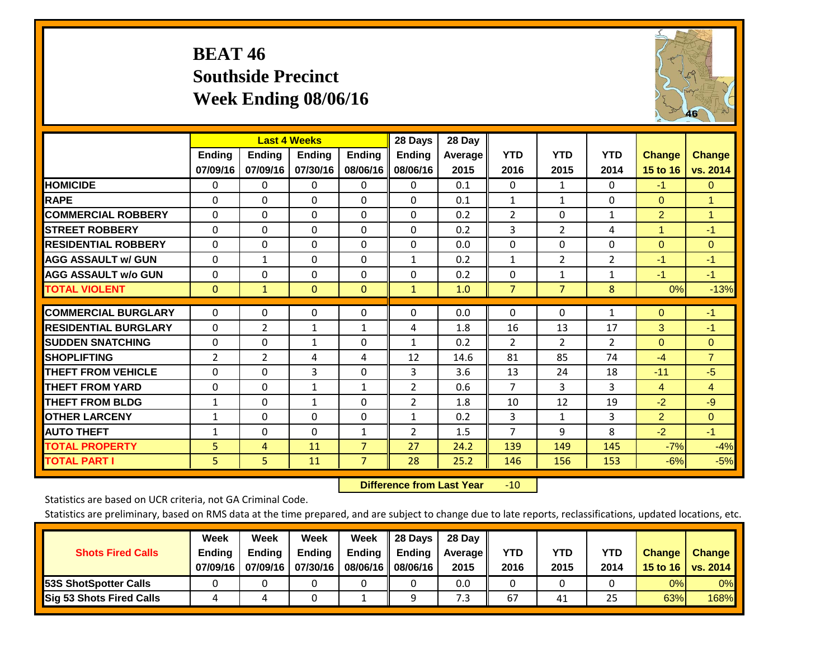## **BEAT 46 Southside Precinct Week Ending 08/06/16**



|                             |                           |                           | <b>Last 4 Weeks</b> |                           | 28 Days                   | 28 Day             |                    |                    |                    |                           |                           |
|-----------------------------|---------------------------|---------------------------|---------------------|---------------------------|---------------------------|--------------------|--------------------|--------------------|--------------------|---------------------------|---------------------------|
|                             | <b>Ending</b><br>07/09/16 | <b>Ending</b><br>07/09/16 | Ending<br>07/30/16  | <b>Ending</b><br>08/06/16 | <b>Ending</b><br>08/06/16 | Average II<br>2015 | <b>YTD</b><br>2016 | <b>YTD</b><br>2015 | <b>YTD</b><br>2014 | <b>Change</b><br>15 to 16 | <b>Change</b><br>vs. 2014 |
| <b>HOMICIDE</b>             | 0                         | 0                         | 0                   | 0                         | $\Omega$                  | 0.1                | $\mathbf{0}$       | 1                  | 0                  | $-1$                      | $\mathbf{0}$              |
| <b>RAPE</b>                 | 0                         | $\Omega$                  | $\Omega$            | $\Omega$                  | $\Omega$                  | 0.1                | $\mathbf{1}$       | 1                  | 0                  | $\Omega$                  | $\mathbf{1}$              |
| <b>COMMERCIAL ROBBERY</b>   | $\Omega$                  | 0                         | $\Omega$            | $\Omega$                  | $\Omega$                  | 0.2                | $\overline{2}$     | $\Omega$           | $\mathbf{1}$       | $\overline{2}$            | $\mathbf{1}$              |
| <b>STREET ROBBERY</b>       | $\Omega$                  | 0                         | $\Omega$            | $\mathbf{0}$              | $\Omega$                  | 0.2                | 3                  | $\overline{2}$     | 4                  | $\blacktriangleleft$      | $-1$                      |
| <b>RESIDENTIAL ROBBERY</b>  | $\Omega$                  | 0                         | $\Omega$            | $\Omega$                  | 0                         | 0.0                | $\Omega$           | 0                  | 0                  | $\Omega$                  | $\mathbf{0}$              |
| <b>AGG ASSAULT w/ GUN</b>   | 0                         | $\mathbf{1}$              | $\Omega$            | $\Omega$                  | $\mathbf{1}$              | 0.2                | $\mathbf{1}$       | $\overline{2}$     | $\overline{2}$     | $-1$                      | $-1$                      |
| <b>AGG ASSAULT w/o GUN</b>  | 0                         | 0                         | $\Omega$            | 0                         | $\Omega$                  | 0.2                | 0                  | $\mathbf{1}$       | 1                  | $-1$                      | $-1$                      |
| <b>TOTAL VIOLENT</b>        | $\mathbf{0}$              | $\mathbf{1}$              | $\mathbf{0}$        | $\mathbf{0}$              | $\mathbf{1}$              | 1.0                | $\overline{7}$     | $\overline{7}$     | 8                  | 0%                        | $-13%$                    |
|                             |                           |                           |                     |                           |                           |                    |                    |                    |                    |                           |                           |
| <b>COMMERCIAL BURGLARY</b>  | $\Omega$                  | $\Omega$                  | 0                   | $\Omega$                  | $\Omega$                  | 0.0                | $\Omega$           | $\Omega$           | 1                  | $\Omega$                  | $-1$                      |
| <b>RESIDENTIAL BURGLARY</b> | $\Omega$                  | $\overline{2}$            | 1                   | 1                         | 4                         | 1.8                | 16                 | 13                 | 17                 | 3                         | $-1$                      |
| <b>SUDDEN SNATCHING</b>     | 0                         | 0                         | $\mathbf{1}$        | $\Omega$                  | $\mathbf{1}$              | 0.2                | $\overline{2}$     | $\overline{2}$     | $\overline{2}$     | $\Omega$                  | $\Omega$                  |
| <b>SHOPLIFTING</b>          | 2                         | $\overline{2}$            | 4                   | 4                         | 12                        | 14.6               | 81                 | 85                 | 74                 | $-4$                      | $\overline{7}$            |
| <b>THEFT FROM VEHICLE</b>   | 0                         | $\Omega$                  | 3                   | $\Omega$                  | 3                         | 3.6                | 13                 | 24                 | 18                 | $-11$                     | $-5$                      |
| <b>THEFT FROM YARD</b>      | $\Omega$                  | 0                         | $\mathbf{1}$        | $\mathbf{1}$              | $\overline{2}$            | 0.6                | $\overline{7}$     | 3                  | 3                  | 4                         | 4                         |
| <b>THEFT FROM BLDG</b>      | 1                         | 0                         | $\mathbf{1}$        | $\Omega$                  | $\overline{2}$            | 1.8                | 10                 | 12                 | 19                 | $-2$                      | $-9$                      |
| <b>OTHER LARCENY</b>        | $\mathbf{1}$              | 0                         | $\Omega$            | $\Omega$                  | $\mathbf{1}$              | 0.2                | 3                  | $\mathbf{1}$       | 3                  | $\overline{2}$            | $\mathbf{0}$              |
| <b>AUTO THEFT</b>           | 1                         | $\Omega$                  | $\Omega$            | 1                         | 2                         | 1.5                | $\overline{7}$     | 9                  | 8                  | $-2$                      | $-1$                      |
| <b>TOTAL PROPERTY</b>       | 5                         | 4                         | 11                  | $\overline{7}$            | 27                        | 24.2               | 139                | 149                | 145                | $-7%$                     | $-4%$                     |
| <b>TOTAL PART I</b>         | 5                         | 5.                        | 11                  | 7                         | 28                        | 25.2               | 146                | 156                | 153                | $-6%$                     | $-5%$                     |

 **Difference from Last Year**r -10

Statistics are based on UCR criteria, not GA Criminal Code.

| <b>Shots Fired Calls</b>        | Week<br><b>Ending</b><br>07/09/16 | Week<br><b>Endina</b><br>07/09/16 | <b>Week</b><br>Ending<br>07/30/16 | Week<br>Ending<br>08/06/16 | 28 Days<br><b>Ending</b><br>08/06/16 | 28 Day<br>Average II<br>2015 | YTD<br>2016 | YTD<br>2015 | <b>YTD</b><br>2014 | <b>Change</b><br>15 to 16 $\vert$ | <b>Change</b><br>vs. 2014 |
|---------------------------------|-----------------------------------|-----------------------------------|-----------------------------------|----------------------------|--------------------------------------|------------------------------|-------------|-------------|--------------------|-----------------------------------|---------------------------|
| <b>153S ShotSpotter Calls</b>   |                                   |                                   |                                   |                            |                                      | 0.0                          |             |             |                    | 0%                                | 0%                        |
| <b>Sig 53 Shots Fired Calls</b> |                                   |                                   |                                   |                            |                                      | 7.3                          | 67          | 41          | 25                 | 63%                               | 168%                      |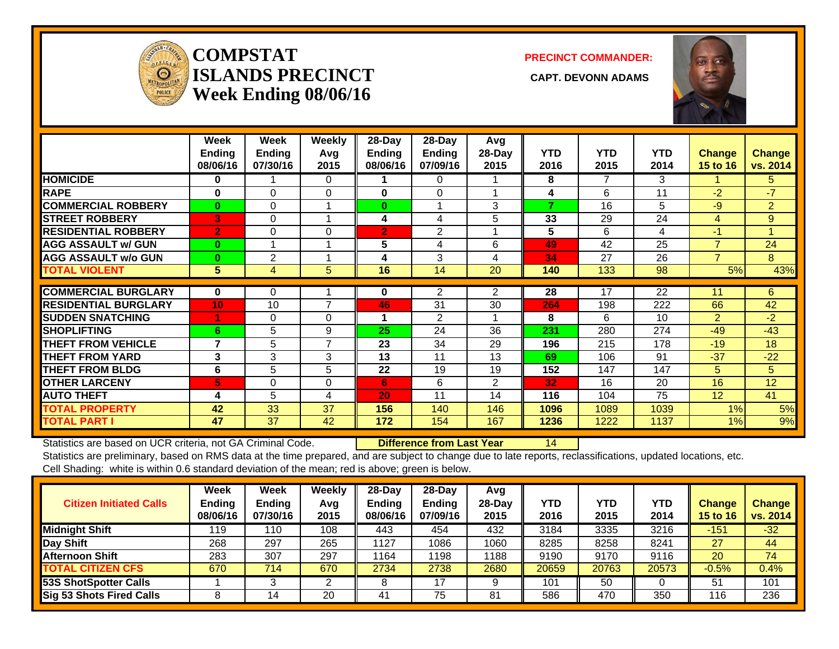

### **COMPSTATISLANDS PRECINCT** CAPT. DEVONN ADAMS **Week Ending 08/06/16**

**PRECINCT COMMANDER:**



|                             | Week<br>Ending<br>08/06/16 | Week<br><b>Ending</b><br>07/30/16 | Weekly<br>Avg<br>2015 | 28-Day<br><b>Ending</b><br>08/06/16 | 28-Day<br><b>Ending</b><br>07/09/16 | Avg<br>28-Day<br>2015 | <b>YTD</b><br>2016 | <b>YTD</b><br>2015 | <b>YTD</b><br>2014 | <b>Change</b><br>15 to 16 | <b>Change</b><br>vs. 2014 |
|-----------------------------|----------------------------|-----------------------------------|-----------------------|-------------------------------------|-------------------------------------|-----------------------|--------------------|--------------------|--------------------|---------------------------|---------------------------|
| <b>HOMICIDE</b>             | $\bf{0}$                   |                                   | $\Omega$              |                                     | 0                                   |                       | 8                  | 7                  | 3                  |                           | 5.                        |
| <b>RAPE</b>                 | $\bf{0}$                   | $\Omega$                          | $\Omega$              | 0                                   | $\Omega$                            |                       | 4                  | 6                  | 11                 | $-2$                      | $-7$                      |
| <b>COMMERCIAL ROBBERY</b>   | $\bf{0}$                   | $\Omega$                          |                       | $\bf{0}$                            |                                     | 3                     | 7                  | 16                 | 5                  | $-9$                      | $\overline{2}$            |
| <b>STREET ROBBERY</b>       | 3                          | $\Omega$                          |                       | 4                                   | 4                                   | 5                     | 33                 | 29                 | 24                 | 4                         | 9                         |
| <b>RESIDENTIAL ROBBERY</b>  | $\overline{2}$             | $\Omega$                          | $\Omega$              | $\overline{2}$                      | $\overline{2}$                      |                       | 5                  | 6                  | 4                  | $-1$                      |                           |
| <b>AGG ASSAULT w/ GUN</b>   | $\bf{0}$                   |                                   |                       | 5                                   | 4                                   | 6                     | 49                 | 42                 | 25                 | $\overline{7}$            | 24                        |
| <b>AGG ASSAULT w/o GUN</b>  | $\bf{0}$                   | 2                                 |                       | 4                                   | 3                                   | 4                     | 34                 | 27                 | 26                 | $\overline{7}$            | 8                         |
| <b>TOTAL VIOLENT</b>        | 5                          | 4                                 | 5                     | 16                                  | 14                                  | 20                    | 140                | 133                | 98                 | 5%                        | 43%                       |
| <b>COMMERCIAL BURGLARY</b>  | $\mathbf 0$                | 0                                 |                       | 0                                   | 2                                   | 2                     | 28                 | 17                 | 22                 | 11                        | 6                         |
| <b>RESIDENTIAL BURGLARY</b> | 10                         | 10                                | 7                     | 46                                  | 31                                  | 30                    | 264                | 198                | 222                | 66                        | 42                        |
| <b>SUDDEN SNATCHING</b>     | 4                          | $\Omega$                          | $\Omega$              |                                     | 2                                   |                       | 8                  | 6                  | 10                 | $\overline{2}$            | $-2$                      |
| <b>SHOPLIFTING</b>          | 6                          | 5                                 | 9                     | 25                                  | 24                                  | 36                    | 231                | 280                | 274                | $-49$                     | $-43$                     |
| <b>THEFT FROM VEHICLE</b>   | $\overline{\mathbf{z}}$    | 5                                 | $\overline{7}$        | 23                                  | 34                                  | 29                    | 196                | 215                | 178                | $-19$                     | 18                        |
| <b>THEFT FROM YARD</b>      | 3                          | 3                                 | 3                     | 13                                  | 11                                  | 13                    | 69                 | 106                | 91                 | $-37$                     | $-22$                     |
| <b>THEFT FROM BLDG</b>      | 6                          | 5                                 | 5                     | 22                                  | 19                                  | 19                    | 152                | 147                | 147                | 5                         | 5                         |
| <b>OTHER LARCENY</b>        | 5                          | $\Omega$                          | $\Omega$              | 6                                   | 6                                   | $\overline{2}$        | 32                 | 16                 | 20                 | 16                        | 12                        |
| <b>AUTO THEFT</b>           | 4                          | 5                                 | 4                     | 20                                  | 11                                  | 14                    | 116                | 104                | 75                 | 12 <sub>2</sub>           | 41                        |
| <b>TOTAL PROPERTY</b>       | 42                         | 33                                | 37                    | 156                                 | 140                                 | 146                   | 1096               | 1089               | 1039               | 1%                        | 5%                        |
| <b>TOTAL PART I</b>         | 47                         | 37                                | 42                    | 172                                 | 154                                 | 167                   | 1236               | 1222               | 1137               | 1%                        | 9%                        |

Statistics are based on UCR criteria, not GA Criminal Code. **Difference from Last Year** 14 Statistics are preliminary, based on RMS data at the time prepared, and are subject to change due to late reports, reclassifications, updated locations, etc.

Cell Shading: white is within 0.6 standard deviation of the mean; red is above; green is below.

| <b>Citizen Initiated Calls</b> | Week<br><b>Ending</b><br>08/06/16 | Week<br><b>Ending</b><br>07/30/16 | <b>Weekly</b><br>Avg<br>2015 | $28$ -Day<br>Ending<br>08/06/16 | 28-Day<br><b>Ending</b><br>07/09/16 | Avg<br>$28-Day$<br>2015 | YTD<br>2016 | YTD<br>2015 | <b>YTD</b><br>2014 | Change<br><b>15 to 16</b> | <b>Change</b><br>vs. 2014 |
|--------------------------------|-----------------------------------|-----------------------------------|------------------------------|---------------------------------|-------------------------------------|-------------------------|-------------|-------------|--------------------|---------------------------|---------------------------|
| <b>Midnight Shift</b>          | 119                               | 110                               | 108                          | 443                             | 454                                 | 432                     | 3184        | 3335        | 3216               | $-151$                    | $-32$                     |
| Day Shift                      | 268                               | 297                               | 265                          | 1127                            | 1086                                | 1060                    | 8285        | 8258        | 8241               | 27                        | 44                        |
| <b>Afternoon Shift</b>         | 283                               | 307                               | 297                          | 1164                            | 198                                 | 1188                    | 9190        | 9170        | 9116               | 20                        | 74                        |
| <b>TOTAL CITIZEN CFS</b>       | 670                               | 714                               | 670                          | 2734                            | 2738                                | 2680                    | 20659       | 20763       | 20573              | $-0.5%$                   | 0.4%                      |
| 53S ShotSpotter Calls          |                                   |                                   |                              |                                 | 17                                  |                         | 101         | 50          |                    | 51                        | 101                       |
| Sig 53 Shots Fired Calls       |                                   | 14                                | 20                           | 41                              | 75                                  | 81                      | 586         | 470         | 350                | 116                       | 236                       |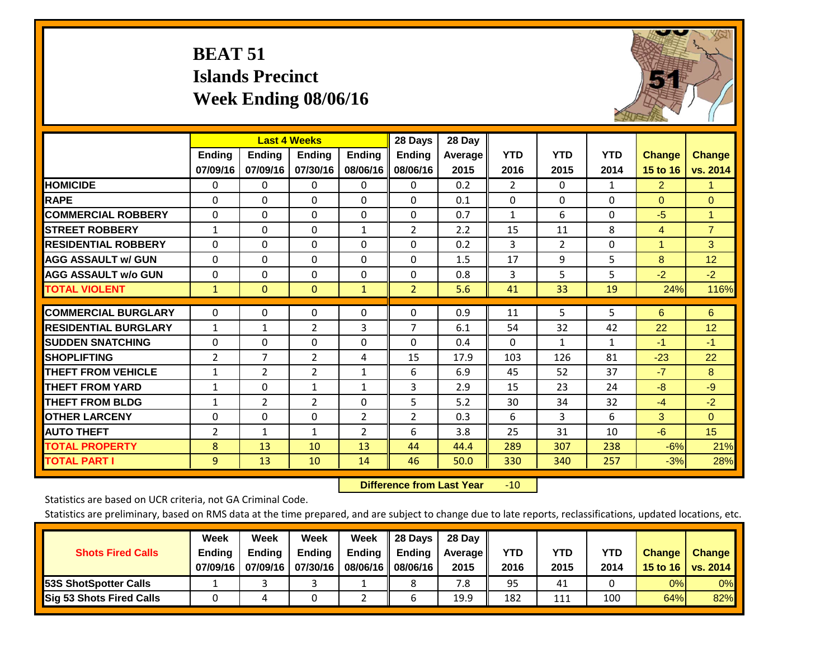## **BEAT 51 Islands Precinct Week Ending 08/06/16**



|                             |               | <b>Last 4 Weeks</b> |                |               | 28 Days        | 28 Day  |                |                |              |                      |                |
|-----------------------------|---------------|---------------------|----------------|---------------|----------------|---------|----------------|----------------|--------------|----------------------|----------------|
|                             | <b>Ending</b> | <b>Ending</b>       | Ending         | <b>Ending</b> | <b>Ending</b>  | Average | <b>YTD</b>     | <b>YTD</b>     | <b>YTD</b>   | <b>Change</b>        | <b>Change</b>  |
|                             | 07/09/16      | 07/09/16            | 07/30/16       | 08/06/16      | 08/06/16       | 2015    | 2016           | 2015           | 2014         | 15 to 16             | vs. 2014       |
| <b>HOMICIDE</b>             | 0             | 0                   | $\Omega$       | $\Omega$      | 0              | 0.2     | $\overline{2}$ | $\mathbf{0}$   | 1            | $\overline{2}$       | 1.             |
| <b>RAPE</b>                 | 0             | $\Omega$            | $\Omega$       | $\Omega$      | $\Omega$       | 0.1     | $\Omega$       | $\Omega$       | $\Omega$     | $\Omega$             | $\Omega$       |
| <b>COMMERCIAL ROBBERY</b>   | $\Omega$      | $\Omega$            | $\Omega$       | $\Omega$      | $\Omega$       | 0.7     | $\mathbf{1}$   | 6              | $\Omega$     | $-5$                 | $\mathbf{1}$   |
| <b>STREET ROBBERY</b>       | $\mathbf{1}$  | $\Omega$            | $\Omega$       | 1             | $\overline{2}$ | 2.2     | 15             | 11             | 8            | $\overline{4}$       | $\overline{7}$ |
| <b>RESIDENTIAL ROBBERY</b>  | $\Omega$      | 0                   | $\Omega$       | $\Omega$      | $\Omega$       | 0.2     | 3              | $\overline{2}$ | 0            | $\blacktriangleleft$ | 3              |
| <b>AGG ASSAULT w/ GUN</b>   | $\Omega$      | 0                   | $\Omega$       | $\mathbf{0}$  | 0              | 1.5     | 17             | 9              | 5            | 8                    | 12             |
| <b>AGG ASSAULT w/o GUN</b>  | $\Omega$      | $\Omega$            | $\Omega$       | $\Omega$      | $\Omega$       | 0.8     | 3              | 5              | 5            | $-2$                 | $-2$           |
| <b>TOTAL VIOLENT</b>        | $\mathbf{1}$  | $\mathbf{0}$        | $\mathbf{0}$   | 1             | $\overline{2}$ | 5.6     | 41             | 33             | 19           | 24%                  | 116%           |
|                             |               |                     |                |               |                |         |                |                |              |                      |                |
| <b>COMMERCIAL BURGLARY</b>  | $\Omega$      | 0                   | 0              | 0             | $\Omega$       | 0.9     | 11             | 5              | 5            | 6                    | 6              |
| <b>RESIDENTIAL BURGLARY</b> | $\mathbf{1}$  | 1                   | 2              | 3             | 7              | 6.1     | 54             | 32             | 42           | 22                   | 12             |
| <b>ISUDDEN SNATCHING</b>    | $\Omega$      | $\Omega$            | $\Omega$       | $\Omega$      | $\Omega$       | 0.4     | $\Omega$       | $\mathbf{1}$   | $\mathbf{1}$ | $-1$                 | $-1$           |
| <b>SHOPLIFTING</b>          | 2             | $\overline{7}$      | $\overline{2}$ | 4             | 15             | 17.9    | 103            | 126            | 81           | $-23$                | 22             |
| <b>THEFT FROM VEHICLE</b>   | $\mathbf{1}$  | $\overline{2}$      | $\overline{2}$ | $\mathbf{1}$  | 6              | 6.9     | 45             | 52             | 37           | $-7$                 | 8              |
| <b>THEFT FROM YARD</b>      | $\mathbf{1}$  | $\Omega$            | 1              | 1             | 3              | 2.9     | 15             | 23             | 24           | $-8$                 | $-9$           |
| <b>THEFT FROM BLDG</b>      | $\mathbf{1}$  | $\overline{2}$      | $\overline{2}$ | $\Omega$      | 5              | 5.2     | 30             | 34             | 32           | $-4$                 | $-2$           |
| <b>OTHER LARCENY</b>        | 0             | 0                   | $\Omega$       | 2             | $\overline{2}$ | 0.3     | 6              | 3              | 6            | 3 <sup>1</sup>       | $\Omega$       |
| <b>AUTO THEFT</b>           | 2             | $\mathbf{1}$        | $\mathbf{1}$   | 2             | 6              | 3.8     | 25             | 31             | 10           | $-6$                 | 15             |
| <b>TOTAL PROPERTY</b>       | 8             | 13                  | 10             | 13            | 44             | 44.4    | 289            | 307            | 238          | $-6%$                | 21%            |
| <b>TOTAL PART I</b>         | 9             | 13                  | 10             | 14            | 46             | 50.0    | 330            | 340            | 257          | $-3%$                | 28%            |

 **Difference from Last Year**r -10

Statistics are based on UCR criteria, not GA Criminal Code.

| <b>Shots Fired Calls</b>        | Week<br><b>Ending</b><br>07/09/16 | Week<br><b>Endina</b><br>07/09/16 | <b>Week</b><br>Ending<br>07/30/16 | Week<br>Ending<br>08/06/16 | 28 Days<br><b>Ending</b><br>08/06/16 | 28 Day<br>Average II<br>2015 | YTD<br>2016 | YTD<br>2015 | <b>YTD</b><br>2014 | <b>Change</b><br>15 to 16 | <b>Change</b><br>vs. 2014 |
|---------------------------------|-----------------------------------|-----------------------------------|-----------------------------------|----------------------------|--------------------------------------|------------------------------|-------------|-------------|--------------------|---------------------------|---------------------------|
| <b>153S ShotSpotter Calls</b>   |                                   |                                   |                                   |                            |                                      | 7.8                          | 95          | 41          |                    | 0%                        | 0%                        |
| <b>Sig 53 Shots Fired Calls</b> |                                   |                                   |                                   |                            |                                      | 19.9                         | 182         | 111         | 100                | 64%                       | 82%                       |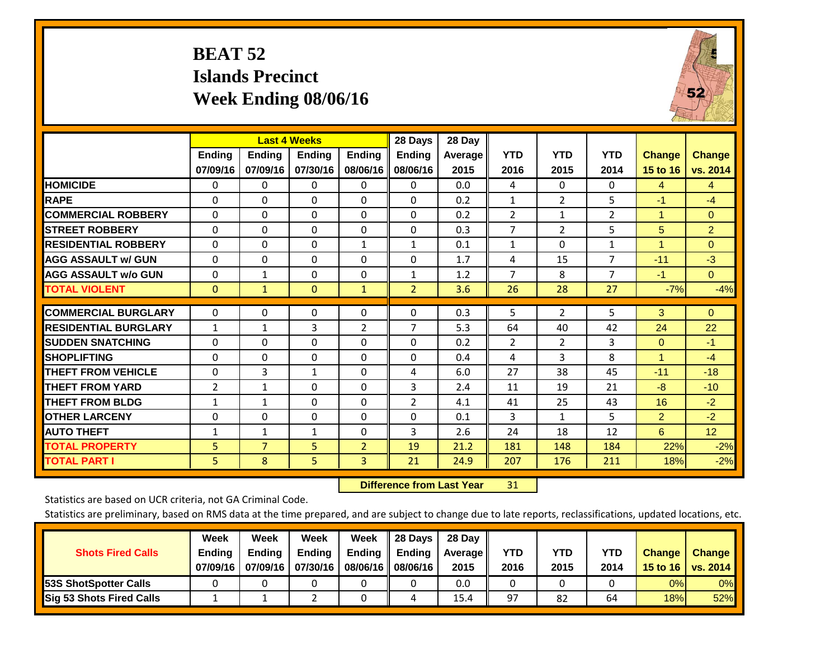## **BEAT 52 Islands Precinct Week Ending 08/06/16**



|                             |               | <b>Last 4 Weeks</b> |               |                | 28 Days        | 28 Day  |                |                |                |                      |                 |
|-----------------------------|---------------|---------------------|---------------|----------------|----------------|---------|----------------|----------------|----------------|----------------------|-----------------|
|                             | <b>Ending</b> | <b>Ending</b>       | <b>Endina</b> | <b>Ending</b>  | <b>Endina</b>  | Average | <b>YTD</b>     | <b>YTD</b>     | <b>YTD</b>     | <b>Change</b>        | <b>Change</b>   |
|                             | 07/09/16      | 07/09/16            | 07/30/16      | 08/06/16       | 08/06/16       | 2015    | 2016           | 2015           | 2014           | 15 to 16             | vs. 2014        |
| <b>HOMICIDE</b>             | 0             | 0                   | $\Omega$      | $\Omega$       | 0              | 0.0     | 4              | $\Omega$       | 0              | 4                    | $\overline{4}$  |
| <b>RAPE</b>                 | 0             | 0                   | $\Omega$      | $\Omega$       | $\Omega$       | 0.2     | $\mathbf{1}$   | $\overline{2}$ | 5              | $-1$                 | $-4$            |
| <b>COMMERCIAL ROBBERY</b>   | $\Omega$      | $\Omega$            | $\Omega$      | 0              | $\Omega$       | 0.2     | $\overline{2}$ | $\mathbf{1}$   | $\overline{2}$ | $\blacktriangleleft$ | $\Omega$        |
| <b>STREET ROBBERY</b>       | $\Omega$      | $\Omega$            | $\Omega$      | $\mathbf{0}$   | $\Omega$       | 0.3     | $\overline{7}$ | $\overline{2}$ | 5              | 5                    | $\overline{2}$  |
| <b>RESIDENTIAL ROBBERY</b>  | 0             | $\Omega$            | $\Omega$      | $\mathbf{1}$   | 1              | 0.1     | $\mathbf{1}$   | $\Omega$       | 1              | 1                    | $\mathbf{0}$    |
| <b>AGG ASSAULT w/ GUN</b>   | $\Omega$      | $\Omega$            | $\Omega$      | $\Omega$       | $\Omega$       | 1.7     | 4              | 15             | 7              | $-11$                | $-3$            |
| <b>AGG ASSAULT w/o GUN</b>  | $\Omega$      | $\mathbf{1}$        | $\Omega$      | $\Omega$       | $\mathbf{1}$   | 1.2     | $\overline{7}$ | 8              | $\overline{7}$ | $-1$                 | $\Omega$        |
| <b>TOTAL VIOLENT</b>        | $\Omega$      | $\mathbf{1}$        | $\Omega$      | $\mathbf{1}$   | $\overline{2}$ | 3.6     | 26             | 28             | 27             | $-7%$                | $-4%$           |
| <b>COMMERCIAL BURGLARY</b>  | $\Omega$      | $\Omega$            | 0             | 0              | $\Omega$       | 0.3     | 5              | $\overline{2}$ | 5.             | 3                    | $\Omega$        |
|                             |               |                     |               |                |                |         |                |                |                |                      |                 |
| <b>RESIDENTIAL BURGLARY</b> | 1             | 1                   | 3             | 2              | $\overline{7}$ | 5.3     | 64             | 40             | 42             | 24                   | 22              |
| <b>ISUDDEN SNATCHING</b>    | 0             | 0                   | $\Omega$      | $\mathbf{0}$   | 0              | 0.2     | $\overline{2}$ | $\overline{2}$ | 3              | $\mathbf{0}$         | $-1$            |
| <b>SHOPLIFTING</b>          | $\Omega$      | $\Omega$            | $\Omega$      | $\Omega$       | $\Omega$       | 0.4     | 4              | 3              | 8              | $\blacktriangleleft$ | $-4$            |
| <b>THEFT FROM VEHICLE</b>   | $\Omega$      | 3                   | 1             | $\mathbf{0}$   | 4              | 6.0     | 27             | 38             | 45             | $-11$                | $-18$           |
| <b>THEFT FROM YARD</b>      | 2             | 1                   | $\Omega$      | $\Omega$       | 3              | 2.4     | 11             | 19             | 21             | -8                   | $-10$           |
| <b>THEFT FROM BLDG</b>      | 1             | 1                   | $\Omega$      | $\Omega$       | $\overline{2}$ | 4.1     | 41             | 25             | 43             | 16                   | $-2$            |
| <b>OTHER LARCENY</b>        | 0             | $\Omega$            | $\Omega$      | $\Omega$       | $\Omega$       | 0.1     | 3              | 1              | 5              | $\overline{2}$       | $-2$            |
| <b>AUTO THEFT</b>           | $\mathbf{1}$  | $\mathbf{1}$        | $\mathbf{1}$  | $\mathbf{0}$   | 3              | 2.6     | 24             | 18             | 12             | 6                    | 12 <sup>2</sup> |
| <b>TOTAL PROPERTY</b>       | 5             | $\overline{7}$      | 5             | $\overline{2}$ | 19             | 21.2    | 181            | 148            | 184            | 22%                  | $-2%$           |
| <b>TOTAL PART I</b>         | 5.            | 8                   | 5             | 3              | 21             | 24.9    | 207            | 176            | 211            | 18%                  | $-2%$           |

 **Difference from Last Year**r 31

Statistics are based on UCR criteria, not GA Criminal Code.

| <b>Shots Fired Calls</b>        | Week<br><b>Ending</b><br>07/09/16 | Week<br><b>Endina</b><br>07/09/16 | <b>Week</b><br>Ending<br>07/30/16 | Week<br>Ending<br>08/06/16 | 28 Days<br><b>Ending</b><br>08/06/16 | 28 Day<br>Average II<br>2015 | YTD<br>2016 | YTD<br>2015 | <b>YTD</b><br>2014 | <b>Change</b><br>15 to $16$ | <b>Change</b><br>vs. 2014 |
|---------------------------------|-----------------------------------|-----------------------------------|-----------------------------------|----------------------------|--------------------------------------|------------------------------|-------------|-------------|--------------------|-----------------------------|---------------------------|
| <b>153S ShotSpotter Calls</b>   |                                   |                                   |                                   |                            |                                      | 0.0                          |             |             |                    | 0%                          | 0%                        |
| <b>Sig 53 Shots Fired Calls</b> |                                   |                                   |                                   |                            |                                      | 15.4                         | 97          | 82          | 64                 | 18%                         | 52%                       |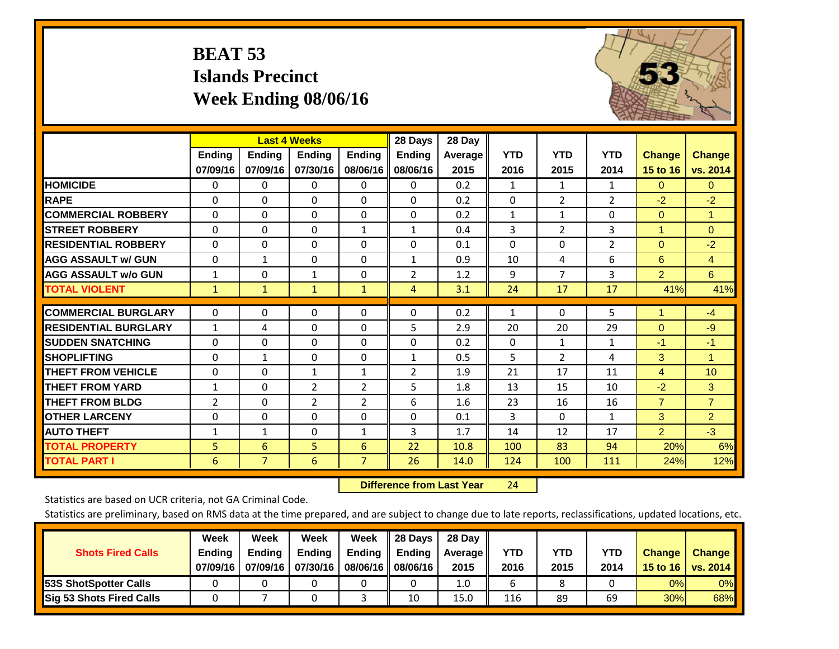## **BEAT 53 Islands Precinct Week Ending 08/06/16**



|                             |                | <b>Last 4 Weeks</b> |                |                | 28 Days        | 28 Day          |              |                    |                |                |                |
|-----------------------------|----------------|---------------------|----------------|----------------|----------------|-----------------|--------------|--------------------|----------------|----------------|----------------|
|                             | <b>Ending</b>  | <b>Ending</b>       | <b>Ending</b>  | <b>Endina</b>  | <b>Ending</b>  | Average<br>2015 | <b>YTD</b>   | <b>YTD</b><br>2015 | <b>YTD</b>     | <b>Change</b>  | <b>Change</b>  |
|                             | 07/09/16       | 07/09/16            | 07/30/16       | 08/06/16       | 08/06/16       |                 | 2016         |                    | 2014           | 15 to 16       | vs. 2014       |
| <b>HOMICIDE</b>             | 0              | 0                   | 0              | 0              | $\mathbf 0$    | 0.2             | 1            | $\mathbf{1}$       | 1              | $\Omega$       | $\overline{0}$ |
| <b>RAPE</b>                 | $\Omega$       | $\Omega$            | $\Omega$       | $\Omega$       | $\Omega$       | 0.2             | $\Omega$     | $\overline{2}$     | 2              | $-2$           | $-2$           |
| <b>COMMERCIAL ROBBERY</b>   | $\Omega$       | $\Omega$            | $\Omega$       | $\Omega$       | $\Omega$       | 0.2             | 1            | $\mathbf{1}$       | $\Omega$       | $\mathbf{0}$   | $\mathbf{1}$   |
| <b>STREET ROBBERY</b>       | $\Omega$       | $\Omega$            | $\Omega$       | $\mathbf{1}$   | $\mathbf{1}$   | 0.4             | 3            | $\overline{2}$     | 3              | 1              | $\Omega$       |
| <b>RESIDENTIAL ROBBERY</b>  | $\mathbf 0$    | $\Omega$            | $\Omega$       | 0              | $\Omega$       | 0.1             | $\Omega$     | $\Omega$           | $\overline{2}$ | $\mathbf{0}$   | $-2$           |
| <b>AGG ASSAULT w/ GUN</b>   | $\Omega$       | 1                   | $\mathbf{0}$   | 0              | 1              | 0.9             | 10           | 4                  | 6              | 6              | $\overline{4}$ |
| <b>AGG ASSAULT w/o GUN</b>  | $\mathbf{1}$   | $\Omega$            | $\mathbf{1}$   | 0              | $\overline{2}$ | 1.2             | 9            | $\overline{7}$     | 3              | $\overline{2}$ | 6              |
| <b>TOTAL VIOLENT</b>        | 1              | $\mathbf{1}$        | $\mathbf{1}$   | $\mathbf{1}$   | $\overline{4}$ | 3.1             | 24           | 17                 | 17             | 41%            | 41%            |
|                             |                |                     |                |                |                |                 |              |                    |                | 1              |                |
| <b>COMMERCIAL BURGLARY</b>  | $\Omega$       | $\Omega$            | $\Omega$       | 0              | $\Omega$       | 0.2             | $\mathbf{1}$ | 0                  | 5              |                | $-4$           |
| <b>RESIDENTIAL BURGLARY</b> | 1              | 4                   | $\Omega$       | 0              | 5              | 2.9             | 20           | 20                 | 29             | $\mathbf{0}$   | $-9$           |
| <b>SUDDEN SNATCHING</b>     | $\Omega$       | $\Omega$            | $\mathbf{0}$   | 0              | $\Omega$       | 0.2             | $\mathbf{0}$ | $\mathbf{1}$       | $\mathbf{1}$   | $-1$           | $-1$           |
| <b>SHOPLIFTING</b>          | $\Omega$       | $\mathbf{1}$        | $\Omega$       | 0              | $\mathbf{1}$   | 0.5             | 5            | $\overline{2}$     | 4              | 3              | $\mathbf{1}$   |
| <b>THEFT FROM VEHICLE</b>   | $\mathbf 0$    | $\Omega$            | $\mathbf{1}$   | 1              | 2              | 1.9             | 21           | 17                 | 11             | 4              | 10             |
| <b>THEFT FROM YARD</b>      | $\mathbf{1}$   | $\Omega$            | $\overline{2}$ | $\overline{2}$ | 5              | 1.8             | 13           | 15                 | 10             | $-2$           | 3              |
| <b>THEFT FROM BLDG</b>      | $\overline{2}$ | $\Omega$            | $\overline{2}$ | $\overline{2}$ | 6              | 1.6             | 23           | 16                 | 16             | $\overline{7}$ | $\overline{7}$ |
| <b>OTHER LARCENY</b>        | 0              | $\Omega$            | $\Omega$       | 0              | $\Omega$       | 0.1             | 3            | $\Omega$           | $\mathbf{1}$   | 3              | $\overline{2}$ |
| <b>AUTO THEFT</b>           | $\mathbf{1}$   | $\mathbf{1}$        | $\Omega$       | $\mathbf{1}$   | 3              | 1.7             | 14           | 12                 | 17             | $\overline{2}$ | $-3$           |
| <b>TOTAL PROPERTY</b>       | 5              | 6                   | 5              | 6              | 22             | 10.8            | 100          | 83                 | 94             | 20%            | 6%             |
| <b>TOTAL PART I</b>         | 6              | $\overline{7}$      | $6\phantom{1}$ | $\overline{7}$ | 26             | 14.0            | 124          | 100                | 111            | 24%            | 12%            |

 **Difference from Last Year**r 24

Statistics are based on UCR criteria, not GA Criminal Code.

| <b>Shots Fired Calls</b>        | Week<br><b>Ending</b><br>07/09/16 | Week<br><b>Endina</b><br>07/09/16 | <b>Week</b><br>Ending<br>07/30/16 | Week<br>Ending<br>08/06/16 | 28 Days<br><b>Ending</b><br>08/06/16 | 28 Day<br>Average II<br>2015 | YTD<br>2016 | YTD<br>2015 | YTD<br>2014 | <b>Change</b><br>15 to $16$ | <b>Change</b><br>vs. 2014 |
|---------------------------------|-----------------------------------|-----------------------------------|-----------------------------------|----------------------------|--------------------------------------|------------------------------|-------------|-------------|-------------|-----------------------------|---------------------------|
| <b>153S ShotSpotter Calls</b>   |                                   |                                   |                                   |                            |                                      | 1.0                          |             |             |             | 0%                          | 0%                        |
| <b>Sig 53 Shots Fired Calls</b> |                                   |                                   |                                   |                            | 10                                   | 15.0                         | 116         | 89          | 69          | 30%                         | 68%                       |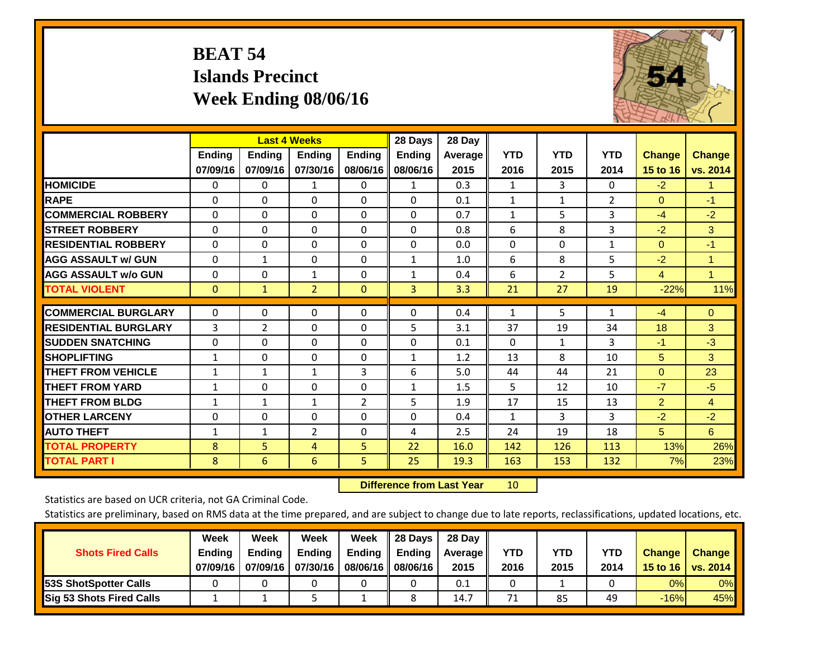## **BEAT 54 Islands Precinct Week Ending 08/06/16**



|                             |               | <b>Last 4 Weeks</b> |                |                | 28 Days       | 28 Day  |              |                |                |                |                |
|-----------------------------|---------------|---------------------|----------------|----------------|---------------|---------|--------------|----------------|----------------|----------------|----------------|
|                             | <b>Ending</b> | Ending              | <b>Ending</b>  | <b>Ending</b>  | <b>Ending</b> | Average | <b>YTD</b>   | <b>YTD</b>     | <b>YTD</b>     | <b>Change</b>  | <b>Change</b>  |
|                             | 07/09/16      | 07/09/16            | 07/30/16       | 08/06/16       | 08/06/16      | 2015    | 2016         | 2015           | 2014           | 15 to 16       | vs. 2014       |
| <b>HOMICIDE</b>             | 0             | 0                   | 1              | 0              | 1             | 0.3     | 1            | 3              | 0              | $-2$           | 1              |
| <b>RAPE</b>                 | $\Omega$      | 0                   | $\Omega$       | $\Omega$       | 0             | 0.1     | $\mathbf{1}$ | 1              | $\overline{2}$ | $\mathbf{0}$   | $-1$           |
| <b>COMMERCIAL ROBBERY</b>   | $\Omega$      | $\Omega$            | $\Omega$       | $\Omega$       | $\Omega$      | 0.7     | $\mathbf{1}$ | 5              | 3              | $-4$           | $-2$           |
| <b>STREET ROBBERY</b>       | $\Omega$      | $\Omega$            | $\Omega$       | $\Omega$       | 0             | 0.8     | 6            | 8              | 3              | $-2$           | 3              |
| <b>RESIDENTIAL ROBBERY</b>  | $\Omega$      | $\Omega$            | $\Omega$       | $\Omega$       | 0             | 0.0     | $\mathbf{0}$ | 0              | $\mathbf{1}$   | $\mathbf{0}$   | $-1$           |
| <b>AGG ASSAULT w/ GUN</b>   | $\Omega$      | $\mathbf{1}$        | $\mathbf{0}$   | $\Omega$       | $\mathbf{1}$  | 1.0     | 6            | 8              | 5              | $-2$           | $\mathbf{1}$   |
| <b>AGG ASSAULT w/o GUN</b>  | $\Omega$      | $\Omega$            | $\mathbf{1}$   | 0              | $\mathbf{1}$  | 0.4     | 6            | $\overline{2}$ | 5              | $\overline{4}$ | $\mathbf{1}$   |
| <b>TOTAL VIOLENT</b>        | $\mathbf{0}$  | $\mathbf{1}$        | $\overline{2}$ | $\Omega$       | 3             | 3.3     | 21           | 27             | 19             | $-22%$         | 11%            |
| <b>COMMERCIAL BURGLARY</b>  | 0             | $\Omega$            | $\mathbf 0$    | 0              | 0             | 0.4     | 1            | 5              | $\mathbf{1}$   | $-4$           | $\overline{0}$ |
|                             |               |                     |                |                |               |         |              |                |                |                |                |
| <b>RESIDENTIAL BURGLARY</b> | 3             | 2                   | $\Omega$       | 0              | 5             | 3.1     | 37           | 19             | 34             | 18             | 3 <sup>1</sup> |
| <b>ISUDDEN SNATCHING</b>    | $\Omega$      | $\Omega$            | $\Omega$       | $\Omega$       | 0             | 0.1     | $\mathbf{0}$ | 1              | 3              | $-1$           | $-3$           |
| <b>SHOPLIFTING</b>          | 1             | $\Omega$            | $\Omega$       | $\Omega$       | $\mathbf{1}$  | 1.2     | 13           | 8              | 10             | 5              | 3              |
| <b>THEFT FROM VEHICLE</b>   | $\mathbf{1}$  | $\mathbf{1}$        | 1              | 3              | 6             | 5.0     | 44           | 44             | 21             | $\mathbf{0}$   | 23             |
| <b>THEFT FROM YARD</b>      | $\mathbf{1}$  | $\Omega$            | $\Omega$       | $\Omega$       | $\mathbf{1}$  | 1.5     | 5            | 12             | 10             | $-7$           | $-5$           |
| <b>THEFT FROM BLDG</b>      | $\mathbf{1}$  | 1                   | 1              | $\overline{2}$ | 5             | 1.9     | 17           | 15             | 13             | $\overline{2}$ | $\overline{4}$ |
| <b>OTHER LARCENY</b>        | $\Omega$      | $\Omega$            | $\Omega$       | $\Omega$       | 0             | 0.4     | 1            | 3              | 3              | $-2$           | $-2$           |
| <b>AUTO THEFT</b>           | $\mathbf{1}$  | $\mathbf{1}$        | $\overline{2}$ | $\Omega$       | 4             | 2.5     | 24           | 19             | 18             | 5 <sup>5</sup> | 6              |
| <b>TOTAL PROPERTY</b>       | 8             | 5                   | 4              | 5.             | 22            | 16.0    | 142          | 126            | 113            | 13%            | 26%            |
| <b>TOTAL PART I</b>         | 8             | 6                   | 6              | 5              | 25            | 19.3    | 163          | 153            | 132            | 7%             | 23%            |

 **Difference from Last Year**r 10

Statistics are based on UCR criteria, not GA Criminal Code.

| <b>Shots Fired Calls</b>        | Week<br><b>Ending</b><br>07/09/16 | Week<br><b>Endina</b><br>07/09/16 | <b>Week</b><br>Ending<br>07/30/16 | Week<br>Ending<br>08/06/16 | 28 Days<br><b>Ending</b><br>08/06/16 | 28 Day<br>Average II<br>2015 | YTD<br>2016 | YTD<br>2015 | <b>YTD</b><br>2014 | <b>Change</b><br>15 to 16 $\vert$ | <b>Change</b><br>vs. 2014 |
|---------------------------------|-----------------------------------|-----------------------------------|-----------------------------------|----------------------------|--------------------------------------|------------------------------|-------------|-------------|--------------------|-----------------------------------|---------------------------|
| <b>153S ShotSpotter Calls</b>   |                                   |                                   |                                   |                            |                                      | 0.1                          |             |             |                    | 0%                                | 0%                        |
| <b>Sig 53 Shots Fired Calls</b> |                                   |                                   |                                   |                            |                                      | 14.7                         | 71          | 85          | 49                 | $-16%$                            | 45%                       |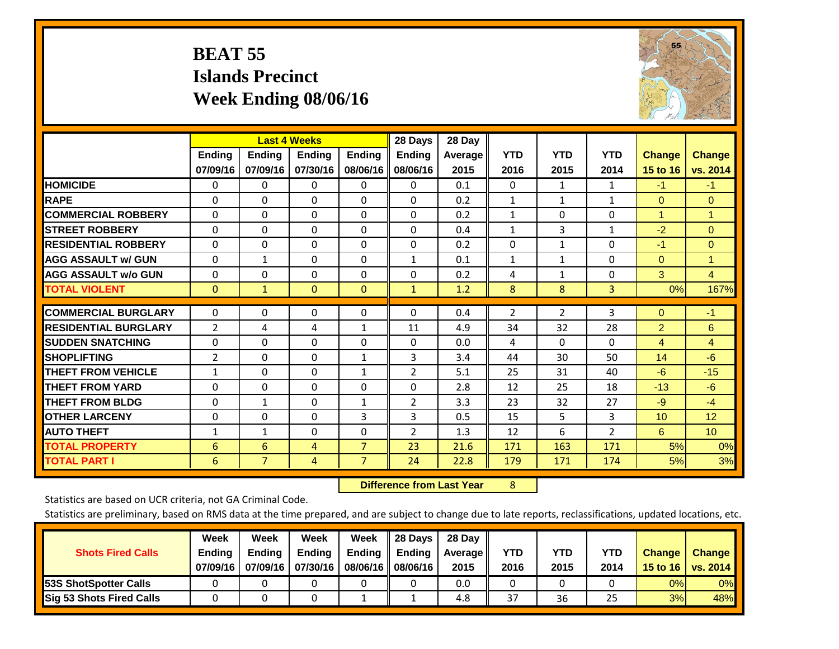## **BEAT 55 Islands Precinct Week Ending 08/06/16**



|                             | <b>Last 4 Weeks</b> |                |               |                | 28 Days        | 28 Day  |                |                |                |                |                 |
|-----------------------------|---------------------|----------------|---------------|----------------|----------------|---------|----------------|----------------|----------------|----------------|-----------------|
|                             | <b>Ending</b>       | <b>Ending</b>  | <b>Endina</b> | <b>Ending</b>  | <b>Ending</b>  | Average | <b>YTD</b>     | <b>YTD</b>     | <b>YTD</b>     | <b>Change</b>  | <b>Change</b>   |
|                             | 07/09/16            | 07/09/16       | 07/30/16      | 08/06/16       | 08/06/16       | 2015    | 2016           | 2015           | 2014           | 15 to 16       | vs. 2014        |
| <b>HOMICIDE</b>             | 0                   | 0              | $\Omega$      | 0              | $\mathbf{0}$   | 0.1     | $\mathbf{0}$   | $\mathbf{1}$   | 1              | $-1$           | $-1$            |
| <b>RAPE</b>                 | 0                   | $\Omega$       | $\Omega$      | $\Omega$       | $\Omega$       | 0.2     | 1              | $\mathbf{1}$   | $\mathbf{1}$   | $\Omega$       | $\mathbf{0}$    |
| <b>COMMERCIAL ROBBERY</b>   | $\Omega$            | 0              | $\Omega$      | 0              | $\Omega$       | 0.2     | $\mathbf{1}$   | $\mathbf{0}$   | 0              | $\overline{1}$ | 1               |
| <b>ISTREET ROBBERY</b>      | $\Omega$            | $\Omega$       | $\Omega$      | $\Omega$       | $\Omega$       | 0.4     | $\mathbf{1}$   | 3              | $\mathbf{1}$   | $-2$           | $\Omega$        |
| <b>RESIDENTIAL ROBBERY</b>  | $\Omega$            | $\Omega$       | $\Omega$      | $\mathbf{0}$   | $\Omega$       | 0.2     | $\Omega$       | 1              | 0              | $-1$           | $\Omega$        |
| <b>AGG ASSAULT w/ GUN</b>   | $\Omega$            | $\mathbf{1}$   | $\Omega$      | $\Omega$       | 1              | 0.1     | $\mathbf{1}$   | 1              | 0              | $\Omega$       | 1               |
| <b>AGG ASSAULT w/o GUN</b>  | 0                   | 0              | $\Omega$      | 0              | $\Omega$       | 0.2     | 4              | $\mathbf 1$    | 0              | 3              | $\overline{4}$  |
| <b>TOTAL VIOLENT</b>        | $\Omega$            | $\mathbf{1}$   | $\mathbf{0}$  | $\mathbf{0}$   | $\mathbf{1}$   | 1.2     | 8              | 8              | 3              | 0%             | 167%            |
| <b>COMMERCIAL BURGLARY</b>  |                     | $\Omega$       |               |                | $\Omega$       |         |                |                | 3              |                |                 |
|                             | $\Omega$            |                | $\mathbf{0}$  | 0              |                | 0.4     | $\overline{2}$ | $\overline{2}$ |                | $\mathbf{0}$   | $-1$            |
| <b>RESIDENTIAL BURGLARY</b> | 2                   | 4              | 4             | 1              | 11             | 4.9     | 34             | 32             | 28             | $\overline{2}$ | 6               |
| <b>SUDDEN SNATCHING</b>     | 0                   | 0              | $\mathbf{0}$  | $\mathbf{0}$   | $\Omega$       | 0.0     | 4              | $\Omega$       | $\Omega$       | 4              | 4               |
| <b>SHOPLIFTING</b>          | 2                   | 0              | $\Omega$      | $\mathbf{1}$   | 3              | 3.4     | 44             | 30             | 50             | 14             | $-6$            |
| <b>THEFT FROM VEHICLE</b>   | 1                   | 0              | $\Omega$      | 1              | 2              | 5.1     | 25             | 31             | 40             | $-6$           | $-15$           |
| <b>THEFT FROM YARD</b>      | 0                   | $\Omega$       | $\Omega$      | 0              | 0              | 2.8     | 12             | 25             | 18             | $-13$          | $-6$            |
| <b>THEFT FROM BLDG</b>      | $\Omega$            | $\mathbf{1}$   | $\Omega$      | 1              | $\overline{2}$ | 3.3     | 23             | 32             | 27             | $-9$           | $-4$            |
| <b>OTHER LARCENY</b>        | $\Omega$            | 0              | $\mathbf{0}$  | 3              | 3              | 0.5     | 15             | 5              | 3              | 10             | 12              |
| <b>AUTO THEFT</b>           | 1                   | $\mathbf{1}$   | $\Omega$      | 0              | 2              | 1.3     | 12             | 6              | $\overline{2}$ | 6              | 10 <sup>°</sup> |
| <b>TOTAL PROPERTY</b>       | 6                   | 6              | 4             | $\overline{7}$ | 23             | 21.6    | 171            | 163            | 171            | 5%             | 0%              |
| <b>TOTAL PART I</b>         | 6                   | $\overline{7}$ | 4             | $\overline{7}$ | 24             | 22.8    | 179            | 171            | 174            | 5%             | 3%              |

 **Difference from Last Year**r 8

Statistics are based on UCR criteria, not GA Criminal Code.

| <b>Shots Fired Calls</b>        | Week<br><b>Ending</b><br>07/09/16 | Week<br><b>Endina</b><br>07/09/16 | <b>Week</b><br>Ending<br>07/30/16 | Week<br>Ending<br>08/06/16 | 28 Days<br><b>Ending</b><br>08/06/16 | 28 Day<br>Average II<br>2015 | YTD<br>2016 | YTD<br>2015 | YTD<br>2014 | <b>Change</b><br>15 to 16 $\vert$ | <b>Change</b><br>vs. 2014 |
|---------------------------------|-----------------------------------|-----------------------------------|-----------------------------------|----------------------------|--------------------------------------|------------------------------|-------------|-------------|-------------|-----------------------------------|---------------------------|
| <b>153S ShotSpotter Calls</b>   |                                   |                                   |                                   |                            |                                      | 0.0                          |             |             |             | 0%                                | 0%                        |
| <b>Sig 53 Shots Fired Calls</b> |                                   |                                   |                                   |                            |                                      | 4.8                          | 37          | 36          | 25          | 3%                                | 48%                       |